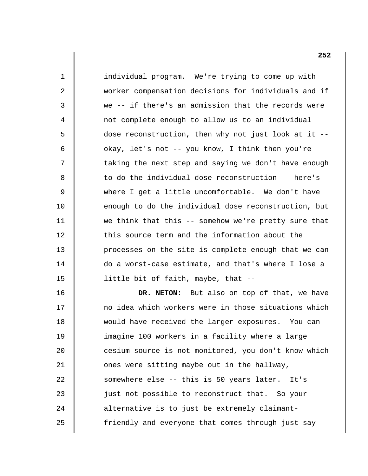individual program. We're trying to come up with worker compensation decisions for individuals and if we -- if there's an admission that the records were not complete enough to allow us to an individual dose reconstruction, then why not just look at it okay, let's not -- you know, I think then you're taking the next step and saying we don't have enough to do the individual dose reconstruction -- here's where I get a little uncomfortable. We don't have enough to do the individual dose reconstruction, but we think that this -- somehow we're pretty sure that this source term and the information about the processes on the site is complete enough that we can do a worst-case estimate, and that's where I lose a little bit of faith, maybe, that -

1

2

3

4

5

6

7

8

9

10

11

12

13

14

15

16 17 18 19 20 21 22 23 24 25 **DR. NETON:** But also on top of that, we have no idea which workers were in those situations which would have received the larger exposures. You can imagine 100 workers in a facility where a large cesium source is not monitored, you don't know which ones were sitting maybe out in the hallway, somewhere else -- this is 50 years later. It's just not possible to reconstruct that. So your alternative is to just be extremely claimantfriendly and everyone that comes through just say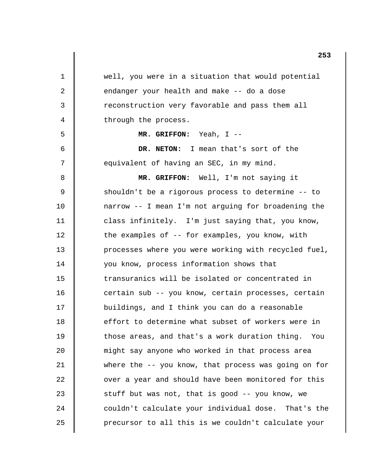1 2 3 4 5 6 7 8 9 10 11 12 13 14 15 16 17 18 19 20 21 22 23 24 25 well, you were in a situation that would potential endanger your health and make -- do a dose reconstruction very favorable and pass them all through the process. **MR. GRIFFON:** Yeah, I - **DR. NETON:** I mean that's sort of the equivalent of having an SEC, in my mind. **MR. GRIFFON:** Well, I'm not saying it shouldn't be a rigorous process to determine -- to narrow -- I mean I'm not arguing for broadening the class infinitely. I'm just saying that, you know, the examples of -- for examples, you know, with processes where you were working with recycled fuel, you know, process information shows that transuranics will be isolated or concentrated in certain sub -- you know, certain processes, certain buildings, and I think you can do a reasonable effort to determine what subset of workers were in those areas, and that's a work duration thing. You might say anyone who worked in that process area where the -- you know, that process was going on for over a year and should have been monitored for this stuff but was not, that is good -- you know, we couldn't calculate your individual dose. That's the precursor to all this is we couldn't calculate your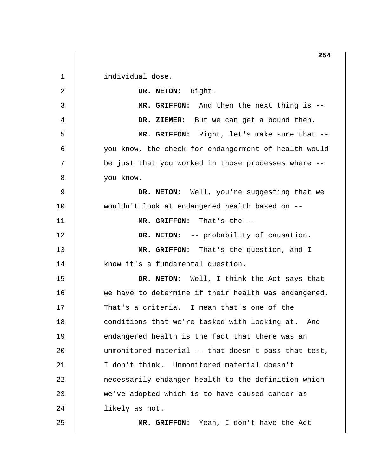|    | 254                                                  |
|----|------------------------------------------------------|
| 1  | individual dose.                                     |
| 2  | DR. NETON: Right.                                    |
| 3  | MR. GRIFFON: And then the next thing is --           |
| 4  | DR. ZIEMER: But we can get a bound then.             |
| 5  | MR. GRIFFON: Right, let's make sure that --          |
| 6  | you know, the check for endangerment of health would |
| 7  | be just that you worked in those processes where --  |
| 8  | you know.                                            |
| 9  | DR. NETON: Well, you're suggesting that we           |
| 10 | wouldn't look at endangered health based on --       |
| 11 | MR. GRIFFON: That's the --                           |
| 12 | DR. NETON: -- probability of causation.              |
| 13 | MR. GRIFFON: That's the question, and I              |
| 14 | know it's a fundamental question.                    |
| 15 | DR. NETON: Well, I think the Act says that           |
| 16 | we have to determine if their health was endangered. |
| 17 | That's a criteria. I mean that's one of the          |
| 18 | conditions that we're tasked with looking at. And    |
| 19 | endangered health is the fact that there was an      |
| 20 | unmonitored material -- that doesn't pass that test, |
| 21 | I don't think. Unmonitored material doesn't          |
| 22 | necessarily endanger health to the definition which  |
| 23 | we've adopted which is to have caused cancer as      |
| 24 | likely as not.                                       |
| 25 | Yeah, I don't have the Act<br>MR. GRIFFON:           |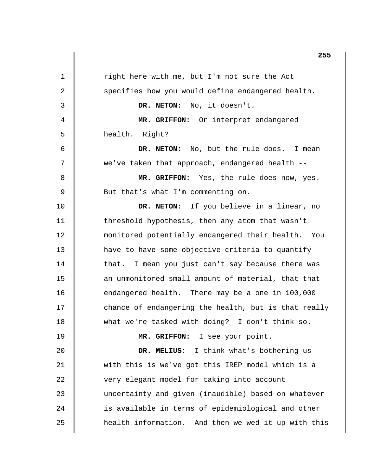1 2 3 4 5 6 7 8 9 10 11 12 13 14 15 16 17 18 19 20 21 22 23 24 25 right here with me, but I'm not sure the Act specifies how you would define endangered health. **DR. NETON:** No, it doesn't. **MR. GRIFFON:** Or interpret endangered health. Right? **DR. NETON:** No, but the rule does. I mean we've taken that approach, endangered health - **MR. GRIFFON:** Yes, the rule does now, yes. But that's what I'm commenting on. **DR. NETON:** If you believe in a linear, no threshold hypothesis, then any atom that wasn't monitored potentially endangered their health. You have to have some objective criteria to quantify that. I mean you just can't say because there was an unmonitored small amount of material, that that endangered health. There may be a one in 100,000 chance of endangering the health, but is that really what we're tasked with doing? I don't think so. **MR. GRIFFON:** I see your point. **DR. MELIUS:** I think what's bothering us with this is we've got this IREP model which is a very elegant model for taking into account uncertainty and given (inaudible) based on whatever is available in terms of epidemiological and other health information. And then we wed it up with this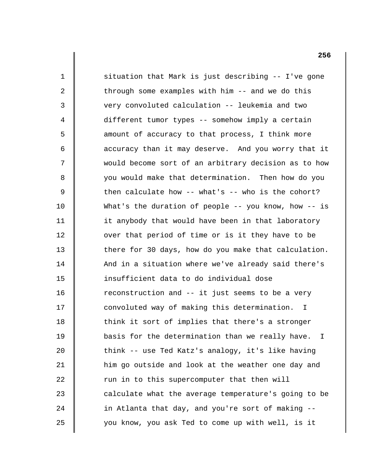situation that Mark is just describing -- I've gone through some examples with him -- and we do this very convoluted calculation -- leukemia and two different tumor types -- somehow imply a certain amount of accuracy to that process, I think more accuracy than it may deserve. And you worry that it would become sort of an arbitrary decision as to how you would make that determination. Then how do you then calculate how -- what's -- who is the cohort? What's the duration of people -- you know, how -- is it anybody that would have been in that laboratory over that period of time or is it they have to be there for 30 days, how do you make that calculation. And in a situation where we've already said there's insufficient data to do individual dose reconstruction and -- it just seems to be a very convoluted way of making this determination. I think it sort of implies that there's a stronger basis for the determination than we really have. I think -- use Ted Katz's analogy, it's like having him go outside and look at the weather one day and run in to this supercomputer that then will calculate what the average temperature's going to be in Atlanta that day, and you're sort of making you know, you ask Ted to come up with well, is it

1

2

3

4

5

6

7

8

9

10

11

12

13

14

15

16

17

18

19

20

21

22

23

24

25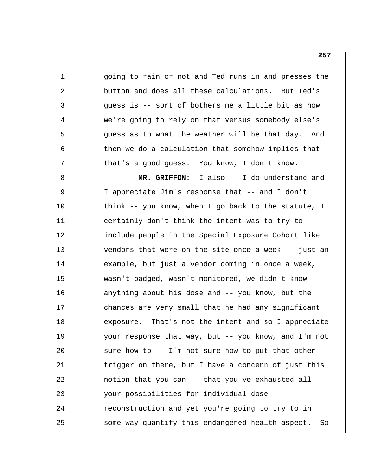going to rain or not and Ted runs in and presses the button and does all these calculations. But Ted's guess is -- sort of bothers me a little bit as how we're going to rely on that versus somebody else's guess as to what the weather will be that day. And then we do a calculation that somehow implies that that's a good guess. You know, I don't know.

1

2

3

4

5

6

7

8

9

10

11

12

13

14

15

16

17

18

19

20

21

22

23

24

25

**MR. GRIFFON:** I also -- I do understand and I appreciate Jim's response that -- and I don't think -- you know, when I go back to the statute, I certainly don't think the intent was to try to include people in the Special Exposure Cohort like vendors that were on the site once a week -- just an example, but just a vendor coming in once a week, wasn't badged, wasn't monitored, we didn't know anything about his dose and -- you know, but the chances are very small that he had any significant exposure. That's not the intent and so I appreciate your response that way, but -- you know, and I'm not sure how to -- I'm not sure how to put that other trigger on there, but I have a concern of just this notion that you can -- that you've exhausted all your possibilities for individual dose reconstruction and yet you're going to try to in some way quantify this endangered health aspect. So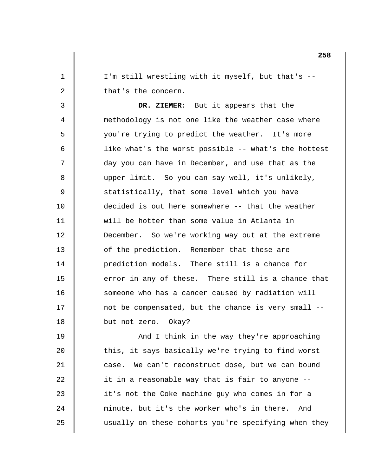I'm still wrestling with it myself, but that's that's the concern.

1

2

3

4

5

6

7

8

9

10

11

12

13

14

15

16

17

18

19

20

21

22

23

24

25

**DR. ZIEMER:** But it appears that the methodology is not one like the weather case where you're trying to predict the weather. It's more like what's the worst possible -- what's the hottest day you can have in December, and use that as the upper limit. So you can say well, it's unlikely, statistically, that some level which you have decided is out here somewhere -- that the weather will be hotter than some value in Atlanta in December. So we're working way out at the extreme of the prediction. Remember that these are prediction models. There still is a chance for error in any of these. There still is a chance that someone who has a cancer caused by radiation will not be compensated, but the chance is very small but not zero. Okay?

And I think in the way they're approaching this, it says basically we're trying to find worst case. We can't reconstruct dose, but we can bound it in a reasonable way that is fair to anyone it's not the Coke machine guy who comes in for a minute, but it's the worker who's in there. And usually on these cohorts you're specifying when they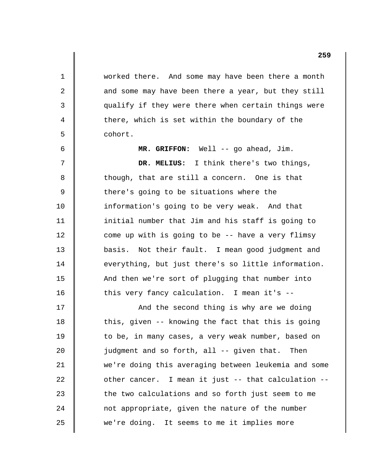worked there. And some may have been there a month and some may have been there a year, but they still qualify if they were there when certain things were there, which is set within the boundary of the cohort.

**MR. GRIFFON:** Well -- go ahead, Jim.

1

2

3

4

5

6

7

8

9

10

11

12

13

14

15

16

**DR. MELIUS:** I think there's two things, though, that are still a concern. One is that there's going to be situations where the information's going to be very weak. And that initial number that Jim and his staff is going to come up with is going to be -- have a very flimsy basis. Not their fault. I mean good judgment and everything, but just there's so little information. And then we're sort of plugging that number into this very fancy calculation. I mean it's -

17 18 19 20 21 22 23 24 25 And the second thing is why are we doing this, given -- knowing the fact that this is going to be, in many cases, a very weak number, based on judgment and so forth, all -- given that. Then we're doing this averaging between leukemia and some other cancer. I mean it just -- that calculation the two calculations and so forth just seem to me not appropriate, given the nature of the number we're doing. It seems to me it implies more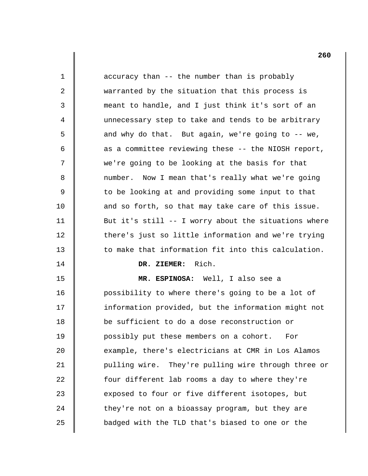| 1  | accuracy than -- the number than is probably         |
|----|------------------------------------------------------|
| 2  | warranted by the situation that this process is      |
| 3  | meant to handle, and I just think it's sort of an    |
| 4  | unnecessary step to take and tends to be arbitrary   |
| 5  | and why do that. But again, we're going to -- we,    |
| 6  | as a committee reviewing these -- the NIOSH report,  |
| 7  | we're going to be looking at the basis for that      |
| 8  | number. Now I mean that's really what we're going    |
| 9  | to be looking at and providing some input to that    |
| 10 | and so forth, so that may take care of this issue.   |
| 11 | But it's still -- I worry about the situations where |
| 12 | there's just so little information and we're trying  |
| 13 | to make that information fit into this calculation.  |
| 14 | DR. ZIEMER: Rich.                                    |
| 15 | MR. ESPINOSA: Well, I also see a                     |
| 16 | possibility to where there's going to be a lot of    |
| 17 | information provided, but the information might not  |
| 18 | be sufficient to do a dose reconstruction or         |
| 19 | possibly put these members on a cohort. For          |
| 20 | example, there's electricians at CMR in Los Alamos   |
| 21 | pulling wire. They're pulling wire through three or  |
| 22 | four different lab rooms a day to where they're      |
| 23 | exposed to four or five different isotopes, but      |
| 24 | they're not on a bioassay program, but they are      |
| 25 | badged with the TLD that's biased to one or the      |
|    |                                                      |

 $\begin{array}{c} \hline \end{array}$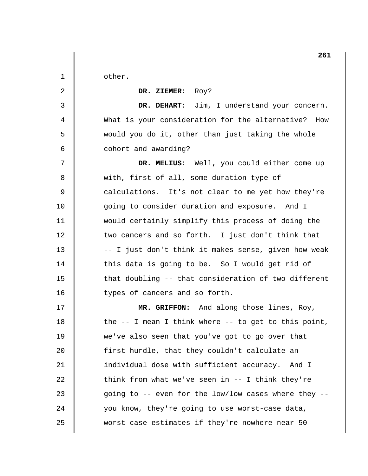| 1           | other.                                                     |
|-------------|------------------------------------------------------------|
| 2           | DR. ZIEMER: Roy?                                           |
| 3           | DR. DEHART: Jim, I understand your concern.                |
| 4           | What is your consideration for the alternative? How        |
| 5           | would you do it, other than just taking the whole          |
| 6           | cohort and awarding?                                       |
| 7           | DR. MELIUS: Well, you could either come up                 |
| 8           | with, first of all, some duration type of                  |
| $\mathsf 9$ | calculations. It's not clear to me yet how they're         |
| 10          | going to consider duration and exposure. And I             |
| 11          | would certainly simplify this process of doing the         |
| 12          | two cancers and so forth. I just don't think that          |
| 13          | -- I just don't think it makes sense, given how weak       |
| 14          | this data is going to be. So I would get rid of            |
| 15          | that doubling -- that consideration of two different       |
| 16          | types of cancers and so forth.                             |
| 17          | MR. GRIFFON: And along those lines, Roy,                   |
| 18          | the $-$ - I mean I think where $-$ - to get to this point, |
| 19          | we've also seen that you've got to go over that            |
| 20          | first hurdle, that they couldn't calculate an              |
| 21          | individual dose with sufficient accuracy.<br>And I         |
| 22          | think from what we've seen in $--$ I think they're         |
| 23          | going to -- even for the low/low cases where they --       |
| 24          | you know, they're going to use worst-case data,            |
| 25          | worst-case estimates if they're nowhere near 50            |

 $\begin{array}{c} \hline \end{array}$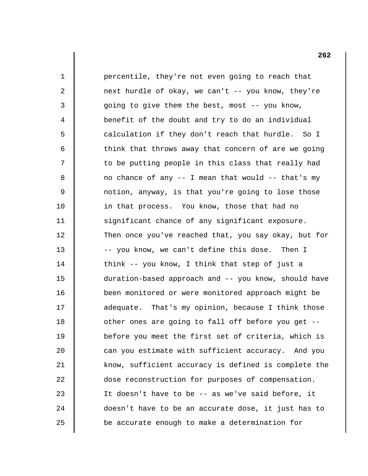percentile, they're not even going to reach that next hurdle of okay, we can't -- you know, they're going to give them the best, most -- you know, benefit of the doubt and try to do an individual calculation if they don't reach that hurdle. So I think that throws away that concern of are we going to be putting people in this class that really had no chance of any -- I mean that would -- that's my notion, anyway, is that you're going to lose those in that process. You know, those that had no significant chance of any significant exposure. Then once you've reached that, you say okay, but for -- you know, we can't define this dose. Then I think -- you know, I think that step of just a duration-based approach and -- you know, should have been monitored or were monitored approach might be adequate. That's my opinion, because I think those other ones are going to fall off before you get before you meet the first set of criteria, which is can you estimate with sufficient accuracy. And you know, sufficient accuracy is defined is complete the dose reconstruction for purposes of compensation. It doesn't have to be -- as we've said before, it doesn't have to be an accurate dose, it just has to be accurate enough to make a determination for

1

2

3

4

5

6

7

8

9

10

11

12

13

14

15

16

17

18

19

20

21

22

23

24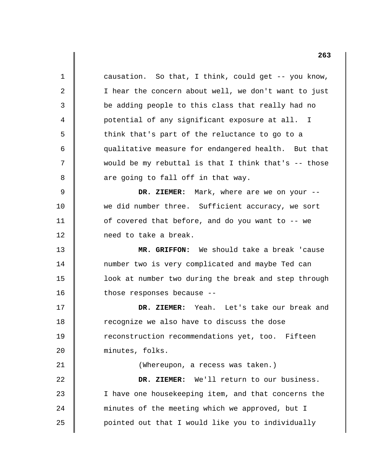1 2 3 4 5 6 7 8 9 10 11 12 13 14 15 16 17 18 19 20 21 22 23 24 25 causation. So that, I think, could get -- you know, I hear the concern about well, we don't want to just be adding people to this class that really had no potential of any significant exposure at all. I think that's part of the reluctance to go to a qualitative measure for endangered health. But that would be my rebuttal is that I think that's -- those are going to fall off in that way. DR. ZIEMER: Mark, where are we on your -we did number three. Sufficient accuracy, we sort of covered that before, and do you want to -- we need to take a break. **MR. GRIFFON:** We should take a break 'cause number two is very complicated and maybe Ted can look at number two during the break and step through those responses because - **DR. ZIEMER:** Yeah. Let's take our break and recognize we also have to discuss the dose reconstruction recommendations yet, too. Fifteen minutes, folks. (Whereupon, a recess was taken.) **DR. ZIEMER:** We'll return to our business. I have one housekeeping item, and that concerns the minutes of the meeting which we approved, but I pointed out that I would like you to individually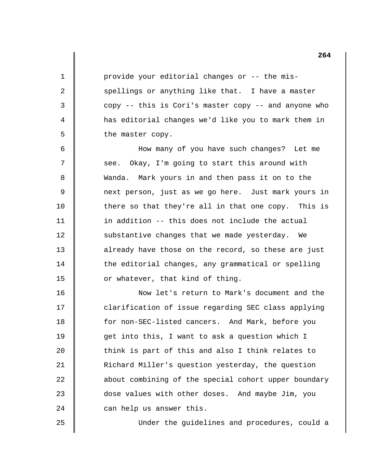provide your editorial changes or -- the misspellings or anything like that. I have a master copy -- this is Cori's master copy -- and anyone who has editorial changes we'd like you to mark them in the master copy.

1

2

3

4

5

6

8

9

10

11

12

13

14

15

16

17

18

19

20

21

22

23

24

25

7 see. Okay, I'm going to start this around with How many of you have such changes? Let me Wanda. Mark yours in and then pass it on to the next person, just as we go here. Just mark yours in there so that they're all in that one copy. This is in addition -- this does not include the actual substantive changes that we made yesterday. We already have those on the record, so these are just the editorial changes, any grammatical or spelling or whatever, that kind of thing.

Now let's return to Mark's document and the clarification of issue regarding SEC class applying for non-SEC-listed cancers. And Mark, before you get into this, I want to ask a question which I think is part of this and also I think relates to Richard Miller's question yesterday, the question about combining of the special cohort upper boundary dose values with other doses. And maybe Jim, you can help us answer this.

Under the guidelines and procedures, could a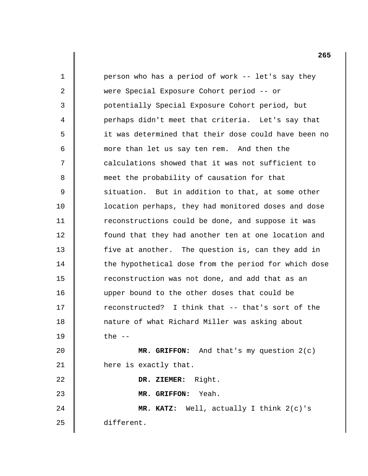1 2 3 4 5 6 7 8 9 10 11 12 13 14 15 16 17 18 19 20 21 22 23  $2.4$ 25 person who has a period of work -- let's say they were Special Exposure Cohort period -- or potentially Special Exposure Cohort period, but perhaps didn't meet that criteria. Let's say that it was determined that their dose could have been no more than let us say ten rem. And then the calculations showed that it was not sufficient to meet the probability of causation for that situation. But in addition to that, at some other location perhaps, they had monitored doses and dose reconstructions could be done, and suppose it was found that they had another ten at one location and five at another. The question is, can they add in the hypothetical dose from the period for which dose reconstruction was not done, and add that as an upper bound to the other doses that could be reconstructed? I think that -- that's sort of the nature of what Richard Miller was asking about the  $--$ **MR. GRIFFON:** And that's my question 2(c) here is exactly that. **DR. ZIEMER:** Right. **MR. GRIFFON:** Yeah. **MR. KATZ:** Well, actually I think 2(c)'s different.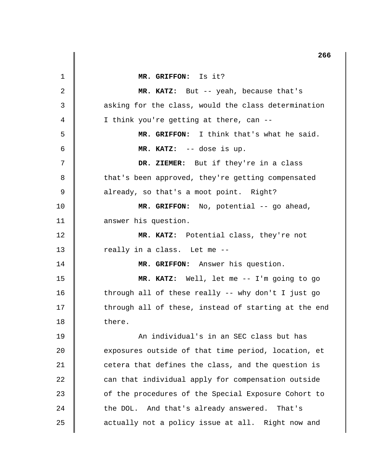| 1  | MR. GRIFFON: Is it?                                  |
|----|------------------------------------------------------|
| 2  | MR. KATZ: But -- yeah, because that's                |
| 3  | asking for the class, would the class determination  |
| 4  | I think you're getting at there, can --              |
| 5  | MR. GRIFFON: I think that's what he said.            |
| 6  | MR. KATZ: -- dose is up.                             |
| 7  | DR. ZIEMER: But if they're in a class                |
| 8  | that's been approved, they're getting compensated    |
| 9  | already, so that's a moot point. Right?              |
| 10 | MR. GRIFFON: No, potential -- go ahead,              |
| 11 | answer his question.                                 |
| 12 | MR. KATZ: Potential class, they're not               |
| 13 | really in a class. Let me --                         |
| 14 | MR. GRIFFON: Answer his question.                    |
| 15 | MR. KATZ: Well, let me -- I'm going to go            |
| 16 | through all of these really -- why don't I just go   |
| 17 | through all of these, instead of starting at the end |
| 18 | there.                                               |
| 19 | An individual's in an SEC class but has              |
| 20 | exposures outside of that time period, location, et  |
| 21 | cetera that defines the class, and the question is   |
| 22 | can that individual apply for compensation outside   |
| 23 | of the procedures of the Special Exposure Cohort to  |
| 24 | the DOL. And that's already answered. That's         |
| 25 | actually not a policy issue at all. Right now and    |
|    |                                                      |

 $\begin{array}{c} \hline \end{array}$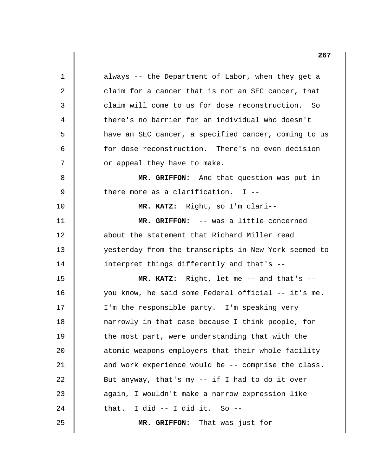1 2 3 4 5 6 7 8 9 10 11 12 13 14 15 16 17 18 19 20 21 22 23 24 25 always -- the Department of Labor, when they get a claim for a cancer that is not an SEC cancer, that claim will come to us for dose reconstruction. So there's no barrier for an individual who doesn't have an SEC cancer, a specified cancer, coming to us for dose reconstruction. There's no even decision or appeal they have to make. **MR. GRIFFON:** And that question was put in there more as a clarification. I - **MR. KATZ:** Right, so I'm clari- **MR. GRIFFON:** -- was a little concerned about the statement that Richard Miller read yesterday from the transcripts in New York seemed to interpret things differently and that's - **MR. KATZ:** Right, let me -- and that's you know, he said some Federal official -- it's me. I'm the responsible party. I'm speaking very narrowly in that case because I think people, for the most part, were understanding that with the atomic weapons employers that their whole facility and work experience would be -- comprise the class. But anyway, that's my -- if I had to do it over again, I wouldn't make a narrow expression like that. I did  $--$  I did it. So  $--$ **MR. GRIFFON:** That was just for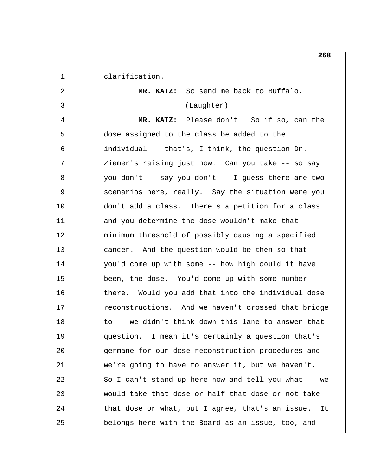1 2 3 4 5 6 7 8 9 10 11 12 13 14 15 16 17 18 19 20 21 22 23 24 25 clarification. **MR. KATZ:** So send me back to Buffalo. (Laughter) **MR. KATZ:** Please don't. So if so, can the dose assigned to the class be added to the individual -- that's, I think, the question Dr. Ziemer's raising just now. Can you take -- so say you don't -- say you don't -- I guess there are two scenarios here, really. Say the situation were you don't add a class. There's a petition for a class and you determine the dose wouldn't make that minimum threshold of possibly causing a specified cancer. And the question would be then so that you'd come up with some -- how high could it have been, the dose. You'd come up with some number there. Would you add that into the individual dose reconstructions. And we haven't crossed that bridge to -- we didn't think down this lane to answer that question. I mean it's certainly a question that's germane for our dose reconstruction procedures and we're going to have to answer it, but we haven't. So I can't stand up here now and tell you what -- we would take that dose or half that dose or not take that dose or what, but I agree, that's an issue. It belongs here with the Board as an issue, too, and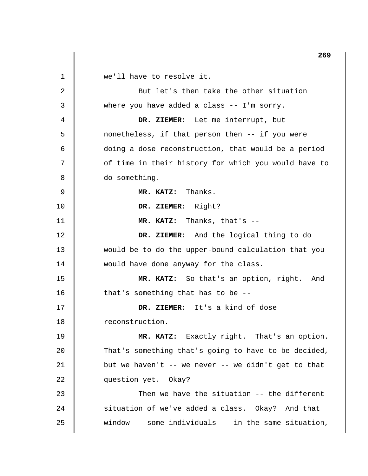1 2 3 4 5 6 7 8 9 10 11 12 13 14 15 16 17 18 19 20 21 22 23 24 25 we'll have to resolve it. But let's then take the other situation where you have added a class -- I'm sorry. **DR. ZIEMER:** Let me interrupt, but nonetheless, if that person then -- if you were doing a dose reconstruction, that would be a period of time in their history for which you would have to do something. **MR. KATZ:** Thanks. **DR. ZIEMER:** Right? **MR. KATZ:** Thanks, that's - **DR. ZIEMER:** And the logical thing to do would be to do the upper-bound calculation that you would have done anyway for the class. **MR. KATZ:** So that's an option, right. And that's something that has to be - **DR. ZIEMER:** It's a kind of dose reconstruction. **MR. KATZ:** Exactly right. That's an option. That's something that's going to have to be decided, but we haven't  $-$ - we never  $-$ - we didn't get to that question yet. Okay? Then we have the situation -- the different situation of we've added a class. Okay? And that window -- some individuals -- in the same situation,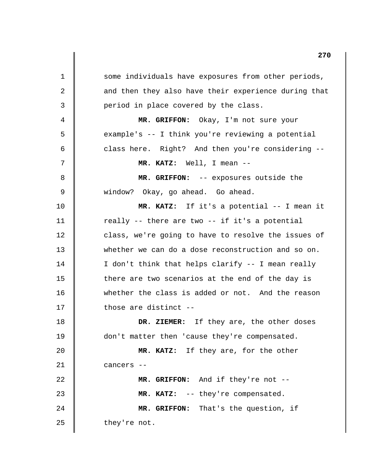1 2 3 4 5 6 7 8 9 10 11 12 13 14 15 16 17 18 19 20 21 22 23 24 25 some individuals have exposures from other periods, and then they also have their experience during that period in place covered by the class. **MR. GRIFFON:** Okay, I'm not sure your example's -- I think you're reviewing a potential class here. Right? And then you're considering - **MR. KATZ:** Well, I mean - **MR. GRIFFON:** -- exposures outside the window? Okay, go ahead. Go ahead. **MR. KATZ:** If it's a potential -- I mean it really -- there are two -- if it's a potential class, we're going to have to resolve the issues of whether we can do a dose reconstruction and so on. I don't think that helps clarify -- I mean really there are two scenarios at the end of the day is whether the class is added or not. And the reason those are distinct - **DR. ZIEMER:** If they are, the other doses don't matter then 'cause they're compensated. **MR. KATZ:** If they are, for the other cancers - **MR. GRIFFON:** And if they're not - **MR. KATZ:** -- they're compensated. **MR. GRIFFON:** That's the question, if they're not.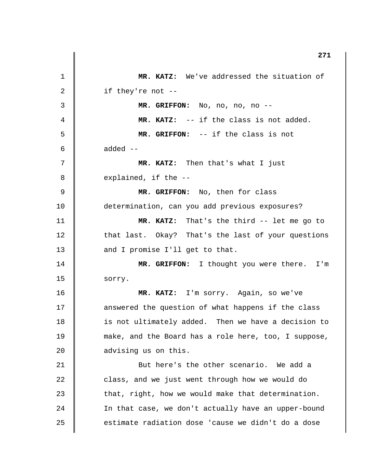| $\mathbf 1$<br>MR. KATZ: We've addressed the situation of<br>2<br>if they're not $-$<br>3<br>MR. GRIFFON: No, no, no, no -- |  |
|-----------------------------------------------------------------------------------------------------------------------------|--|
|                                                                                                                             |  |
|                                                                                                                             |  |
|                                                                                                                             |  |
| MR. KATZ: -- if the class is not added.<br>4                                                                                |  |
| 5<br>MR. GRIFFON: -- if the class is not                                                                                    |  |
| added $--$<br>6                                                                                                             |  |
| 7<br>MR. KATZ: Then that's what I just                                                                                      |  |
| 8<br>explained, if the --                                                                                                   |  |
| 9<br>MR. GRIFFON: No, then for class                                                                                        |  |
| 10<br>determination, can you add previous exposures?                                                                        |  |
| 11<br>MR. KATZ: That's the third -- let me go to                                                                            |  |
| 12<br>that last. Okay? That's the last of your questions                                                                    |  |
| 13<br>and I promise I'll get to that.                                                                                       |  |
| 14<br>MR. GRIFFON: I thought you were there. I'm                                                                            |  |
| 15<br>sorry.                                                                                                                |  |
| 16<br>MR. KATZ: I'm sorry. Again, so we've                                                                                  |  |
| 17<br>answered the question of what happens if the class                                                                    |  |
| is not ultimately added. Then we have a decision to<br>18                                                                   |  |
| 19<br>make, and the Board has a role here, too, I suppose,                                                                  |  |
| 20<br>advising us on this.                                                                                                  |  |
| 21<br>But here's the other scenario. We add a                                                                               |  |
| 22<br>class, and we just went through how we would do                                                                       |  |
| 23<br>that, right, how we would make that determination.                                                                    |  |
| 24<br>In that case, we don't actually have an upper-bound                                                                   |  |
| 25<br>estimate radiation dose 'cause we didn't do a dose                                                                    |  |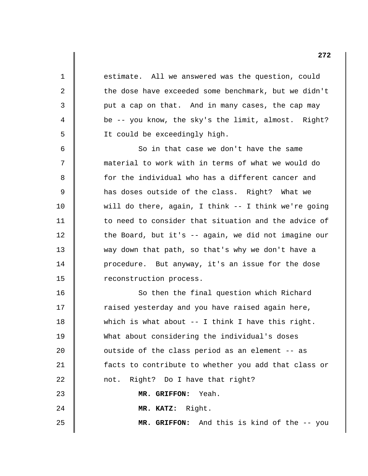1 2 3 4 5 6 7 8 9 10 11 12 13 14 15 16 17 18 19 20 21 22 23  $2.4$ 25 estimate. All we answered was the question, could the dose have exceeded some benchmark, but we didn't put a cap on that. And in many cases, the cap may be -- you know, the sky's the limit, almost. Right? It could be exceedingly high. So in that case we don't have the same material to work with in terms of what we would do for the individual who has a different cancer and has doses outside of the class. Right? What we will do there, again, I think -- I think we're going to need to consider that situation and the advice of the Board, but it's -- again, we did not imagine our way down that path, so that's why we don't have a procedure. But anyway, it's an issue for the dose reconstruction process. So then the final question which Richard raised yesterday and you have raised again here, which is what about -- I think I have this right. What about considering the individual's doses outside of the class period as an element -- as facts to contribute to whether you add that class or not. Right? Do I have that right? **MR. GRIFFON:** Yeah. **MR. KATZ:** Right.

**MR. GRIFFON:** And this is kind of the -- you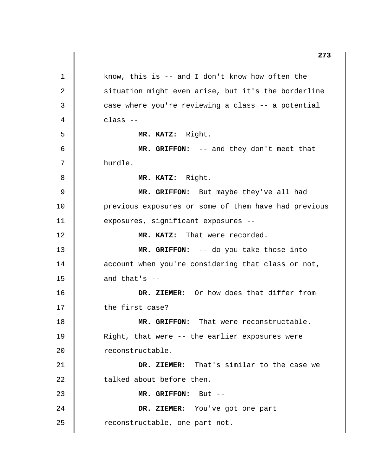1 2 3 4 5 6 7 8 9 10 11 12 13 14 15 16 17 18 19 20 21 22 23 24 25 know, this is -- and I don't know how often the situation might even arise, but it's the borderline case where you're reviewing a class -- a potential class - **MR. KATZ:** Right. **MR. GRIFFON:** -- and they don't meet that hurdle. **MR. KATZ:** Right. **MR. GRIFFON:** But maybe they've all had previous exposures or some of them have had previous exposures, significant exposures - **MR. KATZ:** That were recorded. **MR. GRIFFON:** -- do you take those into account when you're considering that class or not, and that's  $-$ **DR. ZIEMER:** Or how does that differ from the first case? **MR. GRIFFON:** That were reconstructable. Right, that were -- the earlier exposures were reconstructable. **DR. ZIEMER:** That's similar to the case we talked about before then. **MR. GRIFFON:** But - **DR. ZIEMER:** You've got one part reconstructable, one part not.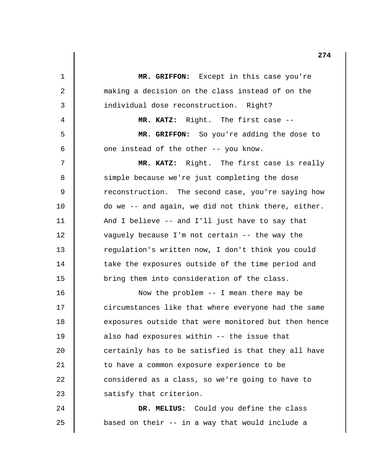|    | 274                                                  |
|----|------------------------------------------------------|
| 1  | MR. GRIFFON: Except in this case you're              |
| 2  | making a decision on the class instead of on the     |
| 3  | individual dose reconstruction. Right?               |
| 4  | MR. KATZ: Right. The first case --                   |
| 5  | MR. GRIFFON: So you're adding the dose to            |
| 6  | one instead of the other -- you know.                |
| 7  | MR. KATZ: Right. The first case is really            |
| 8  | simple because we're just completing the dose        |
| 9  | reconstruction. The second case, you're saying how   |
| 10 | do we -- and again, we did not think there, either.  |
| 11 | And I believe -- and I'll just have to say that      |
| 12 | vaguely because I'm not certain -- the way the       |
| 13 | regulation's written now, I don't think you could    |
| 14 | take the exposures outside of the time period and    |
| 15 | bring them into consideration of the class.          |
| 16 | Now the problem $--$ I mean there may be             |
| 17 | circumstances like that where everyone had the same  |
| 18 | exposures outside that were monitored but then hence |
| 19 | also had exposures within -- the issue that          |
| 20 | certainly has to be satisfied is that they all have  |
| 21 | to have a common exposure experience to be           |
| 22 | considered as a class, so we're going to have to     |
| 23 | satisfy that criterion.                              |
| 24 | DR. MELIUS: Could you define the class               |
| 25 | based on their -- in a way that would include a      |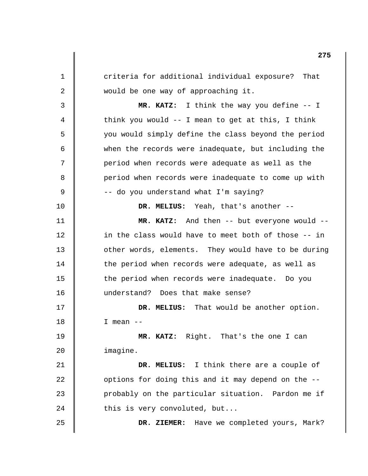1 2 3 4 5 6 7 8 9 10 11 12 13 14 15 16 17 18 19 20 21 22 23 24 25 criteria for additional individual exposure? That would be one way of approaching it. **MR. KATZ:** I think the way you define -- I think you would -- I mean to get at this, I think you would simply define the class beyond the period when the records were inadequate, but including the period when records were adequate as well as the period when records were inadequate to come up with -- do you understand what I'm saying? **DR. MELIUS:** Yeah, that's another - **MR. KATZ:** And then -- but everyone would in the class would have to meet both of those -- in other words, elements. They would have to be during the period when records were adequate, as well as the period when records were inadequate. Do you understand? Does that make sense? **DR. MELIUS:** That would be another option.  $I$  mean  $-$ **MR. KATZ:** Right. That's the one I can imagine. **DR. MELIUS:** I think there are a couple of options for doing this and it may depend on the probably on the particular situation. Pardon me if this is very convoluted, but... **DR. ZIEMER:** Have we completed yours, Mark?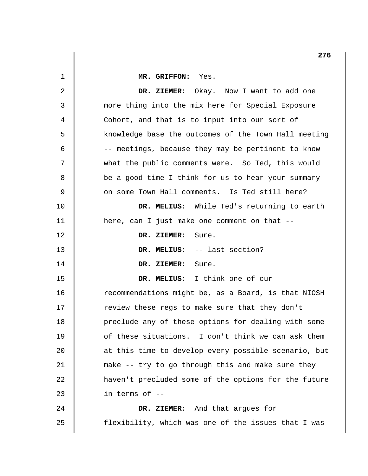|    | 276                                                  |
|----|------------------------------------------------------|
| 1  | MR. GRIFFON: Yes.                                    |
| 2  | DR. ZIEMER: Okay. Now I want to add one              |
| 3  | more thing into the mix here for Special Exposure    |
| 4  | Cohort, and that is to input into our sort of        |
| 5  | knowledge base the outcomes of the Town Hall meeting |
| 6  | -- meetings, because they may be pertinent to know   |
| 7  | what the public comments were. So Ted, this would    |
| 8  | be a good time I think for us to hear your summary   |
| 9  | on some Town Hall comments. Is Ted still here?       |
| 10 | DR. MELIUS: While Ted's returning to earth           |
| 11 | here, can I just make one comment on that --         |
| 12 | DR. ZIEMER: Sure.                                    |
| 13 | DR. MELIUS: -- last section?                         |
| 14 | DR. ZIEMER: Sure.                                    |
| 15 | DR. MELIUS: I think one of our                       |
| 16 | recommendations might be, as a Board, is that NIOSH  |
| 17 | review these regs to make sure that they don't       |
| 18 | preclude any of these options for dealing with some  |
| 19 | of these situations. I don't think we can ask them   |
| 20 | at this time to develop every possible scenario, but |
| 21 | make -- try to go through this and make sure they    |
| 22 | haven't precluded some of the options for the future |
| 23 | in terms of --                                       |
| 24 | DR. ZIEMER: And that argues for                      |
| 25 | flexibility, which was one of the issues that I was  |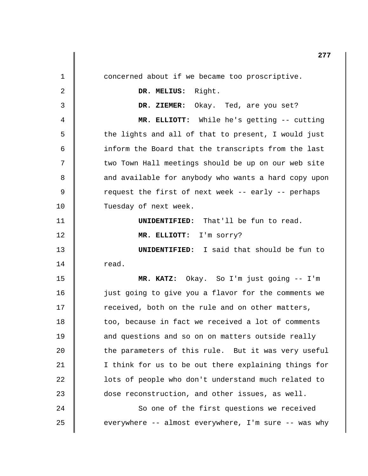1 2 3 4 5 6 7 8 9 10 11 12 13 14 15 16 17 18 19 20 21 22 23 24 25 concerned about if we became too proscriptive. **DR. MELIUS:** Right. **DR. ZIEMER:** Okay. Ted, are you set? **MR. ELLIOTT:** While he's getting -- cutting the lights and all of that to present, I would just inform the Board that the transcripts from the last two Town Hall meetings should be up on our web site and available for anybody who wants a hard copy upon request the first of next week -- early -- perhaps Tuesday of next week. **UNIDENTIFIED:** That'll be fun to read. **MR. ELLIOTT:** I'm sorry? **UNIDENTIFIED:** I said that should be fun to read. **MR. KATZ:** Okay. So I'm just going -- I'm just going to give you a flavor for the comments we received, both on the rule and on other matters, too, because in fact we received a lot of comments and questions and so on on matters outside really the parameters of this rule. But it was very useful I think for us to be out there explaining things for lots of people who don't understand much related to dose reconstruction, and other issues, as well. So one of the first questions we received everywhere -- almost everywhere, I'm sure -- was why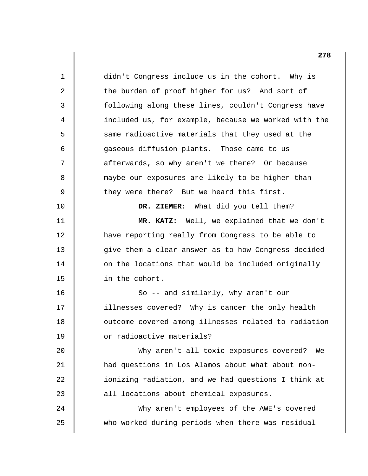1 2 3 4 5 6 7 8 9 10 11 12 13 14 15 16 17 18 19 20 21 22 23 24 25 didn't Congress include us in the cohort. Why is the burden of proof higher for us? And sort of following along these lines, couldn't Congress have included us, for example, because we worked with the same radioactive materials that they used at the gaseous diffusion plants. Those came to us afterwards, so why aren't we there? Or because maybe our exposures are likely to be higher than they were there? But we heard this first. **DR. ZIEMER:** What did you tell them? **MR. KATZ:** Well, we explained that we don't have reporting really from Congress to be able to give them a clear answer as to how Congress decided on the locations that would be included originally in the cohort. So -- and similarly, why aren't our illnesses covered? Why is cancer the only health outcome covered among illnesses related to radiation or radioactive materials? Why aren't all toxic exposures covered? We had questions in Los Alamos about what about nonionizing radiation, and we had questions I think at all locations about chemical exposures. Why aren't employees of the AWE's covered who worked during periods when there was residual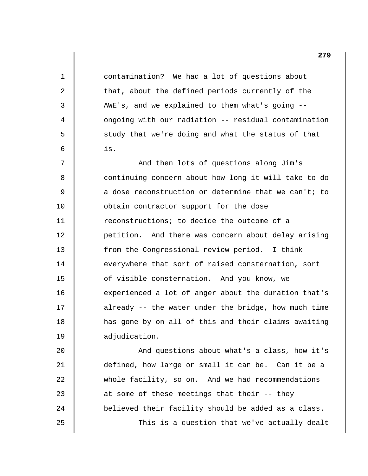contamination? We had a lot of questions about that, about the defined periods currently of the AWE's, and we explained to them what's going ongoing with our radiation -- residual contamination study that we're doing and what the status of that is.

1

2

3

4

5

6

7

8

9

10

11

12

13

14

15

16

17

18

19

And then lots of questions along Jim's continuing concern about how long it will take to do a dose reconstruction or determine that we can't; to obtain contractor support for the dose reconstructions; to decide the outcome of a petition. And there was concern about delay arising from the Congressional review period. I think everywhere that sort of raised consternation, sort of visible consternation. And you know, we experienced a lot of anger about the duration that's already -- the water under the bridge, how much time has gone by on all of this and their claims awaiting adjudication.

20 21 22 23 24 25 And questions about what's a class, how it's defined, how large or small it can be. Can it be a whole facility, so on. And we had recommendations at some of these meetings that their -- they believed their facility should be added as a class. This is a question that we've actually dealt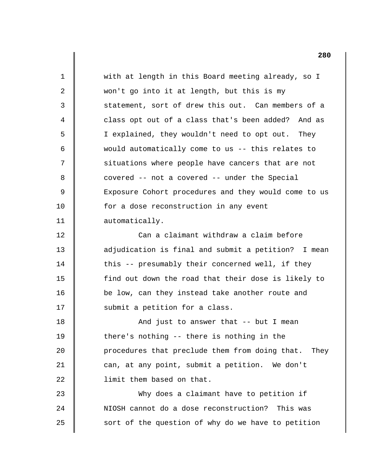| $\mathbf 1$ | with at length in this Board meeting already, so I    |
|-------------|-------------------------------------------------------|
| 2           | won't go into it at length, but this is my            |
| 3           | statement, sort of drew this out. Can members of a    |
| 4           | class opt out of a class that's been added?<br>And as |
| 5           | I explained, they wouldn't need to opt out. They      |
| 6           | would automatically come to us -- this relates to     |
| 7           | situations where people have cancers that are not     |
| 8           | covered -- not a covered -- under the Special         |
| 9           | Exposure Cohort procedures and they would come to us  |
| 10          | for a dose reconstruction in any event                |
| 11          | automatically.                                        |
| 12          | Can a claimant withdraw a claim before                |
| 13          | adjudication is final and submit a petition? I mean   |
| 14          | this -- presumably their concerned well, if they      |
| 15          | find out down the road that their dose is likely to   |
| 16          | be low, can they instead take another route and       |
| 17          | submit a petition for a class.                        |
| 18          | And just to answer that $--$ but I mean               |
| 19          | there's nothing -- there is nothing in the            |
| 20          | procedures that preclude them from doing that. They   |
| 21          | can, at any point, submit a petition. We don't        |
| 22          | limit them based on that.                             |
| 23          | Why does a claimant have to petition if               |
| 24          | NIOSH cannot do a dose reconstruction? This was       |
| 25          | sort of the question of why do we have to petition    |
|             |                                                       |

 $\parallel$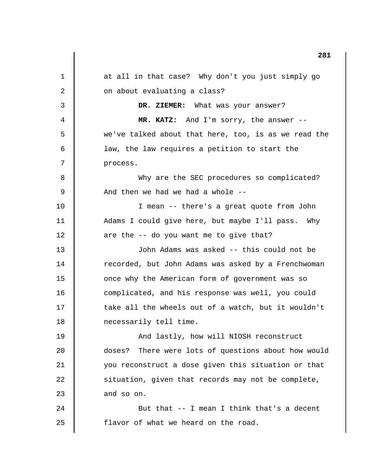1 2 3 4 5 6 7 8 9 10 11 12 13 14 15 16 17 18 19 20 21 22 23 24 25 at all in that case? Why don't you just simply go on about evaluating a class? **DR. ZIEMER:** What was your answer? **MR. KATZ:** And I'm sorry, the answer we've talked about that here, too, is as we read the law, the law requires a petition to start the process. Why are the SEC procedures so complicated? And then we had we had a whole - I mean -- there's a great quote from John Adams I could give here, but maybe I'll pass. Why are the -- do you want me to give that? John Adams was asked -- this could not be recorded, but John Adams was asked by a Frenchwoman once why the American form of government was so complicated, and his response was well, you could take all the wheels out of a watch, but it wouldn't necessarily tell time. And lastly, how will NIOSH reconstruct doses? There were lots of questions about how would you reconstruct a dose given this situation or that situation, given that records may not be complete, and so on. But that -- I mean I think that's a decent flavor of what we heard on the road.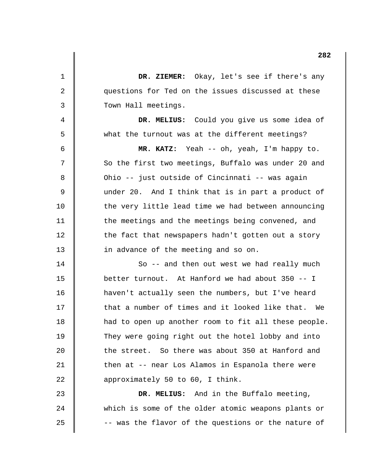|    | 282                                                   |
|----|-------------------------------------------------------|
| 1  | DR. ZIEMER: Okay, let's see if there's any            |
| 2  | questions for Ted on the issues discussed at these    |
| 3  | Town Hall meetings.                                   |
| 4  | DR. MELIUS: Could you give us some idea of            |
| 5  | what the turnout was at the different meetings?       |
| 6  | MR. KATZ: Yeah -- oh, yeah, I'm happy to.             |
| 7  | So the first two meetings, Buffalo was under 20 and   |
| 8  | Ohio -- just outside of Cincinnati -- was again       |
| 9  | under 20. And I think that is in part a product of    |
| 10 | the very little lead time we had between announcing   |
| 11 | the meetings and the meetings being convened, and     |
| 12 | the fact that newspapers hadn't gotten out a story    |
| 13 | in advance of the meeting and so on.                  |
| 14 | So -- and then out west we had really much            |
| 15 | better turnout. At Hanford we had about 350 -- I      |
| 16 | haven't actually seen the numbers, but I've heard     |
| 17 | that a number of times and it looked like that.<br>We |
| 18 | had to open up another room to fit all these people.  |
| 19 | They were going right out the hotel lobby and into    |
| 20 | the street. So there was about 350 at Hanford and     |
| 21 | then at -- near Los Alamos in Espanola there were     |
| 22 | approximately 50 to 60, I think.                      |
| 23 | DR. MELIUS: And in the Buffalo meeting,               |
| 24 | which is some of the older atomic weapons plants or   |
| 25 | -- was the flavor of the questions or the nature of   |
|    |                                                       |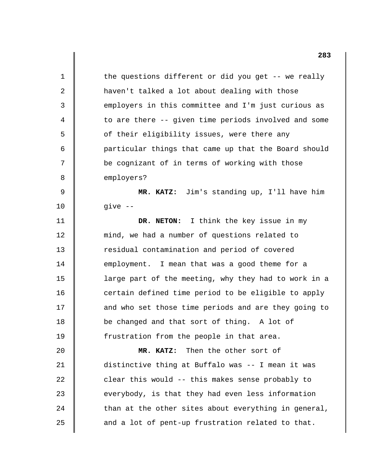| $\mathbf 1$ | the questions different or did you get -- we really  |
|-------------|------------------------------------------------------|
| 2           | haven't talked a lot about dealing with those        |
| 3           | employers in this committee and I'm just curious as  |
| 4           | to are there -- given time periods involved and some |
| 5           | of their eligibility issues, were there any          |
| 6           | particular things that came up that the Board should |
| 7           | be cognizant of in terms of working with those       |
| 8           | employers?                                           |
| 9           | MR. KATZ: Jim's standing up, I'll have him           |
| 10          | give $--$                                            |
| 11          | DR. NETON: I think the key issue in my               |
| 12          | mind, we had a number of questions related to        |
| 13          | residual contamination and period of covered         |
| 14          | employment. I mean that was a good theme for a       |
| 15          | large part of the meeting, why they had to work in a |
| 16          | certain defined time period to be eligible to apply  |
| 17          | and who set those time periods and are they going to |
| 18          | be changed and that sort of thing. A lot of          |
| 19          | frustration from the people in that area.            |
| 20          | MR. KATZ: Then the other sort of                     |
| 21          | distinctive thing at Buffalo was -- I mean it was    |
| 22          | clear this would -- this makes sense probably to     |
| 23          | everybody, is that they had even less information    |
| 24          | than at the other sites about everything in general, |
| 25          | and a lot of pent-up frustration related to that.    |
|             |                                                      |

 $\begin{array}{c} \hline \end{array}$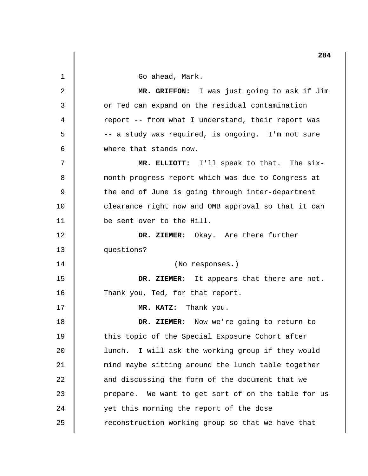| 284                                                 |
|-----------------------------------------------------|
| Go ahead, Mark.                                     |
| MR. GRIFFON: I was just going to ask if Jim         |
| or Ted can expand on the residual contamination     |
| report -- from what I understand, their report was  |
| -- a study was required, is ongoing. I'm not sure   |
| where that stands now.                              |
| MR. ELLIOTT: I'll speak to that. The six-           |
| month progress report which was due to Congress at  |
| the end of June is going through inter-department   |
| clearance right now and OMB approval so that it can |
| be sent over to the Hill.                           |
| DR. ZIEMER: Okay. Are there further                 |
| questions?                                          |
| (No responses.)                                     |
| DR. ZIEMER: It appears that there are not.          |
| Thank you, Ted, for that report.                    |
| MR. KATZ: Thank you.                                |
| DR. ZIEMER: Now we're going to return to            |
| this topic of the Special Exposure Cohort after     |
| lunch. I will ask the working group if they would   |
| mind maybe sitting around the lunch table together  |
| and discussing the form of the document that we     |
| prepare. We want to get sort of on the table for us |
| yet this morning the report of the dose             |
| reconstruction working group so that we have that   |
|                                                     |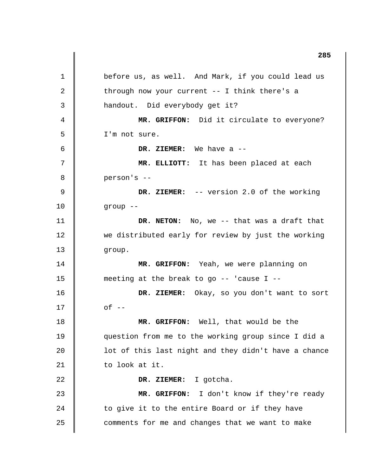1 2 3 4 5 6 7 8 9 10 11 12 13 14 15 16 17 18 19 20 21 22 23 24 25 before us, as well. And Mark, if you could lead us through now your current -- I think there's a handout. Did everybody get it? **MR. GRIFFON:** Did it circulate to everyone? I'm not sure. **DR. ZIEMER:** We have a - **MR. ELLIOTT:** It has been placed at each person's - **DR. ZIEMER:** -- version 2.0 of the working group - **DR. NETON:** No, we -- that was a draft that we distributed early for review by just the working group. **MR. GRIFFON:** Yeah, we were planning on meeting at the break to go  $-$  'cause I  $-$ **DR. ZIEMER:** Okay, so you don't want to sort  $of --$ **MR. GRIFFON:** Well, that would be the question from me to the working group since I did a lot of this last night and they didn't have a chance to look at it. **DR. ZIEMER:** I gotcha. **MR. GRIFFON:** I don't know if they're ready to give it to the entire Board or if they have comments for me and changes that we want to make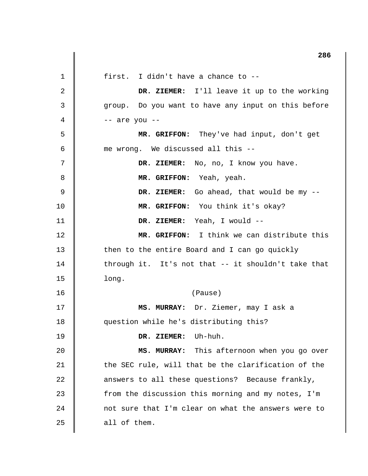1 2 3 4 5 6 7 8 9 10 11 12 13 14 15 16 17 18 19 20 21 22 23  $2.4$ 25 first. I didn't have a chance to - **DR. ZIEMER:** I'll leave it up to the working group. Do you want to have any input on this before -- are you - **MR. GRIFFON:** They've had input, don't get me wrong. We discussed all this - **DR. ZIEMER:** No, no, I know you have. **MR. GRIFFON:** Yeah, yeah. **DR. ZIEMER:** Go ahead, that would be my - **MR. GRIFFON:** You think it's okay? **DR. ZIEMER:** Yeah, I would - **MR. GRIFFON:** I think we can distribute this then to the entire Board and I can go quickly through it. It's not that -- it shouldn't take that long. (Pause) **MS. MURRAY:** Dr. Ziemer, may I ask a question while he's distributing this? **DR. ZIEMER:** Uh-huh. **MS. MURRAY:** This afternoon when you go over the SEC rule, will that be the clarification of the answers to all these questions? Because frankly, from the discussion this morning and my notes, I'm not sure that I'm clear on what the answers were to all of them.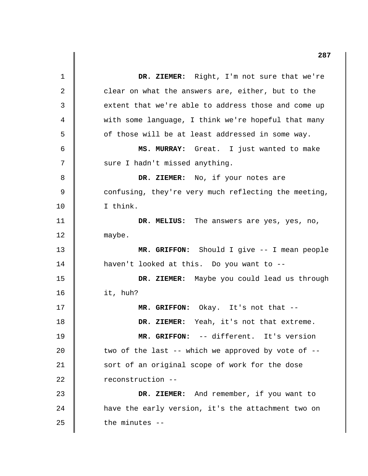1 2 3 4 5 6 7 8 9 10 11 12 13 14 15 16 17 18 19 20 21 22 23 24 25 **DR. ZIEMER:** Right, I'm not sure that we're clear on what the answers are, either, but to the extent that we're able to address those and come up with some language, I think we're hopeful that many of those will be at least addressed in some way. **MS. MURRAY:** Great. I just wanted to make sure I hadn't missed anything. **DR. ZIEMER:** No, if your notes are confusing, they're very much reflecting the meeting, I think. **DR. MELIUS:** The answers are yes, yes, no, maybe. **MR. GRIFFON:** Should I give -- I mean people haven't looked at this. Do you want to - **DR. ZIEMER:** Maybe you could lead us through it, huh? **MR. GRIFFON:** Okay. It's not that - **DR. ZIEMER:** Yeah, it's not that extreme. **MR. GRIFFON:** -- different. It's version two of the last -- which we approved by vote of sort of an original scope of work for the dose reconstruction - **DR. ZIEMER:** And remember, if you want to have the early version, it's the attachment two on the minutes -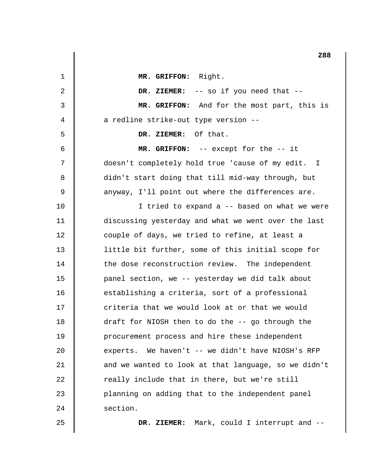|    | 288                                                  |
|----|------------------------------------------------------|
| 1  | MR. GRIFFON: Right.                                  |
| 2  | DR. ZIEMER: -- so if you need that --                |
| 3  | MR. GRIFFON: And for the most part, this is          |
| 4  | a redline strike-out type version --                 |
| 5  | DR. ZIEMER: Of that.                                 |
| 6  | MR. GRIFFON: -- except for the -- it                 |
| 7  | doesn't completely hold true 'cause of my edit. I    |
| 8  | didn't start doing that till mid-way through, but    |
| 9  | anyway, I'll point out where the differences are.    |
| 10 | I tried to expand a -- based on what we were         |
| 11 | discussing yesterday and what we went over the last  |
| 12 | couple of days, we tried to refine, at least a       |
| 13 | little bit further, some of this initial scope for   |
| 14 | the dose reconstruction review. The independent      |
| 15 | panel section, we -- yesterday we did talk about     |
| 16 | establishing a criteria, sort of a professional      |
| 17 | criteria that we would look at or that we would      |
| 18 | draft for NIOSH then to do the -- go through the     |
| 19 | procurement process and hire these independent       |
| 20 | experts. We haven't -- we didn't have NIOSH's RFP    |
| 21 | and we wanted to look at that language, so we didn't |
| 22 | really include that in there, but we're still        |
| 23 | planning on adding that to the independent panel     |
| 24 | section.                                             |
| 25 | DR. ZIEMER: Mark, could I interrupt and --           |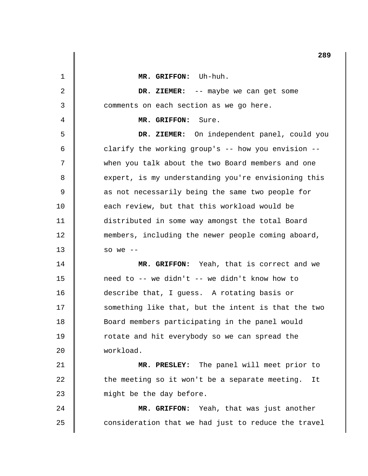|    | 289                                                  |
|----|------------------------------------------------------|
| 1  | MR. GRIFFON: Uh-huh.                                 |
| 2  | DR. ZIEMER: -- maybe we can get some                 |
| 3  | comments on each section as we go here.              |
| 4  | MR. GRIFFON: Sure.                                   |
| 5  | DR. ZIEMER: On independent panel, could you          |
| 6  | clarify the working group's -- how you envision --   |
| 7  | when you talk about the two Board members and one    |
| 8  | expert, is my understanding you're envisioning this  |
| 9  | as not necessarily being the same two people for     |
| 10 | each review, but that this workload would be         |
| 11 | distributed in some way amongst the total Board      |
| 12 | members, including the newer people coming aboard,   |
| 13 | so we $--$                                           |
| 14 | MR. GRIFFON: Yeah, that is correct and we            |
| 15 | need to -- we didn't -- we didn't know how to        |
| 16 | describe that, I guess. A rotating basis or          |
| 17 | something like that, but the intent is that the two  |
| 18 | Board members participating in the panel would       |
| 19 | rotate and hit everybody so we can spread the        |
| 20 | workload.                                            |
| 21 | MR. PRESLEY: The panel will meet prior to            |
| 22 | the meeting so it won't be a separate meeting.<br>It |
| 23 | might be the day before.                             |
| 24 | MR. GRIFFON: Yeah, that was just another             |
| 25 | consideration that we had just to reduce the travel  |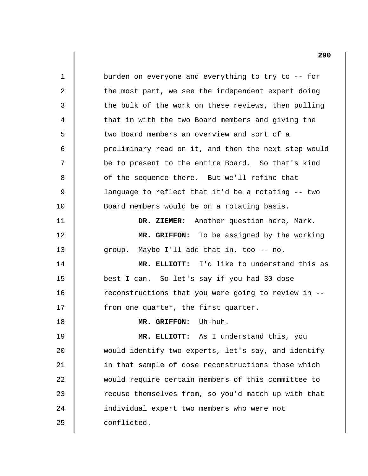1 2 3 4 5 6 7 8 9 10 11 12 13 14 15 16 17 18 19 20 21 22 23  $2.4$ 25 burden on everyone and everything to try to -- for the most part, we see the independent expert doing the bulk of the work on these reviews, then pulling that in with the two Board members and giving the two Board members an overview and sort of a preliminary read on it, and then the next step would be to present to the entire Board. So that's kind of the sequence there. But we'll refine that language to reflect that it'd be a rotating -- two Board members would be on a rotating basis. **DR. ZIEMER:** Another question here, Mark. **MR. GRIFFON:** To be assigned by the working group. Maybe I'll add that in, too -- no. **MR. ELLIOTT:** I'd like to understand this as best I can. So let's say if you had 30 dose reconstructions that you were going to review in from one quarter, the first quarter. **MR. GRIFFON:** Uh-huh. **MR. ELLIOTT:** As I understand this, you would identify two experts, let's say, and identify in that sample of dose reconstructions those which would require certain members of this committee to recuse themselves from, so you'd match up with that individual expert two members who were not conflicted.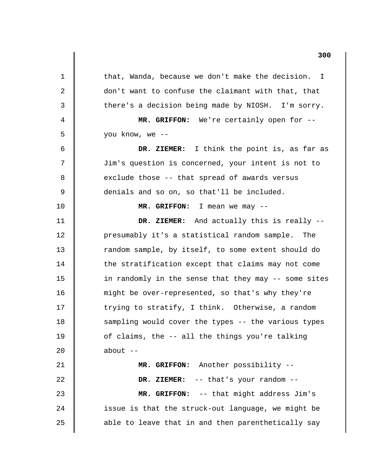that, Wanda, because we don't make the decision. I don't want to confuse the claimant with that, that there's a decision being made by NIOSH. I'm sorry. **MR. GRIFFON:** We're certainly open for you know, we - **DR. ZIEMER:** I think the point is, as far as Jim's question is concerned, your intent is not to exclude those -- that spread of awards versus denials and so on, so that'll be included. **MR. GRIFFON:** I mean we may - **DR. ZIEMER:** And actually this is really presumably it's a statistical random sample. The random sample, by itself, to some extent should do the stratification except that claims may not come in randomly in the sense that they may -- some sites might be over-represented, so that's why they're trying to stratify, I think. Otherwise, a random sampling would cover the types -- the various types of claims, the -- all the things you're talking about  $--$ **MR. GRIFFON:** Another possibility -

1

2

3

4

5

6

7

8

9

10

11

12

13

14

15

16

17

18

19

20

21

22

23

24

25

**DR. ZIEMER:** -- that's your random - **MR. GRIFFON:** -- that might address Jim's issue is that the struck-out language, we might be able to leave that in and then parenthetically say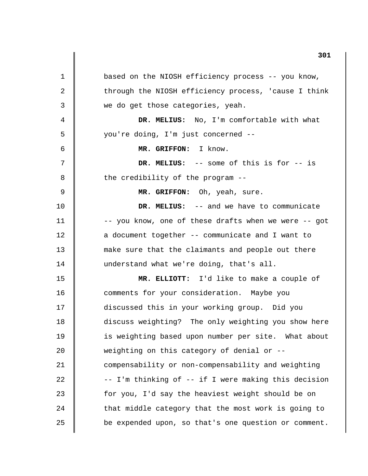1 2 3 4 5 6 7 8 9 10 11 12 13 14 15 16 17 18 19 20 21 22 23 24 25 based on the NIOSH efficiency process -- you know, through the NIOSH efficiency process, 'cause I think we do get those categories, yeah. **DR. MELIUS:** No, I'm comfortable with what you're doing, I'm just concerned - **MR. GRIFFON:** I know. **DR. MELIUS:** -- some of this is for -- is the credibility of the program - **MR. GRIFFON:** Oh, yeah, sure. **DR. MELIUS:** -- and we have to communicate -- you know, one of these drafts when we were -- got a document together -- communicate and I want to make sure that the claimants and people out there understand what we're doing, that's all. **MR. ELLIOTT:** I'd like to make a couple of comments for your consideration. Maybe you discussed this in your working group. Did you discuss weighting? The only weighting you show here is weighting based upon number per site. What about weighting on this category of denial or compensability or non-compensability and weighting -- I'm thinking of -- if I were making this decision for you, I'd say the heaviest weight should be on that middle category that the most work is going to be expended upon, so that's one question or comment.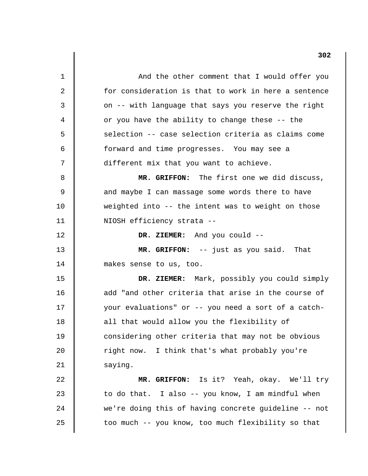1 2 3 4 5 6 7 8 9 10 11 12 13 14 15 16 17 18 19 20 21 22 23 24 25 And the other comment that I would offer you for consideration is that to work in here a sentence on -- with language that says you reserve the right or you have the ability to change these -- the selection -- case selection criteria as claims come forward and time progresses. You may see a different mix that you want to achieve. **MR. GRIFFON:** The first one we did discuss, and maybe I can massage some words there to have weighted into -- the intent was to weight on those NIOSH efficiency strata - **DR. ZIEMER:** And you could - **MR. GRIFFON:** -- just as you said. That makes sense to us, too. **DR. ZIEMER:** Mark, possibly you could simply add "and other criteria that arise in the course of your evaluations" or -- you need a sort of a catchall that would allow you the flexibility of considering other criteria that may not be obvious right now. I think that's what probably you're saying. **MR. GRIFFON:** Is it? Yeah, okay. We'll try to do that. I also -- you know, I am mindful when we're doing this of having concrete guideline -- not too much -- you know, too much flexibility so that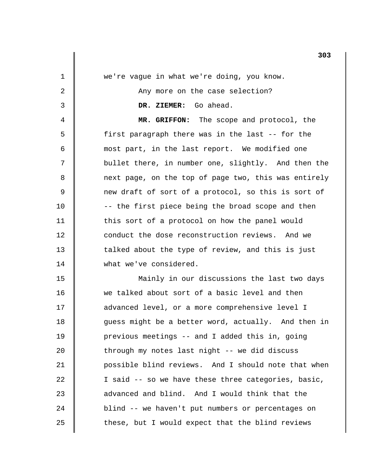|    | 303                                                  |
|----|------------------------------------------------------|
| 1  | we're vague in what we're doing, you know.           |
| 2  | Any more on the case selection?                      |
| 3  | DR. ZIEMER: Go ahead.                                |
| 4  | MR. GRIFFON: The scope and protocol, the             |
| 5  | first paragraph there was in the last -- for the     |
| 6  | most part, in the last report. We modified one       |
| 7  | bullet there, in number one, slightly. And then the  |
| 8  | next page, on the top of page two, this was entirely |
| 9  | new draft of sort of a protocol, so this is sort of  |
| 10 | -- the first piece being the broad scope and then    |
| 11 | this sort of a protocol on how the panel would       |
| 12 | conduct the dose reconstruction reviews. And we      |
| 13 | talked about the type of review, and this is just    |
| 14 | what we've considered.                               |
| 15 | Mainly in our discussions the last two days          |
| 16 | we talked about sort of a basic level and then       |
| 17 | advanced level, or a more comprehensive level I      |
| 18 | guess might be a better word, actually. And then in  |
| 19 | previous meetings -- and I added this in, going      |
| 20 | through my notes last night -- we did discuss        |
| 21 | possible blind reviews. And I should note that when  |
| 22 | I said -- so we have these three categories, basic,  |
| 23 | advanced and blind. And I would think that the       |
| 24 | blind -- we haven't put numbers or percentages on    |
| 25 | these, but I would expect that the blind reviews     |
|    |                                                      |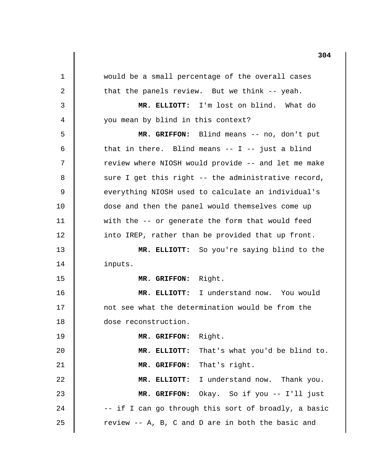1 2 3 4 5 6 7 8 9 10 11 12 13 14 15 16 17 18 19 20 21 22 23 24 25 would be a small percentage of the overall cases that the panels review. But we think -- yeah. **MR. ELLIOTT:** I'm lost on blind. What do you mean by blind in this context? **MR. GRIFFON:** Blind means -- no, don't put that in there. Blind means  $-$ - I  $-$  just a blind review where NIOSH would provide -- and let me make sure I get this right -- the administrative record, everything NIOSH used to calculate an individual's dose and then the panel would themselves come up with the -- or generate the form that would feed into IREP, rather than be provided that up front. **MR. ELLIOTT:** So you're saying blind to the inputs. **MR. GRIFFON:** Right. **MR. ELLIOTT:** I understand now. You would not see what the determination would be from the dose reconstruction. **MR. GRIFFON:** Right. **MR. ELLIOTT:** That's what you'd be blind to. **MR. GRIFFON:** That's right. **MR. ELLIOTT:** I understand now. Thank you. **MR. GRIFFON:** Okay. So if you -- I'll just -- if I can go through this sort of broadly, a basic review -- A, B, C and D are in both the basic and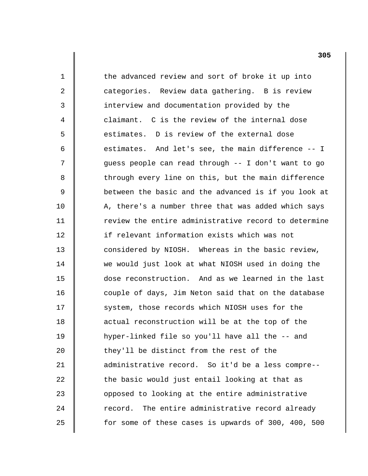1 2 3 4 5 6 7 8 9 10 11 12 13 14 15 16 17 18 19 20 21 22 23 24 25 the advanced review and sort of broke it up into categories. Review data gathering. B is review interview and documentation provided by the claimant. C is the review of the internal dose estimates. D is review of the external dose estimates. And let's see, the main difference -- I guess people can read through -- I don't want to go through every line on this, but the main difference between the basic and the advanced is if you look at A, there's a number three that was added which says review the entire administrative record to determine if relevant information exists which was not considered by NIOSH. Whereas in the basic review, we would just look at what NIOSH used in doing the dose reconstruction. And as we learned in the last couple of days, Jim Neton said that on the database system, those records which NIOSH uses for the actual reconstruction will be at the top of the hyper-linked file so you'll have all the -- and they'll be distinct from the rest of the administrative record. So it'd be a less compre the basic would just entail looking at that as opposed to looking at the entire administrative record. The entire administrative record already for some of these cases is upwards of 300, 400, 500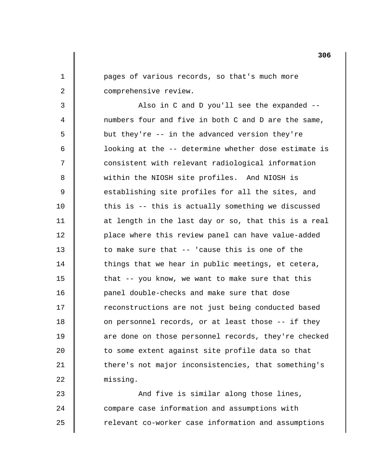pages of various records, so that's much more comprehensive review.

1

2

3

4

5

6

7

8

9

10

11

12

13

14

15

16

17

18

19

20

21

22

23

 $2.4$ 

25

Also in C and D you'll see the expanded numbers four and five in both C and D are the same, but they're -- in the advanced version they're looking at the -- determine whether dose estimate is consistent with relevant radiological information within the NIOSH site profiles. And NIOSH is establishing site profiles for all the sites, and this is -- this is actually something we discussed at length in the last day or so, that this is a real place where this review panel can have value-added to make sure that -- 'cause this is one of the things that we hear in public meetings, et cetera, that -- you know, we want to make sure that this panel double-checks and make sure that dose reconstructions are not just being conducted based on personnel records, or at least those -- if they are done on those personnel records, they're checked to some extent against site profile data so that there's not major inconsistencies, that something's missing.

And five is similar along those lines, compare case information and assumptions with relevant co-worker case information and assumptions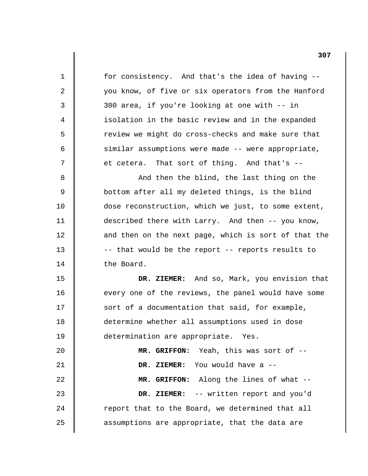1 2 3 4 5 6 7 8 9 10 11 12 13 14 15 16 17 18 19 20 21 22 23 24 25 for consistency. And that's the idea of having you know, of five or six operators from the Hanford 300 area, if you're looking at one with -- in isolation in the basic review and in the expanded review we might do cross-checks and make sure that similar assumptions were made -- were appropriate, et cetera. That sort of thing. And that's - And then the blind, the last thing on the bottom after all my deleted things, is the blind dose reconstruction, which we just, to some extent, described there with Larry. And then -- you know, and then on the next page, which is sort of that the -- that would be the report -- reports results to the Board. **DR. ZIEMER:** And so, Mark, you envision that every one of the reviews, the panel would have some sort of a documentation that said, for example, determine whether all assumptions used in dose determination are appropriate. Yes. **MR. GRIFFON:** Yeah, this was sort of - **DR. ZIEMER:** You would have a - **MR. GRIFFON:** Along the lines of what - **DR. ZIEMER:** -- written report and you'd report that to the Board, we determined that all assumptions are appropriate, that the data are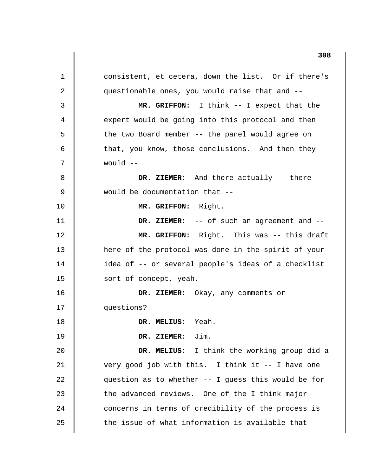1 2 3 4 5 6 7 8 9 10 11 12 13 14 15 16 17 18 19 20 21 22 23 24 25 consistent, et cetera, down the list. Or if there's questionable ones, you would raise that and - **MR. GRIFFON:** I think -- I expect that the expert would be going into this protocol and then the two Board member -- the panel would agree on that, you know, those conclusions. And then they would  $--$ **DR. ZIEMER:** And there actually -- there would be documentation that - **MR. GRIFFON:** Right. **DR. ZIEMER:** -- of such an agreement and - **MR. GRIFFON:** Right. This was -- this draft here of the protocol was done in the spirit of your idea of -- or several people's ideas of a checklist sort of concept, yeah. **DR. ZIEMER:** Okay, any comments or questions? **DR. MELIUS:** Yeah. **DR. ZIEMER:** Jim. **DR. MELIUS:** I think the working group did a very good job with this. I think it -- I have one question as to whether -- I guess this would be for the advanced reviews. One of the I think major concerns in terms of credibility of the process is the issue of what information is available that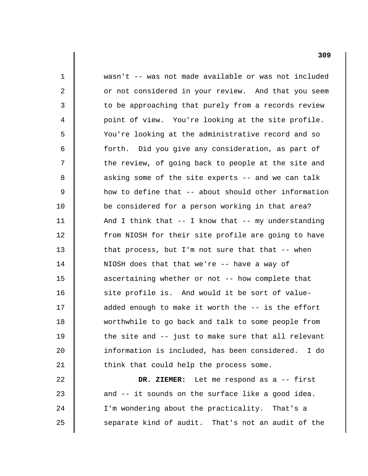wasn't -- was not made available or was not included or not considered in your review. And that you seem to be approaching that purely from a records review point of view. You're looking at the site profile. You're looking at the administrative record and so forth. Did you give any consideration, as part of the review, of going back to people at the site and asking some of the site experts -- and we can talk how to define that -- about should other information be considered for a person working in that area? And I think that -- I know that -- my understanding from NIOSH for their site profile are going to have that process, but I'm not sure that that  $-$ - when NIOSH does that that we're -- have a way of ascertaining whether or not -- how complete that site profile is. And would it be sort of valueadded enough to make it worth the -- is the effort worthwhile to go back and talk to some people from the site and -- just to make sure that all relevant information is included, has been considered. I do think that could help the process some.

1

2

3

4

5

6

7

8

9

10

11

12

13

14

15

16

17

18

19

20

21

22

23

24

25

**DR. ZIEMER:** Let me respond as a -- first and -- it sounds on the surface like a good idea. I'm wondering about the practicality. That's a separate kind of audit. That's not an audit of the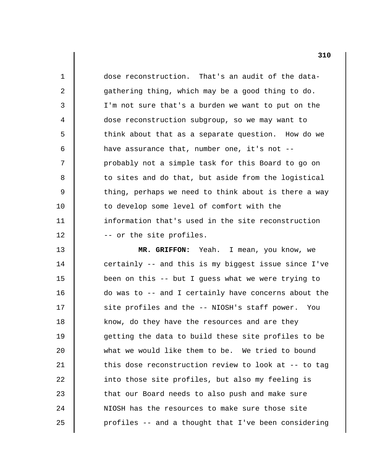dose reconstruction. That's an audit of the datagathering thing, which may be a good thing to do. I'm not sure that's a burden we want to put on the dose reconstruction subgroup, so we may want to think about that as a separate question. How do we have assurance that, number one, it's not -probably not a simple task for this Board to go on to sites and do that, but aside from the logistical thing, perhaps we need to think about is there a way to develop some level of comfort with the information that's used in the site reconstruction -- or the site profiles.

1

2

3

4

5

6

7

8

9

10

11

12

13

14

15

16

17

18

19

20

21

22

23

24

25

**MR. GRIFFON:** Yeah. I mean, you know, we certainly -- and this is my biggest issue since I've been on this -- but I guess what we were trying to do was to -- and I certainly have concerns about the site profiles and the -- NIOSH's staff power. You know, do they have the resources and are they getting the data to build these site profiles to be what we would like them to be. We tried to bound this dose reconstruction review to look at -- to tag into those site profiles, but also my feeling is that our Board needs to also push and make sure NIOSH has the resources to make sure those site profiles -- and a thought that I've been considering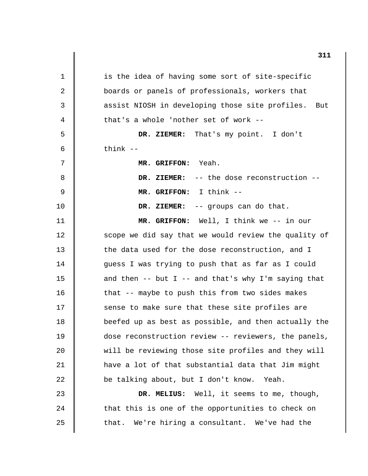1 2 3 4 5 6 7 8 9 10 11 12 13 14 15 16 17 18 19 20 21 22 23 24 25 is the idea of having some sort of site-specific boards or panels of professionals, workers that assist NIOSH in developing those site profiles. But that's a whole 'nother set of work - **DR. ZIEMER:** That's my point. I don't think - **MR. GRIFFON:** Yeah. **DR. ZIEMER:** -- the dose reconstruction - **MR. GRIFFON:** I think - **DR. ZIEMER:** -- groups can do that. **MR. GRIFFON:** Well, I think we -- in our scope we did say that we would review the quality of the data used for the dose reconstruction, and I guess I was trying to push that as far as I could and then  $--$  but I  $--$  and that's why I'm saying that that -- maybe to push this from two sides makes sense to make sure that these site profiles are beefed up as best as possible, and then actually the dose reconstruction review -- reviewers, the panels, will be reviewing those site profiles and they will have a lot of that substantial data that Jim might be talking about, but I don't know. Yeah. **DR. MELIUS:** Well, it seems to me, though, that this is one of the opportunities to check on that. We're hiring a consultant. We've had the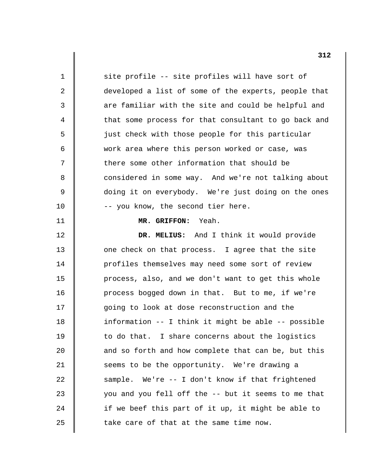1 2 3 4 5 6 7 8 9 10 11 12 13 14 15 16 17 18 19 20 21 22 23 24 25 site profile -- site profiles will have sort of developed a list of some of the experts, people that are familiar with the site and could be helpful and that some process for that consultant to go back and just check with those people for this particular work area where this person worked or case, was there some other information that should be considered in some way. And we're not talking about doing it on everybody. We're just doing on the ones -- you know, the second tier here. **MR. GRIFFON:** Yeah. **DR. MELIUS:** And I think it would provide one check on that process. I agree that the site profiles themselves may need some sort of review process, also, and we don't want to get this whole process bogged down in that. But to me, if we're going to look at dose reconstruction and the information -- I think it might be able -- possible to do that. I share concerns about the logistics and so forth and how complete that can be, but this seems to be the opportunity. We're drawing a sample. We're -- I don't know if that frightened you and you fell off the -- but it seems to me that if we beef this part of it up, it might be able to take care of that at the same time now.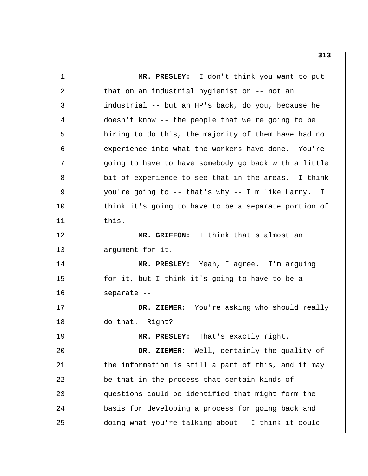1 2 3 4 5 6 7 8 9 10 11 12 13 14 15 16 17 18 19 20 21 22 23 24 25 **MR. PRESLEY:** I don't think you want to put that on an industrial hygienist or -- not an industrial -- but an HP's back, do you, because he doesn't know -- the people that we're going to be hiring to do this, the majority of them have had no experience into what the workers have done. You're going to have to have somebody go back with a little bit of experience to see that in the areas. I think you're going to -- that's why -- I'm like Larry. I think it's going to have to be a separate portion of this. **MR. GRIFFON:** I think that's almost an argument for it. **MR. PRESLEY:** Yeah, I agree. I'm arguing for it, but I think it's going to have to be a separate --**DR. ZIEMER:** You're asking who should really do that. Right? **MR. PRESLEY:** That's exactly right. **DR. ZIEMER:** Well, certainly the quality of the information is still a part of this, and it may be that in the process that certain kinds of questions could be identified that might form the basis for developing a process for going back and doing what you're talking about. I think it could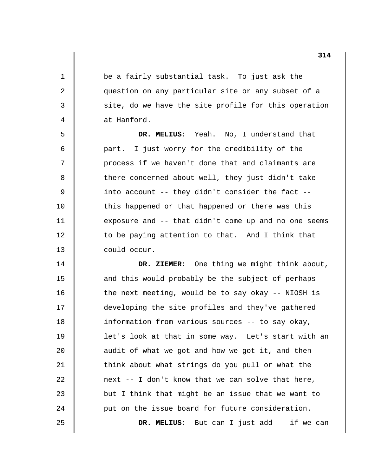be a fairly substantial task. To just ask the question on any particular site or any subset of a site, do we have the site profile for this operation at Hanford.

1

2

3

4

5

6

7

8

9

10

11

12

13

14

15

16

17

18

19

20

21

22

23

24

25

**DR. MELIUS:** Yeah. No, I understand that part. I just worry for the credibility of the process if we haven't done that and claimants are there concerned about well, they just didn't take into account -- they didn't consider the fact this happened or that happened or there was this exposure and -- that didn't come up and no one seems to be paying attention to that. And I think that could occur.

**DR. ZIEMER:** One thing we might think about, and this would probably be the subject of perhaps the next meeting, would be to say okay -- NIOSH is developing the site profiles and they've gathered information from various sources -- to say okay, let's look at that in some way. Let's start with an audit of what we got and how we got it, and then think about what strings do you pull or what the next -- I don't know that we can solve that here, but I think that might be an issue that we want to put on the issue board for future consideration. **DR. MELIUS:** But can I just add -- if we can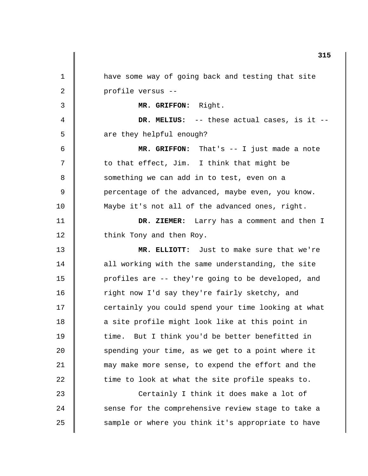1 2 3 4 5 6 7 8 9 10 11 12 13 14 15 16 17 18 19 20 21 22 23 24 25 have some way of going back and testing that site profile versus - **MR. GRIFFON:** Right. **DR. MELIUS:** -- these actual cases, is it are they helpful enough? **MR. GRIFFON:** That's -- I just made a note to that effect, Jim. I think that might be something we can add in to test, even on a percentage of the advanced, maybe even, you know. Maybe it's not all of the advanced ones, right. **DR. ZIEMER:** Larry has a comment and then I think Tony and then Roy. **MR. ELLIOTT:** Just to make sure that we're all working with the same understanding, the site profiles are -- they're going to be developed, and right now I'd say they're fairly sketchy, and certainly you could spend your time looking at what a site profile might look like at this point in time. But I think you'd be better benefitted in spending your time, as we get to a point where it may make more sense, to expend the effort and the time to look at what the site profile speaks to. Certainly I think it does make a lot of sense for the comprehensive review stage to take a sample or where you think it's appropriate to have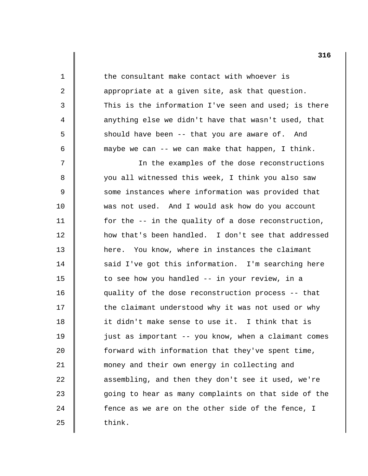1 2 3 4 5 6 7 8 9 10 11 12 13 14 15 16 17 18 19 20 21 22 23 24 25 the consultant make contact with whoever is appropriate at a given site, ask that question. This is the information I've seen and used; is there anything else we didn't have that wasn't used, that should have been -- that you are aware of. And maybe we can -- we can make that happen, I think. In the examples of the dose reconstructions you all witnessed this week, I think you also saw some instances where information was provided that was not used. And I would ask how do you account for the -- in the quality of a dose reconstruction, how that's been handled. I don't see that addressed here. You know, where in instances the claimant said I've got this information. I'm searching here to see how you handled -- in your review, in a quality of the dose reconstruction process -- that the claimant understood why it was not used or why it didn't make sense to use it. I think that is just as important -- you know, when a claimant comes forward with information that they've spent time, money and their own energy in collecting and assembling, and then they don't see it used, we're going to hear as many complaints on that side of the fence as we are on the other side of the fence, I think.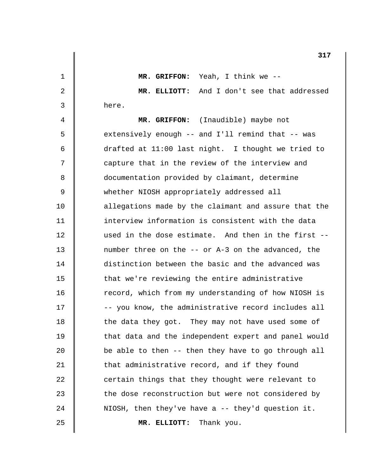1 2 3 4 5 6 7 8 9 10 11 12 13 14 15 16 17 18 19 20 21 22 23 24 25 **MR. GRIFFON:** Yeah, I think we - **MR. ELLIOTT:** And I don't see that addressed here. **MR. GRIFFON:** (Inaudible) maybe not extensively enough -- and I'll remind that -- was drafted at 11:00 last night. I thought we tried to capture that in the review of the interview and documentation provided by claimant, determine whether NIOSH appropriately addressed all allegations made by the claimant and assure that the interview information is consistent with the data used in the dose estimate. And then in the first number three on the -- or A-3 on the advanced, the distinction between the basic and the advanced was that we're reviewing the entire administrative record, which from my understanding of how NIOSH is -- you know, the administrative record includes all the data they got. They may not have used some of that data and the independent expert and panel would be able to then -- then they have to go through all that administrative record, and if they found certain things that they thought were relevant to the dose reconstruction but were not considered by NIOSH, then they've have a -- they'd question it. **MR. ELLIOTT:** Thank you.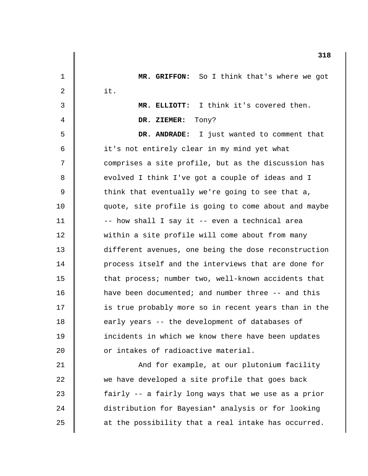1 2 3 4 5 6 7 8 9 10 11 12 13 14 15 16 17 18 19 20 21 22 23  $2.4$ 25 **MR. GRIFFON:** So I think that's where we got it. **MR. ELLIOTT:** I think it's covered then. **DR. ZIEMER:** Tony? **DR. ANDRADE:** I just wanted to comment that it's not entirely clear in my mind yet what comprises a site profile, but as the discussion has evolved I think I've got a couple of ideas and I think that eventually we're going to see that a, quote, site profile is going to come about and maybe -- how shall I say it -- even a technical area within a site profile will come about from many different avenues, one being the dose reconstruction process itself and the interviews that are done for that process; number two, well-known accidents that have been documented; and number three -- and this is true probably more so in recent years than in the early years -- the development of databases of incidents in which we know there have been updates or intakes of radioactive material. And for example, at our plutonium facility we have developed a site profile that goes back fairly -- a fairly long ways that we use as a prior distribution for Bayesian\* analysis or for looking at the possibility that a real intake has occurred.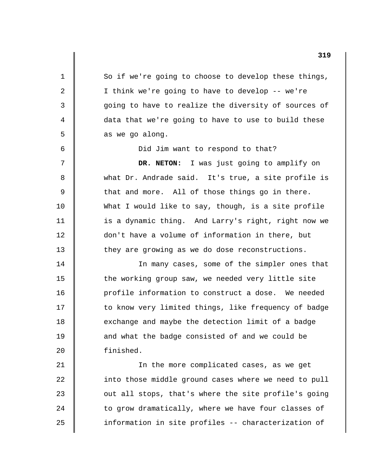1 2 3 4 5 6 7 8 9 10 11 12 13 14 15 16 17 18 19 20 21 22 23 24 25 So if we're going to choose to develop these things, I think we're going to have to develop -- we're going to have to realize the diversity of sources of data that we're going to have to use to build these as we go along. Did Jim want to respond to that? **DR. NETON:** I was just going to amplify on what Dr. Andrade said. It's true, a site profile is that and more. All of those things go in there. What I would like to say, though, is a site profile is a dynamic thing. And Larry's right, right now we don't have a volume of information in there, but they are growing as we do dose reconstructions. In many cases, some of the simpler ones that the working group saw, we needed very little site profile information to construct a dose. We needed to know very limited things, like frequency of badge exchange and maybe the detection limit of a badge and what the badge consisted of and we could be finished. In the more complicated cases, as we get into those middle ground cases where we need to pull out all stops, that's where the site profile's going to grow dramatically, where we have four classes of information in site profiles -- characterization of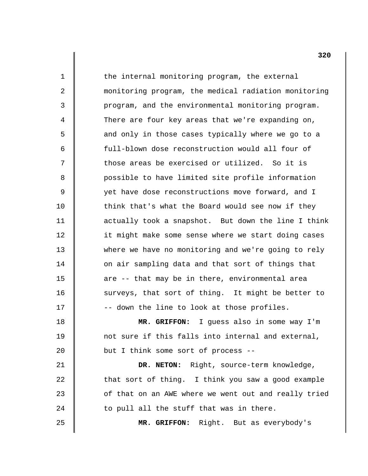1 2 3 4 5 6 7 8 9 10 11 12 13 14 15 16 17 18 19 20 21 22 23 24 the internal monitoring program, the external monitoring program, the medical radiation monitoring program, and the environmental monitoring program. There are four key areas that we're expanding on, and only in those cases typically where we go to a full-blown dose reconstruction would all four of those areas be exercised or utilized. So it is possible to have limited site profile information yet have dose reconstructions move forward, and I think that's what the Board would see now if they actually took a snapshot. But down the line I think it might make some sense where we start doing cases where we have no monitoring and we're going to rely on air sampling data and that sort of things that are -- that may be in there, environmental area surveys, that sort of thing. It might be better to -- down the line to look at those profiles. **MR. GRIFFON:** I guess also in some way I'm not sure if this falls into internal and external, but I think some sort of process - **DR. NETON:** Right, source-term knowledge, that sort of thing. I think you saw a good example of that on an AWE where we went out and really tried to pull all the stuff that was in there.

**MR. GRIFFON:** Right. But as everybody's

25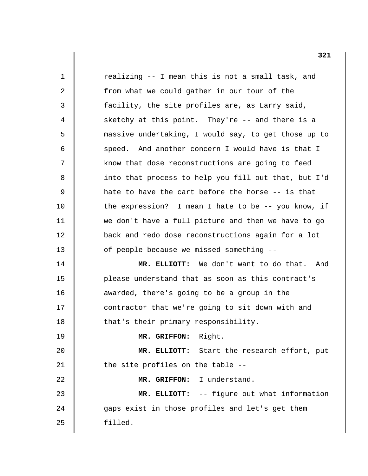| $\mathbf 1$ | realizing -- I mean this is not a small task, and      |
|-------------|--------------------------------------------------------|
| 2           | from what we could gather in our tour of the           |
| 3           | facility, the site profiles are, as Larry said,        |
| 4           | sketchy at this point. They're -- and there is a       |
| 5           | massive undertaking, I would say, to get those up to   |
| 6           | speed. And another concern I would have is that I      |
| 7           | know that dose reconstructions are going to feed       |
| 8           | into that process to help you fill out that, but I'd   |
| 9           | hate to have the cart before the horse -- is that      |
| 10          | the expression? I mean I hate to be $-$ - you know, if |
| 11          | we don't have a full picture and then we have to go    |
| 12          | back and redo dose reconstructions again for a lot     |
| 13          | of people because we missed something --               |
| 14          | MR. ELLIOTT: We don't want to do that. And             |
| 15          | please understand that as soon as this contract's      |
| 16          | awarded, there's going to be a group in the            |
| 17          | contractor that we're going to sit down with and       |
| 18          | that's their primary responsibility.                   |
| 19          | MR. GRIFFON: Right.                                    |
| 20          | MR. ELLIOTT: Start the research effort, put            |
| 21          | the site profiles on the table --                      |
| 22          | MR. GRIFFON: I understand.                             |
| 23          | MR. ELLIOTT: -- figure out what information            |
| 24          | gaps exist in those profiles and let's get them        |
| 25          | filled.                                                |
|             |                                                        |

 $\begin{array}{c} \hline \end{array}$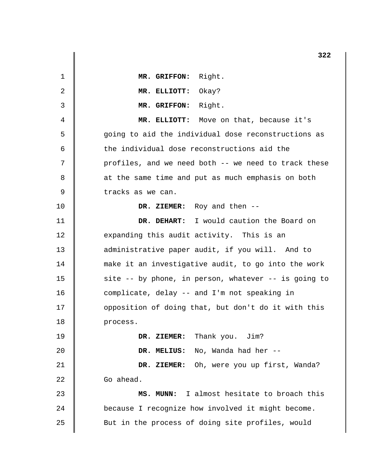|    | 322                                                  |
|----|------------------------------------------------------|
| 1  | MR. GRIFFON:<br>Right.                               |
| 2  | MR. ELLIOTT:<br>Okay?                                |
| 3  | Right.<br>MR. GRIFFON:                               |
| 4  | MR. ELLIOTT: Move on that, because it's              |
| 5  | going to aid the individual dose reconstructions as  |
| 6  | the individual dose reconstructions aid the          |
| 7  | profiles, and we need both -- we need to track these |
| 8  | at the same time and put as much emphasis on both    |
| 9  | tracks as we can.                                    |
| 10 | DR. ZIEMER: Roy and then --                          |
| 11 | DR. DEHART: I would caution the Board on             |
| 12 | expanding this audit activity. This is an            |
| 13 | administrative paper audit, if you will. And to      |
| 14 | make it an investigative audit, to go into the work  |
| 15 | site -- by phone, in person, whatever -- is going to |
| 16 | complicate, delay -- and I'm not speaking in         |
| 17 | opposition of doing that, but don't do it with this  |
| 18 | process.                                             |
| 19 | DR. ZIEMER: Thank you. Jim?                          |
| 20 | No, Wanda had her --<br>DR. MELIUS:                  |
| 21 | DR. ZIEMER: Oh, were you up first, Wanda?            |
| 22 | Go ahead.                                            |
| 23 | MS. MUNN: I almost hesitate to broach this           |
| 24 | because I recognize how involved it might become.    |
| 25 | But in the process of doing site profiles, would     |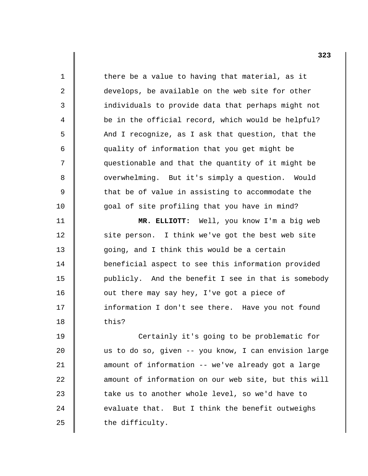1 2 3 4 5 6 7 8 9 10 11 12 13 14 15 16 17 18 19 20 21 22 23 there be a value to having that material, as it develops, be available on the web site for other individuals to provide data that perhaps might not be in the official record, which would be helpful? And I recognize, as I ask that question, that the quality of information that you get might be questionable and that the quantity of it might be overwhelming. But it's simply a question. Would that be of value in assisting to accommodate the goal of site profiling that you have in mind? **MR. ELLIOTT:** Well, you know I'm a big web site person. I think we've got the best web site going, and I think this would be a certain beneficial aspect to see this information provided publicly. And the benefit I see in that is somebody out there may say hey, I've got a piece of information I don't see there. Have you not found this? Certainly it's going to be problematic for us to do so, given -- you know, I can envision large amount of information -- we've already got a large amount of information on our web site, but this will take us to another whole level, so we'd have to

> evaluate that. But I think the benefit outweighs the difficulty.

24

25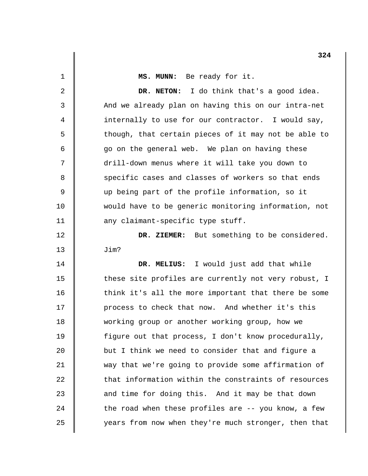| $\mathbf 1$    | MS. MUNN: Be ready for it.                           |
|----------------|------------------------------------------------------|
| 2              | DR. NETON: I do think that's a good idea.            |
| 3              | And we already plan on having this on our intra-net  |
| $\overline{4}$ | internally to use for our contractor. I would say,   |
| 5              | though, that certain pieces of it may not be able to |
| 6              | go on the general web. We plan on having these       |
| 7              | drill-down menus where it will take you down to      |
| 8              | specific cases and classes of workers so that ends   |
| 9              | up being part of the profile information, so it      |
| 10             | would have to be generic monitoring information, not |
| 11             | any claimant-specific type stuff.                    |
| 12             | DR. ZIEMER: But something to be considered.          |
| 13             | Jim?                                                 |
| 14             | DR. MELIUS: I would just add that while              |
| 15             | these site profiles are currently not very robust, I |
| 16             | think it's all the more important that there be some |
| 17             | process to check that now. And whether it's this     |
| 18             | working group or another working group, how we       |
| 19             | figure out that process, I don't know procedurally,  |
| 20             | but I think we need to consider that and figure a    |
| 21             | way that we're going to provide some affirmation of  |
| 22             | that information within the constraints of resources |
| 23             | and time for doing this. And it may be that down     |
| 24             | the road when these profiles are -- you know, a few  |
| 25             | years from now when they're much stronger, then that |

 $\begin{array}{c} \hline \end{array}$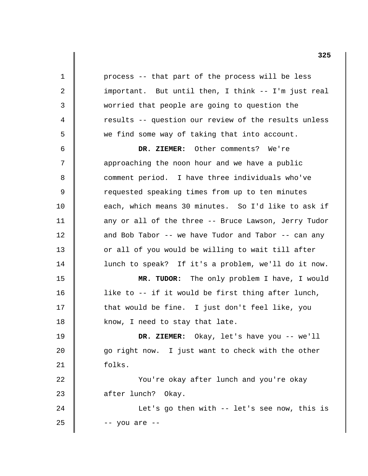1 2 3 4 5 6 7 8 9 10 11 12 13 14 15 16 17 18 19 20 21 22 23 24 25 process -- that part of the process will be less important. But until then, I think -- I'm just real worried that people are going to question the results -- question our review of the results unless we find some way of taking that into account. **DR. ZIEMER:** Other comments? We're approaching the noon hour and we have a public comment period. I have three individuals who've requested speaking times from up to ten minutes each, which means 30 minutes. So I'd like to ask if any or all of the three -- Bruce Lawson, Jerry Tudor and Bob Tabor -- we have Tudor and Tabor -- can any or all of you would be willing to wait till after lunch to speak? If it's a problem, we'll do it now. **MR. TUDOR:** The only problem I have, I would like to -- if it would be first thing after lunch, that would be fine. I just don't feel like, you know, I need to stay that late. **DR. ZIEMER:** Okay, let's have you -- we'll go right now. I just want to check with the other folks. You're okay after lunch and you're okay after lunch? Okay. Let's go then with -- let's see now, this is -- you are -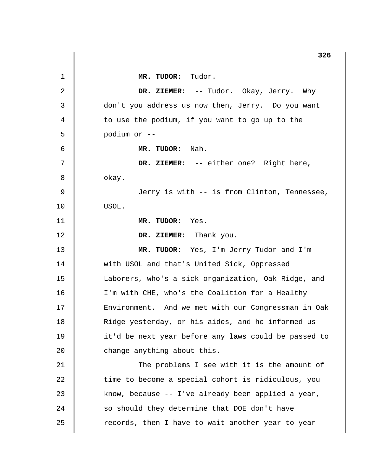1 2 3 4 5 6 7 8 9 10 11 12 13 14 15 16 17 18 19 20 21 22 23 24 25 **MR. TUDOR:** Tudor. **DR. ZIEMER:** -- Tudor. Okay, Jerry. Why don't you address us now then, Jerry. Do you want to use the podium, if you want to go up to the podium or - **MR. TUDOR:** Nah. **DR. ZIEMER:** -- either one? Right here, okay. Jerry is with -- is from Clinton, Tennessee, USOL. **MR. TUDOR:** Yes. **DR. ZIEMER:** Thank you. **MR. TUDOR:** Yes, I'm Jerry Tudor and I'm with USOL and that's United Sick, Oppressed Laborers, who's a sick organization, Oak Ridge, and I'm with CHE, who's the Coalition for a Healthy Environment. And we met with our Congressman in Oak Ridge yesterday, or his aides, and he informed us it'd be next year before any laws could be passed to change anything about this. The problems I see with it is the amount of time to become a special cohort is ridiculous, you know, because -- I've already been applied a year, so should they determine that DOE don't have records, then I have to wait another year to year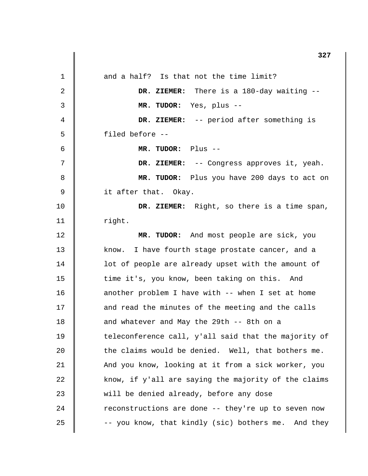1 2 3 4 5 6 7 8 9 10 11 12 13 14 15 16 17 18 19 20 21 22 23 24 25 and a half? Is that not the time limit? DR. ZIEMER: There is a 180-day waiting --**MR. TUDOR:** Yes, plus - **DR. ZIEMER:** -- period after something is filed before - **MR. TUDOR:** Plus - **DR. ZIEMER:** -- Congress approves it, yeah. **MR. TUDOR:** Plus you have 200 days to act on it after that. Okay. **DR. ZIEMER:** Right, so there is a time span, right. **MR. TUDOR:** And most people are sick, you know. I have fourth stage prostate cancer, and a lot of people are already upset with the amount of time it's, you know, been taking on this. And another problem I have with -- when I set at home and read the minutes of the meeting and the calls and whatever and May the 29th -- 8th on a teleconference call, y'all said that the majority of the claims would be denied. Well, that bothers me. And you know, looking at it from a sick worker, you know, if y'all are saying the majority of the claims will be denied already, before any dose reconstructions are done -- they're up to seven now -- you know, that kindly (sic) bothers me. And they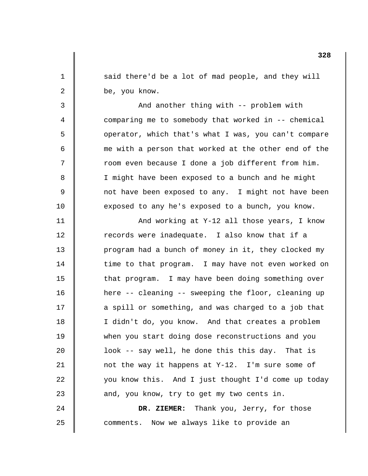said there'd be a lot of mad people, and they will be, you know.

1

2

3

4

5

6

7

8

9

10

25

And another thing with -- problem with comparing me to somebody that worked in -- chemical operator, which that's what I was, you can't compare me with a person that worked at the other end of the room even because I done a job different from him. I might have been exposed to a bunch and he might not have been exposed to any. I might not have been exposed to any he's exposed to a bunch, you know.

11 12 13 14 15 16 17 18 19 20 21 22 23 24 And working at Y-12 all those years, I know records were inadequate. I also know that if a program had a bunch of money in it, they clocked my time to that program. I may have not even worked on that program. I may have been doing something over here -- cleaning -- sweeping the floor, cleaning up a spill or something, and was charged to a job that I didn't do, you know. And that creates a problem when you start doing dose reconstructions and you look -- say well, he done this this day. That is not the way it happens at Y-12. I'm sure some of you know this. And I just thought I'd come up today and, you know, try to get my two cents in. **DR. ZIEMER:** Thank you, Jerry, for those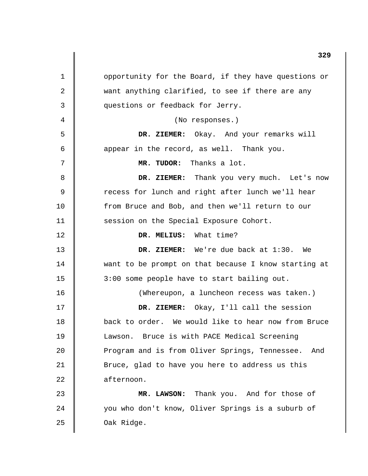1 2 3 4 5 6 7 8 9 10 11 12 13 14 15 16 17 18 19 20 21 22 23 24 25 opportunity for the Board, if they have questions or want anything clarified, to see if there are any questions or feedback for Jerry. (No responses.) **DR. ZIEMER:** Okay. And your remarks will appear in the record, as well. Thank you. **MR. TUDOR:** Thanks a lot. **DR. ZIEMER:** Thank you very much. Let's now recess for lunch and right after lunch we'll hear from Bruce and Bob, and then we'll return to our session on the Special Exposure Cohort. **DR. MELIUS:** What time? **DR. ZIEMER:** We're due back at 1:30. We want to be prompt on that because I know starting at 3:00 some people have to start bailing out. (Whereupon, a luncheon recess was taken.) **DR. ZIEMER:** Okay, I'll call the session back to order. We would like to hear now from Bruce Lawson. Bruce is with PACE Medical Screening Program and is from Oliver Springs, Tennessee. And Bruce, glad to have you here to address us this afternoon. **MR. LAWSON:** Thank you. And for those of you who don't know, Oliver Springs is a suburb of Oak Ridge.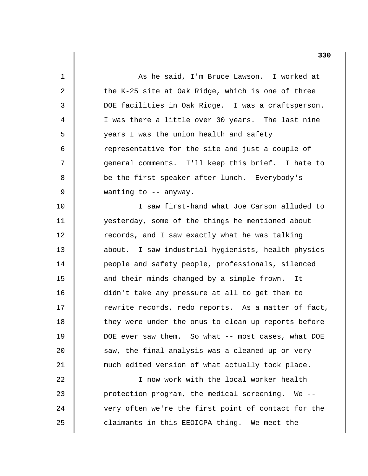| 1  | As he said, I'm Bruce Lawson. I worked at              |
|----|--------------------------------------------------------|
| 2  | the K-25 site at Oak Ridge, which is one of three      |
| 3  | DOE facilities in Oak Ridge. I was a craftsperson.     |
| 4  | I was there a little over 30 years. The last nine      |
| 5  | years I was the union health and safety                |
| 6  | representative for the site and just a couple of       |
| 7  | general comments. I'll keep this brief. I hate to      |
| 8  | be the first speaker after lunch. Everybody's          |
| 9  | wanting to -- anyway.                                  |
| 10 | I saw first-hand what Joe Carson alluded to            |
| 11 | yesterday, some of the things he mentioned about       |
| 12 | records, and I saw exactly what he was talking         |
| 13 | about. I saw industrial hygienists, health physics     |
| 14 | people and safety people, professionals, silenced      |
| 15 | and their minds changed by a simple frown. It          |
| 16 | didn't take any pressure at all to get them to         |
| 17 | rewrite records, redo reports. As a matter of fact,    |
| 18 | they were under the onus to clean up reports before    |
| 19 | DOE ever saw them. So what -- most cases, what DOE     |
| 20 | saw, the final analysis was a cleaned-up or very       |
| 21 | much edited version of what actually took place.       |
| 22 | I now work with the local worker health                |
| 23 | protection program, the medical screening.<br>$We$ $-$ |
| 24 | very often we're the first point of contact for the    |
| 25 | claimants in this EEOICPA thing. We meet the           |

║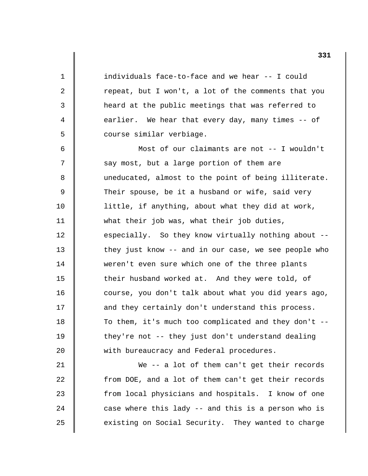individuals face-to-face and we hear -- I could repeat, but I won't, a lot of the comments that you heard at the public meetings that was referred to earlier. We hear that every day, many times -- of course similar verbiage.

1

2

3

4

5

6

7

8

9

10

11

12

13

14

15

16

17

18

19

20

21

22

23

24

25

Most of our claimants are not -- I wouldn't say most, but a large portion of them are uneducated, almost to the point of being illiterate. Their spouse, be it a husband or wife, said very little, if anything, about what they did at work, what their job was, what their job duties, especially. So they know virtually nothing about they just know -- and in our case, we see people who weren't even sure which one of the three plants their husband worked at. And they were told, of course, you don't talk about what you did years ago, and they certainly don't understand this process. To them, it's much too complicated and they don't they're not -- they just don't understand dealing with bureaucracy and Federal procedures.

We -- a lot of them can't get their records from DOE, and a lot of them can't get their records from local physicians and hospitals. I know of one case where this lady -- and this is a person who is existing on Social Security. They wanted to charge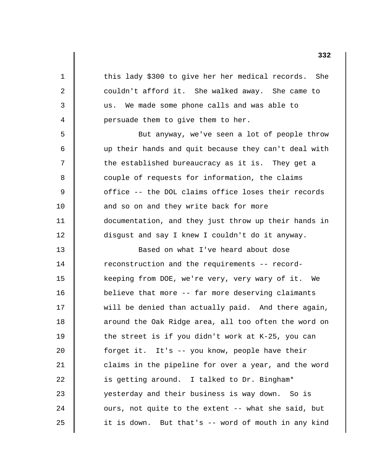1 2 3 4 5 6 7 8 9 10 11 12 13 14 15 16 17 18 19 20 21 22 23 24 25 this lady \$300 to give her her medical records. She couldn't afford it. She walked away. She came to us. We made some phone calls and was able to persuade them to give them to her. But anyway, we've seen a lot of people throw up their hands and quit because they can't deal with the established bureaucracy as it is. They get a couple of requests for information, the claims office -- the DOL claims office loses their records and so on and they write back for more documentation, and they just throw up their hands in disgust and say I knew I couldn't do it anyway. Based on what I've heard about dose reconstruction and the requirements -- recordkeeping from DOE, we're very, very wary of it. We believe that more -- far more deserving claimants will be denied than actually paid. And there again, around the Oak Ridge area, all too often the word on the street is if you didn't work at K-25, you can forget it. It's -- you know, people have their claims in the pipeline for over a year, and the word is getting around. I talked to Dr. Bingham\* yesterday and their business is way down. So is ours, not quite to the extent -- what she said, but it is down. But that's -- word of mouth in any kind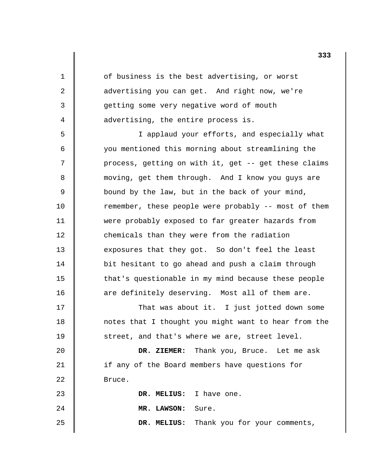of business is the best advertising, or worst advertising you can get. And right now, we're getting some very negative word of mouth advertising, the entire process is.

1

2

3

4

5

6

7

8

9

10

11

12

13

14

15

16

17

18

19

23

24

25

I applaud your efforts, and especially what you mentioned this morning about streamlining the process, getting on with it, get -- get these claims moving, get them through. And I know you guys are bound by the law, but in the back of your mind, remember, these people were probably -- most of them were probably exposed to far greater hazards from chemicals than they were from the radiation exposures that they got. So don't feel the least bit hesitant to go ahead and push a claim through that's questionable in my mind because these people are definitely deserving. Most all of them are.

That was about it. I just jotted down some notes that I thought you might want to hear from the street, and that's where we are, street level.

20 21 22 **DR. ZIEMER:** Thank you, Bruce. Let me ask if any of the Board members have questions for Bruce.

**DR. MELIUS:** I have one.

**MR. LAWSON:** Sure.

**DR. MELIUS:** Thank you for your comments,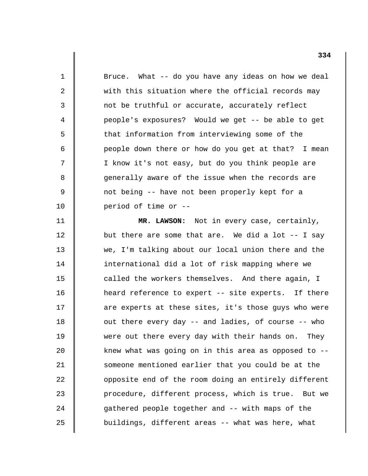| $\mathbf 1$ | Bruce. What -- do you have any ideas on how we deal     |
|-------------|---------------------------------------------------------|
| 2           | with this situation where the official records may      |
| 3           | not be truthful or accurate, accurately reflect         |
| 4           | people's exposures? Would we get -- be able to get      |
| 5           | that information from interviewing some of the          |
| 6           | people down there or how do you get at that? I mean     |
| 7           | I know it's not easy, but do you think people are       |
| 8           | generally aware of the issue when the records are       |
| 9           | not being -- have not been properly kept for a          |
| 10          | period of time or --                                    |
| 11          | MR. LAWSON: Not in every case, certainly,               |
| 12          | but there are some that are. We did a lot -- I say      |
| 13          | we, I'm talking about our local union there and the     |
| 14          | international did a lot of risk mapping where we        |
| 15          | called the workers themselves. And there again, I       |
| 16          | heard reference to expert -- site experts. If there     |
| 17          | are experts at these sites, it's those guys who were    |
| 18          | out there every day -- and ladies, of course -- who     |
| 19          | were out there every day with their hands on. They      |
| 20          | knew what was going on in this area as opposed to $-$ - |
| 21          | someone mentioned earlier that you could be at the      |
| 22          | opposite end of the room doing an entirely different    |
| 23          | procedure, different process, which is true. But we     |
| 24          | gathered people together and -- with maps of the        |
| 25          | buildings, different areas -- what was here, what       |
|             |                                                         |

 $\parallel$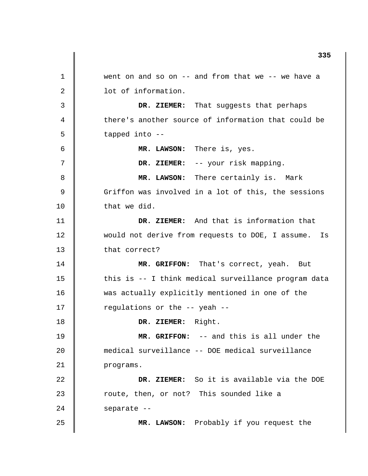1 2 3 4 5 6 7 8 9 10 11 12 13 14 15 16 17 18 19 20 21 22 23  $2.4$ 25 went on and so on -- and from that we -- we have a lot of information. **DR. ZIEMER:** That suggests that perhaps there's another source of information that could be tapped into - **MR. LAWSON:** There is, yes. **DR. ZIEMER:** -- your risk mapping. **MR. LAWSON:** There certainly is. Mark Griffon was involved in a lot of this, the sessions that we did. **DR. ZIEMER:** And that is information that would not derive from requests to DOE, I assume. Is that correct? **MR. GRIFFON:** That's correct, yeah. But this is -- I think medical surveillance program data was actually explicitly mentioned in one of the regulations or the -- yeah - **DR. ZIEMER:** Right. **MR. GRIFFON:** -- and this is all under the medical surveillance -- DOE medical surveillance programs. **DR. ZIEMER:** So it is available via the DOE route, then, or not? This sounded like a separate --**MR. LAWSON:** Probably if you request the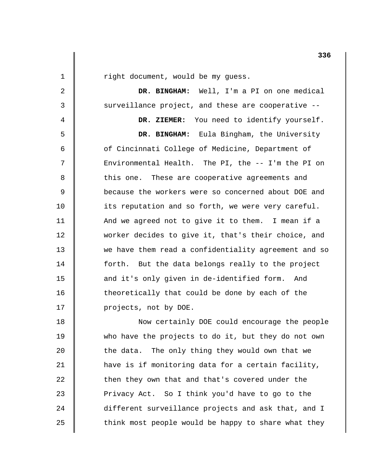| right document, would be my guess.                   |
|------------------------------------------------------|
| DR. BINGHAM: Well, I'm a PI on one medical           |
| surveillance project, and these are cooperative --   |
| DR. ZIEMER: You need to identify yourself.           |
| DR. BINGHAM: Eula Bingham, the University            |
| of Cincinnati College of Medicine, Department of     |
| Environmental Health. The PI, the -- I'm the PI on   |
| this one. These are cooperative agreements and       |
| because the workers were so concerned about DOE and  |
| its reputation and so forth, we were very careful.   |
| And we agreed not to give it to them. I mean if a    |
| worker decides to give it, that's their choice, and  |
| we have them read a confidentiality agreement and so |
| forth. But the data belongs really to the project    |
| and it's only given in de-identified form. And       |
| theoretically that could be done by each of the      |
| projects, not by DOE.                                |
| Now certainly DOE could encourage the people         |
| who have the projects to do it, but they do not own  |
| The only thing they would own that we<br>the data.   |
| have is if monitoring data for a certain facility,   |
| then they own that and that's covered under the      |
| Privacy Act. So I think you'd have to go to the      |
| different surveillance projects and ask that, and I  |
| think most people would be happy to share what they  |
|                                                      |

 $\overline{\mathbb{I}}$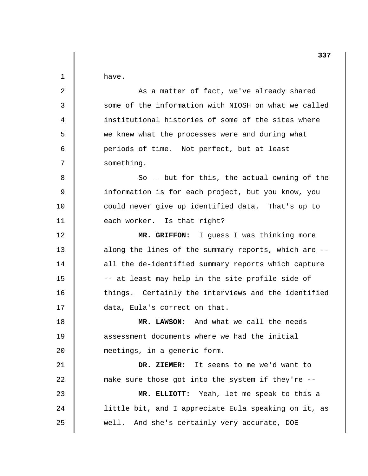| $\mathbf 1$ | have.                                                |
|-------------|------------------------------------------------------|
| 2           | As a matter of fact, we've already shared            |
| 3           | some of the information with NIOSH on what we called |
| 4           | institutional histories of some of the sites where   |
| 5           | we knew what the processes were and during what      |
| 6           | periods of time. Not perfect, but at least           |
| 7           | something.                                           |
| 8           | So -- but for this, the actual owning of the         |
| 9           | information is for each project, but you know, you   |
| 10          | could never give up identified data. That's up to    |
| 11          | each worker. Is that right?                          |
| 12          | MR. GRIFFON: I guess I was thinking more             |
| 13          | along the lines of the summary reports, which are -- |
| 14          | all the de-identified summary reports which capture  |
| 15          | -- at least may help in the site profile side of     |
| 16          | things. Certainly the interviews and the identified  |
| 17          | data, Eula's correct on that.                        |
| 18          | MR. LAWSON: And what we call the needs               |
| 19          | assessment documents where we had the initial        |
| 20          | meetings, in a generic form.                         |
| 21          | DR. ZIEMER: It seems to me we'd want to              |
| 22          | make sure those got into the system if they're --    |
| 23          | MR. ELLIOTT: Yeah, let me speak to this a            |
| 24          | little bit, and I appreciate Eula speaking on it, as |
| 25          | well. And she's certainly very accurate, DOE         |
|             |                                                      |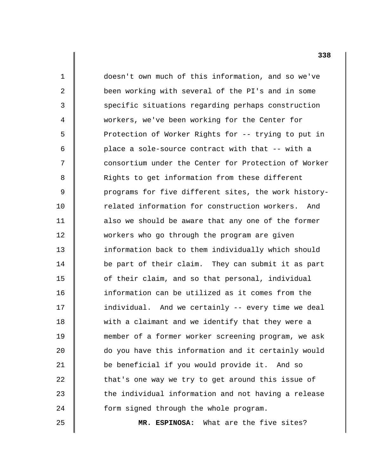doesn't own much of this information, and so we've been working with several of the PI's and in some specific situations regarding perhaps construction workers, we've been working for the Center for Protection of Worker Rights for -- trying to put in place a sole-source contract with that -- with a consortium under the Center for Protection of Worker Rights to get information from these different programs for five different sites, the work historyrelated information for construction workers. And also we should be aware that any one of the former workers who go through the program are given information back to them individually which should be part of their claim. They can submit it as part of their claim, and so that personal, individual information can be utilized as it comes from the individual. And we certainly -- every time we deal with a claimant and we identify that they were a member of a former worker screening program, we ask do you have this information and it certainly would be beneficial if you would provide it. And so that's one way we try to get around this issue of the individual information and not having a release form signed through the whole program.

1

2

3

4

5

6

7

8

9

10

11

12

13

14

15

16

17

18

19

20

21

22

23

 $2.4$ 

25

**MR. ESPINOSA:** What are the five sites?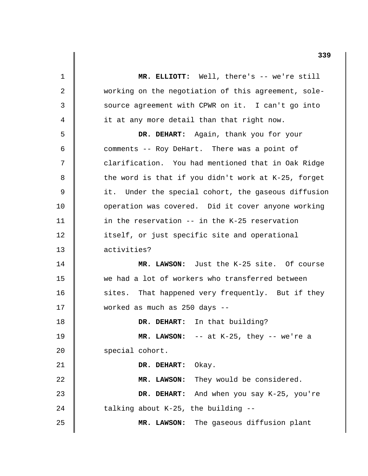|    | 339                                                 |
|----|-----------------------------------------------------|
| 1  | MR. ELLIOTT: Well, there's -- we're still           |
| 2  | working on the negotiation of this agreement, sole- |
| 3  | source agreement with CPWR on it. I can't go into   |
| 4  | it at any more detail than that right now.          |
| 5  | DR. DEHART: Again, thank you for your               |
| 6  | comments -- Roy DeHart. There was a point of        |
| 7  | clarification. You had mentioned that in Oak Ridge  |
| 8  | the word is that if you didn't work at K-25, forget |
| 9  | it. Under the special cohort, the gaseous diffusion |
| 10 | operation was covered. Did it cover anyone working  |
| 11 | in the reservation -- in the K-25 reservation       |
| 12 | itself, or just specific site and operational       |
| 13 | activities?                                         |
| 14 | MR. LAWSON: Just the K-25 site. Of course           |
| 15 | we had a lot of workers who transferred between     |
| 16 | sites. That happened very frequently. But if they   |
| 17 | worked as much as 250 days --                       |
| 18 | DR. DEHART:<br>In that building?                    |
| 19 | MR. LAWSON: $-$ at K-25, they $-$ we're a           |
| 20 | special cohort.                                     |
| 21 | DR. DEHART:<br>Okay.                                |
| 22 | They would be considered.<br>MR. LAWSON:            |
| 23 | DR. DEHART: And when you say K-25, you're           |
| 24 | talking about $K-25$ , the building $-$ -           |
| 25 | MR. LAWSON: The gaseous diffusion plant             |
|    |                                                     |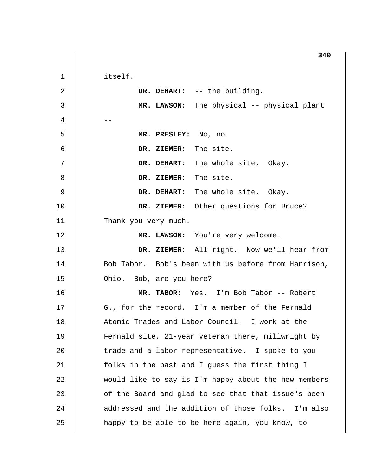1 2 3  $4 \parallel$  --5 6 7 8 9 10 11 12 13 14 15 16 17 18 19 20 21 22 23 24 25 itself. **DR. DEHART:** -- the building. **MR. LAWSON:** The physical -- physical plant **MR. PRESLEY:** No, no. **DR. ZIEMER:** The site. **DR. DEHART:** The whole site. Okay. **DR. ZIEMER:** The site. **DR. DEHART:** The whole site. Okay. **DR. ZIEMER:** Other questions for Bruce? Thank you very much. **MR. LAWSON:** You're very welcome. **DR. ZIEMER:** All right. Now we'll hear from Bob Tabor. Bob's been with us before from Harrison, Ohio. Bob, are you here? **MR. TABOR:** Yes. I'm Bob Tabor -- Robert G., for the record. I'm a member of the Fernald Atomic Trades and Labor Council. I work at the Fernald site, 21-year veteran there, millwright by trade and a labor representative. I spoke to you folks in the past and I guess the first thing I would like to say is I'm happy about the new members of the Board and glad to see that that issue's been addressed and the addition of those folks. I'm also happy to be able to be here again, you know, to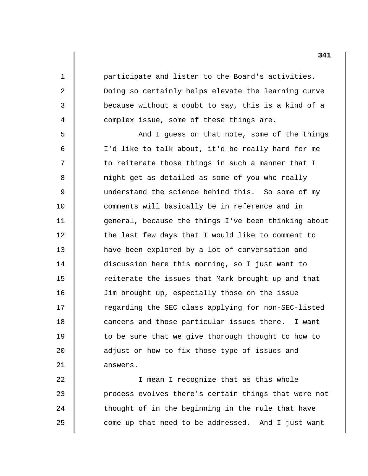participate and listen to the Board's activities. Doing so certainly helps elevate the learning curve because without a doubt to say, this is a kind of a complex issue, some of these things are.

1

2

3

4

5

6

7

8

9

10

11

12

13

14

15

16

17

18

19

20

21

22

23

24

25

And I guess on that note, some of the things I'd like to talk about, it'd be really hard for me to reiterate those things in such a manner that I might get as detailed as some of you who really understand the science behind this. So some of my comments will basically be in reference and in general, because the things I've been thinking about the last few days that I would like to comment to have been explored by a lot of conversation and discussion here this morning, so I just want to reiterate the issues that Mark brought up and that Jim brought up, especially those on the issue regarding the SEC class applying for non-SEC-listed cancers and those particular issues there. I want to be sure that we give thorough thought to how to adjust or how to fix those type of issues and answers.

I mean I recognize that as this whole process evolves there's certain things that were not thought of in the beginning in the rule that have come up that need to be addressed. And I just want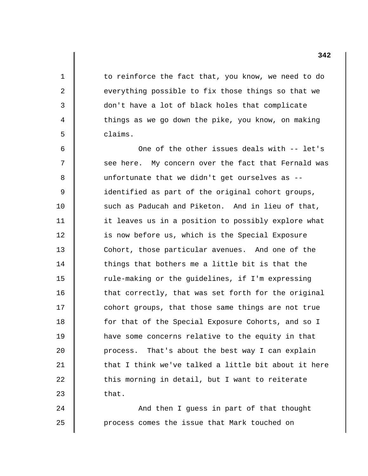to reinforce the fact that, you know, we need to do everything possible to fix those things so that we don't have a lot of black holes that complicate things as we go down the pike, you know, on making claims.

1

2

3

4

5

6

7

8

9

10

11

12

13

14

15

16

17

18

19

20

21

22

23

 $2.4$ 

25

One of the other issues deals with -- let's see here. My concern over the fact that Fernald was unfortunate that we didn't get ourselves as identified as part of the original cohort groups, such as Paducah and Piketon. And in lieu of that, it leaves us in a position to possibly explore what is now before us, which is the Special Exposure Cohort, those particular avenues. And one of the things that bothers me a little bit is that the rule-making or the guidelines, if I'm expressing that correctly, that was set forth for the original cohort groups, that those same things are not true for that of the Special Exposure Cohorts, and so I have some concerns relative to the equity in that process. That's about the best way I can explain that I think we've talked a little bit about it here this morning in detail, but I want to reiterate that.

And then I guess in part of that thought process comes the issue that Mark touched on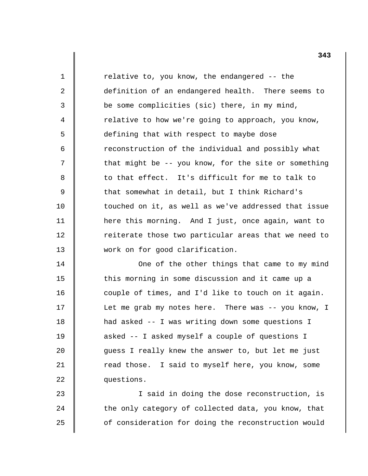relative to, you know, the endangered -- the definition of an endangered health. There seems to be some complicities (sic) there, in my mind, relative to how we're going to approach, you know, defining that with respect to maybe dose reconstruction of the individual and possibly what that might be -- you know, for the site or something to that effect. It's difficult for me to talk to that somewhat in detail, but I think Richard's touched on it, as well as we've addressed that issue here this morning. And I just, once again, want to reiterate those two particular areas that we need to work on for good clarification.

1

2

3

4

5

6

7

8

9

10

11

12

13

14

15

16

17

18

19

20

21

22

23

24

25

One of the other things that came to my mind this morning in some discussion and it came up a couple of times, and I'd like to touch on it again. Let me grab my notes here. There was -- you know, I had asked -- I was writing down some questions I asked -- I asked myself a couple of questions I guess I really knew the answer to, but let me just read those. I said to myself here, you know, some questions.

I said in doing the dose reconstruction, is the only category of collected data, you know, that of consideration for doing the reconstruction would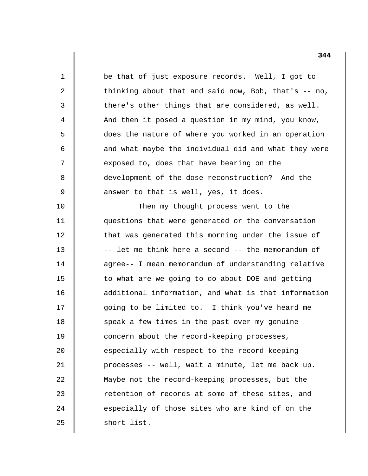1 2 3 4 5 6 7 8 9 10 11 12 13 14 15 16 17 18 19 20 21 22 23 24 25 be that of just exposure records. Well, I got to thinking about that and said now, Bob, that's -- no, there's other things that are considered, as well. And then it posed a question in my mind, you know, does the nature of where you worked in an operation and what maybe the individual did and what they were exposed to, does that have bearing on the development of the dose reconstruction? And the answer to that is well, yes, it does. Then my thought process went to the questions that were generated or the conversation that was generated this morning under the issue of -- let me think here a second -- the memorandum of agree-- I mean memorandum of understanding relative to what are we going to do about DOE and getting additional information, and what is that information going to be limited to. I think you've heard me speak a few times in the past over my genuine concern about the record-keeping processes, especially with respect to the record-keeping processes -- well, wait a minute, let me back up. Maybe not the record-keeping processes, but the retention of records at some of these sites, and especially of those sites who are kind of on the short list.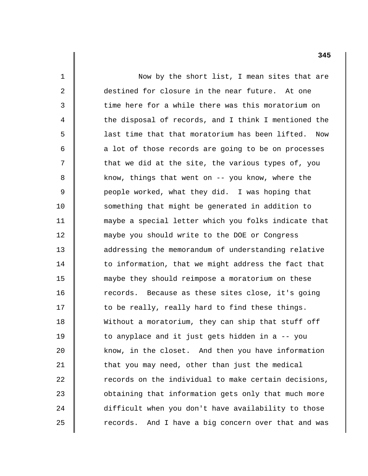Now by the short list, I mean sites that are destined for closure in the near future. At one time here for a while there was this moratorium on the disposal of records, and I think I mentioned the last time that that moratorium has been lifted. Now a lot of those records are going to be on processes that we did at the site, the various types of, you know, things that went on -- you know, where the people worked, what they did. I was hoping that something that might be generated in addition to maybe a special letter which you folks indicate that maybe you should write to the DOE or Congress addressing the memorandum of understanding relative to information, that we might address the fact that maybe they should reimpose a moratorium on these records. Because as these sites close, it's going to be really, really hard to find these things. Without a moratorium, they can ship that stuff off to anyplace and it just gets hidden in a -- you know, in the closet. And then you have information that you may need, other than just the medical records on the individual to make certain decisions, obtaining that information gets only that much more difficult when you don't have availability to those records. And I have a big concern over that and was

1

2

3

4

5

6

7

8

9

10

11

12

13

14

15

16

17

18

19

20

21

22

23

24

25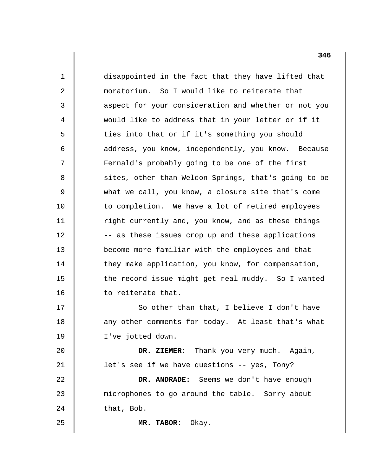1 2 3 4 5 6 7 8 9 10 11 12 13 14 15 16 17 18 19 20 21 22 23  $2.4$ 25 disappointed in the fact that they have lifted that moratorium. So I would like to reiterate that aspect for your consideration and whether or not you would like to address that in your letter or if it ties into that or if it's something you should address, you know, independently, you know. Because Fernald's probably going to be one of the first sites, other than Weldon Springs, that's going to be what we call, you know, a closure site that's come to completion. We have a lot of retired employees right currently and, you know, and as these things -- as these issues crop up and these applications become more familiar with the employees and that they make application, you know, for compensation, the record issue might get real muddy. So I wanted to reiterate that. So other than that, I believe I don't have any other comments for today. At least that's what I've jotted down. **DR. ZIEMER:** Thank you very much. Again, let's see if we have questions -- yes, Tony? **DR. ANDRADE:** Seems we don't have enough microphones to go around the table. Sorry about that, Bob.

**MR. TABOR:** Okay.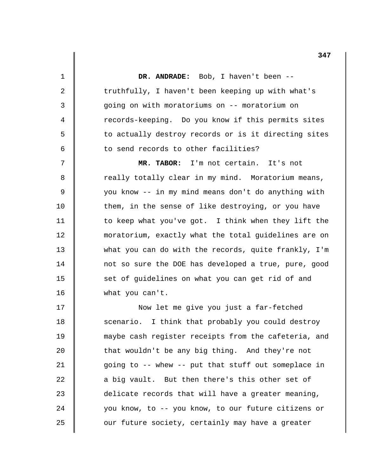1 2 3 4 5 6 7 8 9 10 11 12 13 14 15 16 17 18 19 20 21 22 23 24 25 **DR. ANDRADE:** Bob, I haven't been truthfully, I haven't been keeping up with what's going on with moratoriums on -- moratorium on records-keeping. Do you know if this permits sites to actually destroy records or is it directing sites to send records to other facilities? **MR. TABOR:** I'm not certain. It's not really totally clear in my mind. Moratorium means, you know -- in my mind means don't do anything with them, in the sense of like destroying, or you have to keep what you've got. I think when they lift the moratorium, exactly what the total guidelines are on what you can do with the records, quite frankly, I'm not so sure the DOE has developed a true, pure, good set of guidelines on what you can get rid of and what you can't. Now let me give you just a far-fetched scenario. I think that probably you could destroy maybe cash register receipts from the cafeteria, and that wouldn't be any big thing. And they're not going to -- whew -- put that stuff out someplace in a big vault. But then there's this other set of delicate records that will have a greater meaning, you know, to -- you know, to our future citizens or our future society, certainly may have a greater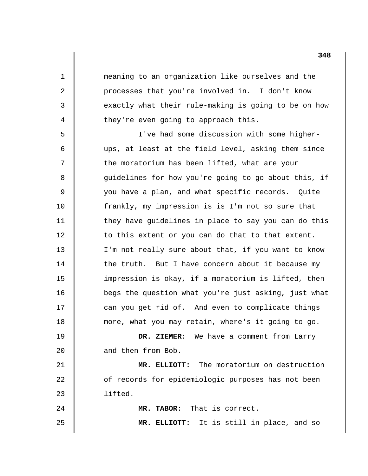meaning to an organization like ourselves and the processes that you're involved in. I don't know exactly what their rule-making is going to be on how they're even going to approach this.

1

2

3

4

5

6

7

8

9

10

11

12

13

14

15

16

17

18

19

20

21

22

23

24

25

I've had some discussion with some higherups, at least at the field level, asking them since the moratorium has been lifted, what are your guidelines for how you're going to go about this, if you have a plan, and what specific records. Quite frankly, my impression is is I'm not so sure that they have guidelines in place to say you can do this to this extent or you can do that to that extent. I'm not really sure about that, if you want to know the truth. But I have concern about it because my impression is okay, if a moratorium is lifted, then begs the question what you're just asking, just what can you get rid of. And even to complicate things more, what you may retain, where's it going to go.

**DR. ZIEMER:** We have a comment from Larry and then from Bob.

**MR. ELLIOTT:** The moratorium on destruction of records for epidemiologic purposes has not been lifted.

**MR. TABOR:** That is correct.

**MR. ELLIOTT:** It is still in place, and so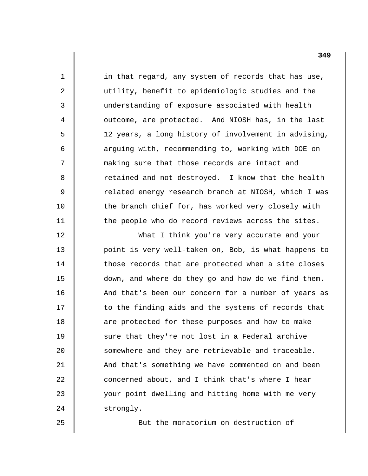| 1              | in that regard, any system of records that has use,  |
|----------------|------------------------------------------------------|
| $\overline{2}$ | utility, benefit to epidemiologic studies and the    |
| 3              | understanding of exposure associated with health     |
| 4              | outcome, are protected. And NIOSH has, in the last   |
| 5              | 12 years, a long history of involvement in advising, |
| 6              | arguing with, recommending to, working with DOE on   |
| 7              | making sure that those records are intact and        |
| 8              | retained and not destroyed. I know that the health-  |
| 9              | related energy research branch at NIOSH, which I was |
| 10             | the branch chief for, has worked very closely with   |
| 11             | the people who do record reviews across the sites.   |
| 12             | What I think you're very accurate and your           |
| 13             | point is very well-taken on, Bob, is what happens to |
| 14             | those records that are protected when a site closes  |
| 15             | down, and where do they go and how do we find them.  |
| 16             | And that's been our concern for a number of years as |
| 17             | to the finding aids and the systems of records that  |
| 18             | are protected for these purposes and how to make     |
| 19             | sure that they're not lost in a Federal archive      |
| 20             | somewhere and they are retrievable and traceable.    |
| 21             | And that's something we have commented on and been   |
| 22             | concerned about, and I think that's where I hear     |
| 23             | your point dwelling and hitting home with me very    |
| 24             | strongly.                                            |
| 25             | But the moratorium on destruction of                 |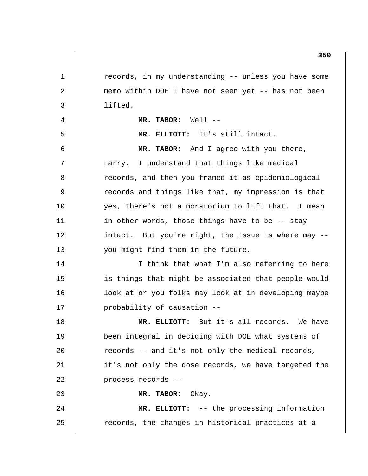1 2 3 4 5 6 7 8 9 10 11 12 13 14 15 16 17 18 19 20 21 22 23 24 25 records, in my understanding -- unless you have some memo within DOE I have not seen yet -- has not been lifted. **MR. TABOR:** Well - **MR. ELLIOTT:** It's still intact. **MR. TABOR:** And I agree with you there, Larry. I understand that things like medical records, and then you framed it as epidemiological records and things like that, my impression is that yes, there's not a moratorium to lift that. I mean in other words, those things have to be -- stay intact. But you're right, the issue is where may you might find them in the future. I think that what I'm also referring to here is things that might be associated that people would look at or you folks may look at in developing maybe probability of causation - **MR. ELLIOTT:** But it's all records. We have been integral in deciding with DOE what systems of records -- and it's not only the medical records, it's not only the dose records, we have targeted the process records - **MR. TABOR:** Okay. **MR. ELLIOTT:** -- the processing information records, the changes in historical practices at a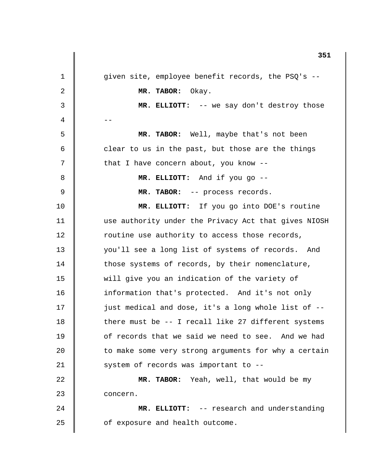1 2 3  $4 \parallel$  --5 6 7 8 9 10 11 12 13 14 15 16 17 18 19 20 21 22 23 24 25 given site, employee benefit records, the PSQ's - **MR. TABOR:** Okay. **MR. ELLIOTT:** -- we say don't destroy those **MR. TABOR:** Well, maybe that's not been clear to us in the past, but those are the things that I have concern about, you know - **MR. ELLIOTT:** And if you go - **MR. TABOR:** -- process records. **MR. ELLIOTT:** If you go into DOE's routine use authority under the Privacy Act that gives NIOSH routine use authority to access those records, you'll see a long list of systems of records. And those systems of records, by their nomenclature, will give you an indication of the variety of information that's protected. And it's not only just medical and dose, it's a long whole list of there must be -- I recall like 27 different systems of records that we said we need to see. And we had to make some very strong arguments for why a certain system of records was important to - **MR. TABOR:** Yeah, well, that would be my concern. **MR. ELLIOTT:** -- research and understanding of exposure and health outcome.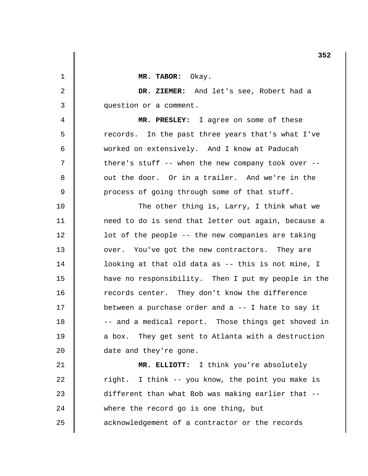|    | 352                                                    |
|----|--------------------------------------------------------|
| 1  | MR. TABOR: Okay.                                       |
| 2  | DR. ZIEMER: And let's see, Robert had a                |
| 3  | question or a comment.                                 |
| 4  | MR. PRESLEY: I agree on some of these                  |
| 5  | records. In the past three years that's what I've      |
| 6  | worked on extensively. And I know at Paducah           |
| 7  | there's stuff $--$ when the new company took over $--$ |
| 8  | out the door. Or in a trailer. And we're in the        |
| 9  | process of going through some of that stuff.           |
| 10 | The other thing is, Larry, I think what we             |
| 11 | need to do is send that letter out again, because a    |
| 12 | lot of the people -- the new companies are taking      |
| 13 | over. You've got the new contractors. They are         |
| 14 | looking at that old data as -- this is not mine, I     |
| 15 | have no responsibility. Then I put my people in the    |
| 16 | records center. They don't know the difference         |
| 17 | between a purchase order and a -- I hate to say it     |
| 18 | -- and a medical report. Those things get shoved in    |
| 19 | a box. They get sent to Atlanta with a destruction     |
| 20 | date and they're gone.                                 |
| 21 | MR. ELLIOTT: I think you're absolutely                 |
| 22 | right. I think -- you know, the point you make is      |
| 23 | different than what Bob was making earlier that --     |
| 24 | where the record go is one thing, but                  |
| 25 | acknowledgement of a contractor or the records         |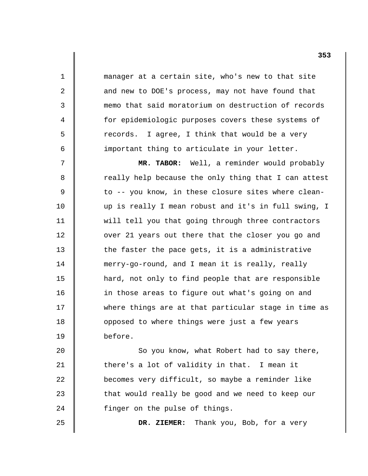1 2 3 4 5 6 7 8 9 10 11 12 13 14 15 16 17 18 19 20 21 22 manager at a certain site, who's new to that site and new to DOE's process, may not have found that memo that said moratorium on destruction of records for epidemiologic purposes covers these systems of records. I agree, I think that would be a very important thing to articulate in your letter. **MR. TABOR:** Well, a reminder would probably really help because the only thing that I can attest to -- you know, in these closure sites where cleanup is really I mean robust and it's in full swing, I will tell you that going through three contractors over 21 years out there that the closer you go and the faster the pace gets, it is a administrative merry-go-round, and I mean it is really, really hard, not only to find people that are responsible in those areas to figure out what's going on and where things are at that particular stage in time as opposed to where things were just a few years before. So you know, what Robert had to say there, there's a lot of validity in that. I mean it becomes very difficult, so maybe a reminder like

that would really be good and we need to keep our finger on the pulse of things.

23

24

25

**DR. ZIEMER:** Thank you, Bob, for a very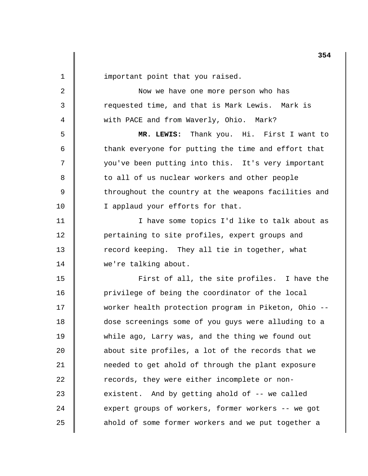1 2 3 4 5 6 7 8 9 10 11 12 13 14 15 16 17 18 19 20 21 22 23  $2.4$ 25 important point that you raised. Now we have one more person who has requested time, and that is Mark Lewis. Mark is with PACE and from Waverly, Ohio. Mark? **MR. LEWIS:** Thank you. Hi. First I want to thank everyone for putting the time and effort that you've been putting into this. It's very important to all of us nuclear workers and other people throughout the country at the weapons facilities and I applaud your efforts for that. I have some topics I'd like to talk about as pertaining to site profiles, expert groups and record keeping. They all tie in together, what we're talking about. First of all, the site profiles. I have the privilege of being the coordinator of the local worker health protection program in Piketon, Ohio dose screenings some of you guys were alluding to a while ago, Larry was, and the thing we found out about site profiles, a lot of the records that we needed to get ahold of through the plant exposure records, they were either incomplete or nonexistent. And by getting ahold of -- we called expert groups of workers, former workers -- we got ahold of some former workers and we put together a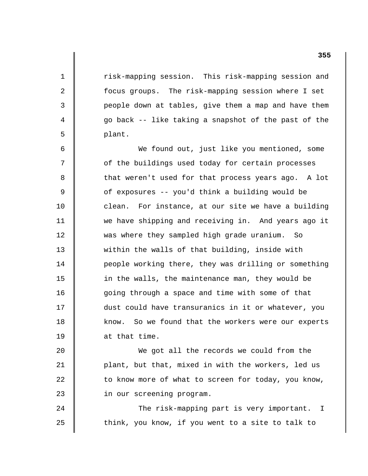risk-mapping session. This risk-mapping session and focus groups. The risk-mapping session where I set people down at tables, give them a map and have them go back -- like taking a snapshot of the past of the plant.

1

2

3

4

5

6

7

8

9

10

11

12

13

14

15

16

17

18

19

20

21

22

23

24

25

We found out, just like you mentioned, some of the buildings used today for certain processes that weren't used for that process years ago. A lot of exposures -- you'd think a building would be clean. For instance, at our site we have a building we have shipping and receiving in. And years ago it was where they sampled high grade uranium. So within the walls of that building, inside with people working there, they was drilling or something in the walls, the maintenance man, they would be going through a space and time with some of that dust could have transuranics in it or whatever, you know. So we found that the workers were our experts at that time.

We got all the records we could from the plant, but that, mixed in with the workers, led us to know more of what to screen for today, you know, in our screening program.

The risk-mapping part is very important. I think, you know, if you went to a site to talk to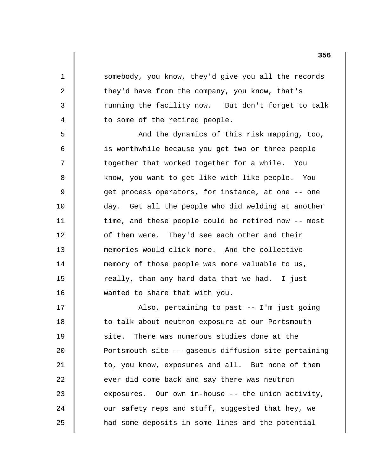somebody, you know, they'd give you all the records they'd have from the company, you know, that's running the facility now. But don't forget to talk to some of the retired people.

1

2

3

4

5

6

7

8

9

10

11

12

13

14

15

16

And the dynamics of this risk mapping, too, is worthwhile because you get two or three people together that worked together for a while. You know, you want to get like with like people. You get process operators, for instance, at one -- one day. Get all the people who did welding at another time, and these people could be retired now -- most of them were. They'd see each other and their memories would click more. And the collective memory of those people was more valuable to us, really, than any hard data that we had. I just wanted to share that with you.

17 18 19 20 21 22 23 24 25 Also, pertaining to past -- I'm just going to talk about neutron exposure at our Portsmouth site. There was numerous studies done at the Portsmouth site -- gaseous diffusion site pertaining to, you know, exposures and all. But none of them ever did come back and say there was neutron exposures. Our own in-house -- the union activity, our safety reps and stuff, suggested that hey, we had some deposits in some lines and the potential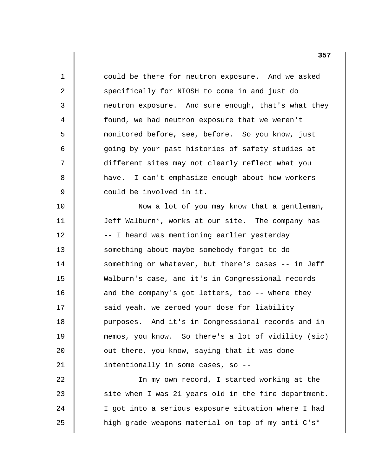1 2 3 4 5 6 7 8 9 10 11 12 13 14 15 16 17 18 19 20 21 22 23  $2.4$ could be there for neutron exposure. And we asked specifically for NIOSH to come in and just do neutron exposure. And sure enough, that's what they found, we had neutron exposure that we weren't monitored before, see, before. So you know, just going by your past histories of safety studies at different sites may not clearly reflect what you have. I can't emphasize enough about how workers could be involved in it. Now a lot of you may know that a gentleman, Jeff Walburn\*, works at our site. The company has -- I heard was mentioning earlier yesterday something about maybe somebody forgot to do something or whatever, but there's cases -- in Jeff Walburn's case, and it's in Congressional records and the company's got letters, too -- where they said yeah, we zeroed your dose for liability purposes. And it's in Congressional records and in memos, you know. So there's a lot of vidility (sic) out there, you know, saying that it was done intentionally in some cases, so - In my own record, I started working at the site when I was 21 years old in the fire department. I got into a serious exposure situation where I had

high grade weapons material on top of my anti-C's\*

25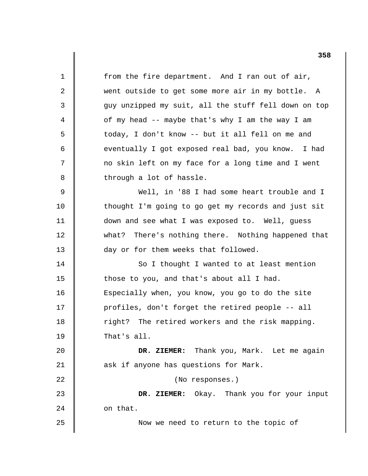1 2 3 4 5 6 7 8 9 10 11 12 13 14 15 16 17 18 19 20 21 22 23 24 25 from the fire department. And I ran out of air, went outside to get some more air in my bottle. A guy unzipped my suit, all the stuff fell down on top of my head -- maybe that's why I am the way I am today, I don't know -- but it all fell on me and eventually I got exposed real bad, you know. I had no skin left on my face for a long time and I went through a lot of hassle. Well, in '88 I had some heart trouble and I thought I'm going to go get my records and just sit down and see what I was exposed to. Well, guess what? There's nothing there. Nothing happened that day or for them weeks that followed. So I thought I wanted to at least mention those to you, and that's about all I had. Especially when, you know, you go to do the site profiles, don't forget the retired people -- all right? The retired workers and the risk mapping. That's all. **DR. ZIEMER:** Thank you, Mark. Let me again ask if anyone has questions for Mark. (No responses.) **DR. ZIEMER:** Okay. Thank you for your input on that. Now we need to return to the topic of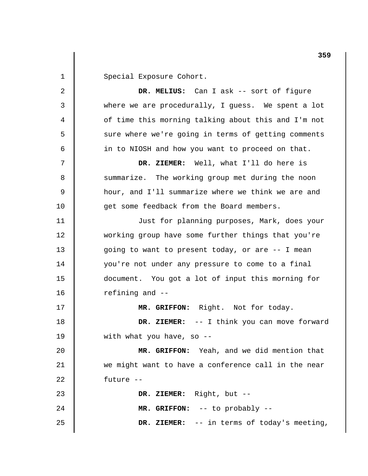1 2 3 4 5 6 7 8 9 10 11 12 13 14 15 16 17 18 19 20 21 22 23 24 25 Special Exposure Cohort. **DR. MELIUS:** Can I ask -- sort of figure where we are procedurally, I guess. We spent a lot of time this morning talking about this and I'm not sure where we're going in terms of getting comments in to NIOSH and how you want to proceed on that. **DR. ZIEMER:** Well, what I'll do here is summarize. The working group met during the noon hour, and I'll summarize where we think we are and get some feedback from the Board members. Just for planning purposes, Mark, does your working group have some further things that you're going to want to present today, or are -- I mean you're not under any pressure to come to a final document. You got a lot of input this morning for refining and - **MR. GRIFFON:** Right. Not for today. **DR. ZIEMER:** -- I think you can move forward with what you have, so --**MR. GRIFFON:** Yeah, and we did mention that we might want to have a conference call in the near future - **DR. ZIEMER:** Right, but - **MR. GRIFFON:** -- to probably - **DR. ZIEMER:** -- in terms of today's meeting,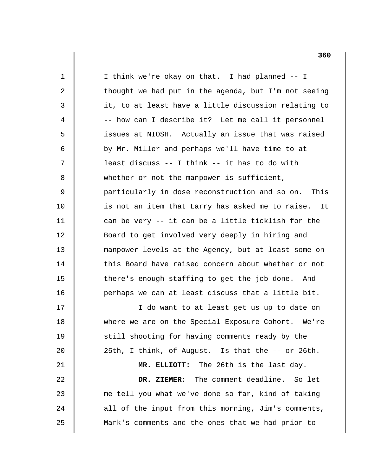| $\mathbf 1$    | I think we're okay on that. I had planned -- I       |
|----------------|------------------------------------------------------|
| $\overline{a}$ | thought we had put in the agenda, but I'm not seeing |
| $\mathsf{3}$   | it, to at least have a little discussion relating to |
| $\overline{4}$ | -- how can I describe it? Let me call it personnel   |
| 5              | issues at NIOSH. Actually an issue that was raised   |
| 6              | by Mr. Miller and perhaps we'll have time to at      |
| 7              | least discuss -- I think -- it has to do with        |
| 8              | whether or not the manpower is sufficient,           |
| 9              | particularly in dose reconstruction and so on. This  |
| 10             | is not an item that Larry has asked me to raise. It  |
| 11             | can be very -- it can be a little ticklish for the   |
| 12             | Board to get involved very deeply in hiring and      |
| 13             | manpower levels at the Agency, but at least some on  |
| 14             | this Board have raised concern about whether or not  |
| 15             | there's enough staffing to get the job done. And     |
| 16             | perhaps we can at least discuss that a little bit.   |
| 17             | I do want to at least get us up to date on           |
| 18             | where we are on the Special Exposure Cohort. We're   |
| 19             | still shooting for having comments ready by the      |
| 20             | 25th, I think, of August. Is that the -- or 26th.    |
| 21             | MR. ELLIOTT: The 26th is the last day.               |
| 22             | The comment deadline. So let<br>DR. ZIEMER:          |
| 23             | me tell you what we've done so far, kind of taking   |
| 24             | all of the input from this morning, Jim's comments,  |
| 25             | Mark's comments and the ones that we had prior to    |
|                |                                                      |

 $\|$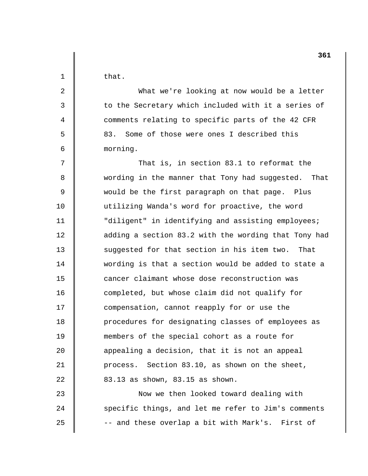that.

1

2

3

4

5

6

7

8

9

10

11

12

13

14

15

16

17

18

19

20

21

22

23

24

25

What we're looking at now would be a letter to the Secretary which included with it a series of comments relating to specific parts of the 42 CFR 83. Some of those were ones I described this morning.

That is, in section 83.1 to reformat the wording in the manner that Tony had suggested. That would be the first paragraph on that page. Plus utilizing Wanda's word for proactive, the word "diligent" in identifying and assisting employees; adding a section 83.2 with the wording that Tony had suggested for that section in his item two. That wording is that a section would be added to state a cancer claimant whose dose reconstruction was completed, but whose claim did not qualify for compensation, cannot reapply for or use the procedures for designating classes of employees as members of the special cohort as a route for appealing a decision, that it is not an appeal process. Section 83.10, as shown on the sheet, 83.13 as shown, 83.15 as shown.

Now we then looked toward dealing with specific things, and let me refer to Jim's comments -- and these overlap a bit with Mark's. First of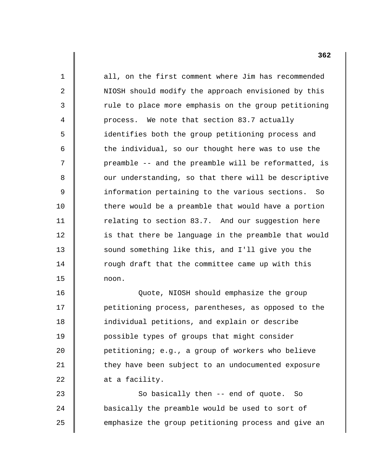all, on the first comment where Jim has recommended NIOSH should modify the approach envisioned by this rule to place more emphasis on the group petitioning process. We note that section 83.7 actually identifies both the group petitioning process and the individual, so our thought here was to use the preamble -- and the preamble will be reformatted, is our understanding, so that there will be descriptive information pertaining to the various sections. So there would be a preamble that would have a portion relating to section 83.7. And our suggestion here is that there be language in the preamble that would sound something like this, and I'll give you the rough draft that the committee came up with this noon.

1

2

3

4

5

6

7

8

9

10

11

12

13

14

15

16

17

18

19

20

21

22

23

24

25

Quote, NIOSH should emphasize the group petitioning process, parentheses, as opposed to the individual petitions, and explain or describe possible types of groups that might consider petitioning; e.g., a group of workers who believe they have been subject to an undocumented exposure at a facility.

So basically then -- end of quote. So basically the preamble would be used to sort of emphasize the group petitioning process and give an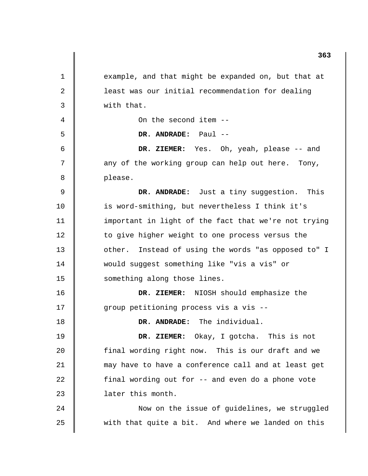1 2 3 4 5 6 7 8 9 10 11 12 13 14 15 16 17 18 19 20 21 22 23 24 25 example, and that might be expanded on, but that at least was our initial recommendation for dealing with that. On the second item - **DR. ANDRADE:** Paul - **DR. ZIEMER:** Yes. Oh, yeah, please -- and any of the working group can help out here. Tony, please. **DR. ANDRADE:** Just a tiny suggestion. This is word-smithing, but nevertheless I think it's important in light of the fact that we're not trying to give higher weight to one process versus the other. Instead of using the words "as opposed to" I would suggest something like "vis a vis" or something along those lines. **DR. ZIEMER:** NIOSH should emphasize the group petitioning process vis a vis - **DR. ANDRADE:** The individual. **DR. ZIEMER:** Okay, I gotcha. This is not final wording right now. This is our draft and we may have to have a conference call and at least get final wording out for -- and even do a phone vote later this month. Now on the issue of guidelines, we struggled with that quite a bit. And where we landed on this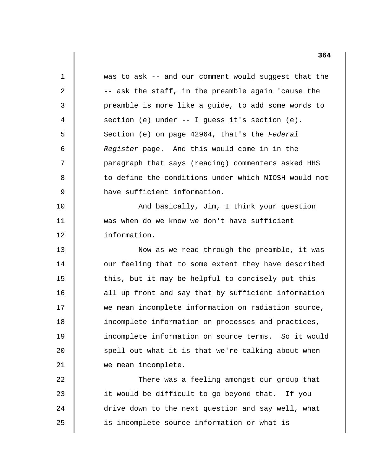1 2 3 4 5 6 7 8 9 10 11 12 13 14 15 16 17 18 19 20 21 22 23 24 25 was to ask -- and our comment would suggest that the -- ask the staff, in the preamble again 'cause the preamble is more like a guide, to add some words to section (e) under -- I guess it's section (e). Section (e) on page 42964, that's the *Federal Register* page. And this would come in in the paragraph that says (reading) commenters asked HHS to define the conditions under which NIOSH would not have sufficient information. And basically, Jim, I think your question was when do we know we don't have sufficient information. Now as we read through the preamble, it was our feeling that to some extent they have described this, but it may be helpful to concisely put this all up front and say that by sufficient information we mean incomplete information on radiation source, incomplete information on processes and practices, incomplete information on source terms. So it would spell out what it is that we're talking about when we mean incomplete. There was a feeling amongst our group that it would be difficult to go beyond that. If you drive down to the next question and say well, what is incomplete source information or what is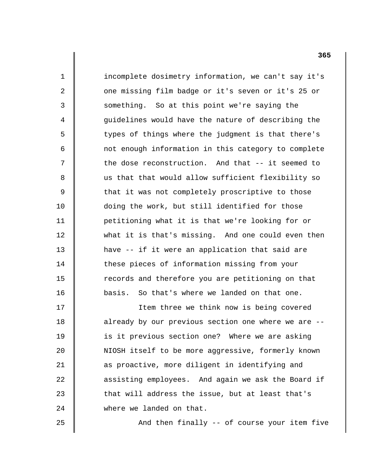incomplete dosimetry information, we can't say it's one missing film badge or it's seven or it's 25 or something. So at this point we're saying the guidelines would have the nature of describing the types of things where the judgment is that there's not enough information in this category to complete the dose reconstruction. And that -- it seemed to us that that would allow sufficient flexibility so that it was not completely proscriptive to those doing the work, but still identified for those petitioning what it is that we're looking for or what it is that's missing. And one could even then have -- if it were an application that said are these pieces of information missing from your records and therefore you are petitioning on that basis. So that's where we landed on that one. Item three we think now is being covered

1

2

3

4

5

6

7

8

9

10

11

12

13

14

15

16

17

18

19

20

21

22

23

24

25

already by our previous section one where we are is it previous section one? Where we are asking NIOSH itself to be more aggressive, formerly known as proactive, more diligent in identifying and assisting employees. And again we ask the Board if that will address the issue, but at least that's where we landed on that.

And then finally -- of course your item five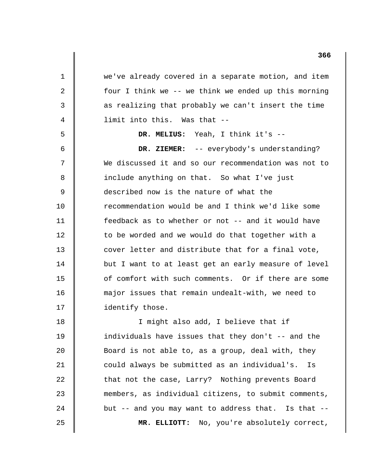we've already covered in a separate motion, and item four I think we -- we think we ended up this morning as realizing that probably we can't insert the time limit into this. Was that -

1

2

3

4

5

6

7

8

9

10

11

12

13

14

15

16

17

18

19

20

21

22

23

24

25

**DR. MELIUS:** Yeah, I think it's -

**DR. ZIEMER:** -- everybody's understanding? We discussed it and so our recommendation was not to include anything on that. So what I've just described now is the nature of what the recommendation would be and I think we'd like some feedback as to whether or not -- and it would have to be worded and we would do that together with a cover letter and distribute that for a final vote, but I want to at least get an early measure of level of comfort with such comments. Or if there are some major issues that remain undealt-with, we need to identify those.

I might also add, I believe that if individuals have issues that they don't -- and the Board is not able to, as a group, deal with, they could always be submitted as an individual's. Is that not the case, Larry? Nothing prevents Board members, as individual citizens, to submit comments, but -- and you may want to address that. Is that --**MR. ELLIOTT:** No, you're absolutely correct,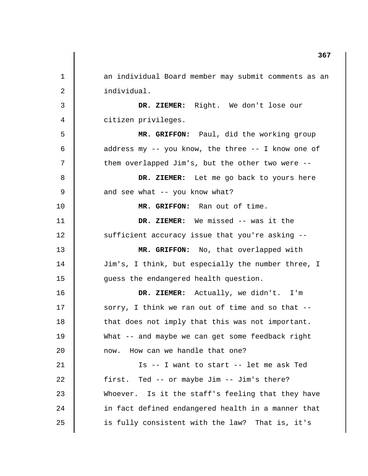1 2 3 4 5 6 7 8 9 10 11 12 13 14 15 16 17 18 19 20 21 22 23 24 25 an individual Board member may submit comments as an individual. **DR. ZIEMER:** Right. We don't lose our citizen privileges. **MR. GRIFFON:** Paul, did the working group address my -- you know, the three -- I know one of them overlapped Jim's, but the other two were - **DR. ZIEMER:** Let me go back to yours here and see what -- you know what? **MR. GRIFFON:** Ran out of time. **DR. ZIEMER:** We missed -- was it the sufficient accuracy issue that you're asking - **MR. GRIFFON:** No, that overlapped with Jim's, I think, but especially the number three, I guess the endangered health question. **DR. ZIEMER:** Actually, we didn't. I'm sorry, I think we ran out of time and so that -that does not imply that this was not important. What -- and maybe we can get some feedback right now. How can we handle that one? Is -- I want to start -- let me ask Ted first. Ted -- or maybe Jim -- Jim's there? Whoever. Is it the staff's feeling that they have in fact defined endangered health in a manner that is fully consistent with the law? That is, it's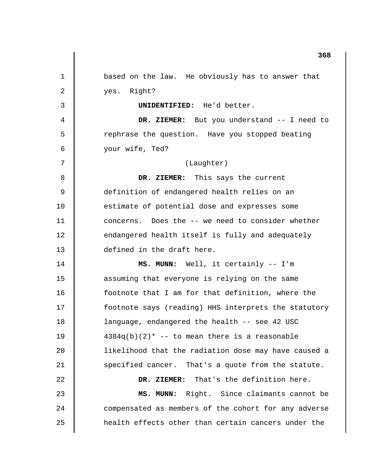|    | 368                                                  |
|----|------------------------------------------------------|
| 1  | based on the law. He obviously has to answer that    |
| 2  | yes. Right?                                          |
| 3  | UNIDENTIFIED: He'd better.                           |
| 4  | DR. ZIEMER: But you understand -- I need to          |
| 5  | rephrase the question. Have you stopped beating      |
| 6  | your wife, Ted?                                      |
| 7  | (Laughter)                                           |
| 8  | DR. ZIEMER: This says the current                    |
| 9  | definition of endangered health relies on an         |
| 10 | estimate of potential dose and expresses some        |
| 11 | concerns. Does the -- we need to consider whether    |
| 12 | endangered health itself is fully and adequately     |
| 13 | defined in the draft here.                           |
| 14 | MS. MUNN: Well, it certainly -- I'm                  |
| 15 | assuming that everyone is relying on the same        |
| 16 | footnote that I am for that definition, where the    |
| 17 | footnote says (reading) HHS interprets the statutory |
| 18 | language, endangered the health -- see 42 USC        |
| 19 | $4384q(b)(2)$ * -- to mean there is a reasonable     |
| 20 | likelihood that the radiation dose may have caused a |
| 21 | specified cancer. That's a quote from the statute.   |
| 22 | DR. ZIEMER: That's the definition here.              |
| 23 | MS. MUNN: Right. Since claimants cannot be           |
| 24 | compensated as members of the cohort for any adverse |
| 25 | health effects other than certain cancers under the  |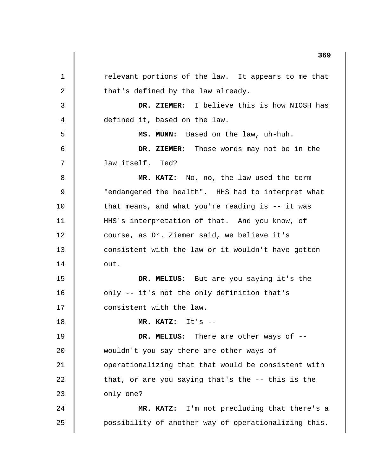1 2 3 4 5 6 7 8 9 10 11 12 13 14 15 16 17 18 19 20 21 22 23 24 25 relevant portions of the law. It appears to me that that's defined by the law already. **DR. ZIEMER:** I believe this is how NIOSH has defined it, based on the law. **MS. MUNN:** Based on the law, uh-huh. **DR. ZIEMER:** Those words may not be in the law itself. Ted? **MR. KATZ:** No, no, the law used the term "endangered the health". HHS had to interpret what that means, and what you're reading is -- it was HHS's interpretation of that. And you know, of course, as Dr. Ziemer said, we believe it's consistent with the law or it wouldn't have gotten out. **DR. MELIUS:** But are you saying it's the only -- it's not the only definition that's consistent with the law. **MR. KATZ:** It's - **DR. MELIUS:** There are other ways of wouldn't you say there are other ways of operationalizing that that would be consistent with that, or are you saying that's the -- this is the only one? **MR. KATZ:** I'm not precluding that there's a possibility of another way of operationalizing this.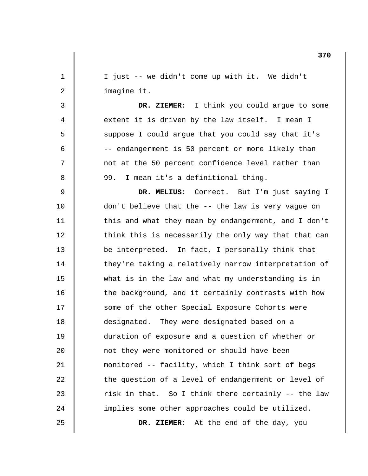| $\mathbf 1$    | I just -- we didn't come up with it. We didn't       |
|----------------|------------------------------------------------------|
| $\sqrt{2}$     | imagine it.                                          |
| 3              | DR. ZIEMER: I think you could argue to some          |
| $\overline{4}$ | extent it is driven by the law itself. I mean I      |
| 5              | suppose I could argue that you could say that it's   |
| 6              | -- endangerment is 50 percent or more likely than    |
| 7              | not at the 50 percent confidence level rather than   |
| $\, 8$         | I mean it's a definitional thing.<br>99.             |
| 9              | DR. MELIUS: Correct. But I'm just saying I           |
| 10             | don't believe that the -- the law is very vague on   |
| 11             | this and what they mean by endangerment, and I don't |
| 12             | think this is necessarily the only way that that can |
| 13             | be interpreted. In fact, I personally think that     |
| 14             | they're taking a relatively narrow interpretation of |
| 15             | what is in the law and what my understanding is in   |
| 16             | the background, and it certainly contrasts with how  |
| 17             | some of the other Special Exposure Cohorts were      |
| 18             | designated. They were designated based on a          |
| 19             | duration of exposure and a question of whether or    |
| 20             | not they were monitored or should have been          |
| 21             | monitored -- facility, which I think sort of begs    |
| 22             | the question of a level of endangerment or level of  |
| 23             | risk in that. So I think there certainly -- the law  |
| 24             | implies some other approaches could be utilized.     |
| 25             | DR. ZIEMER: At the end of the day, you               |

 $\mathbb{I}$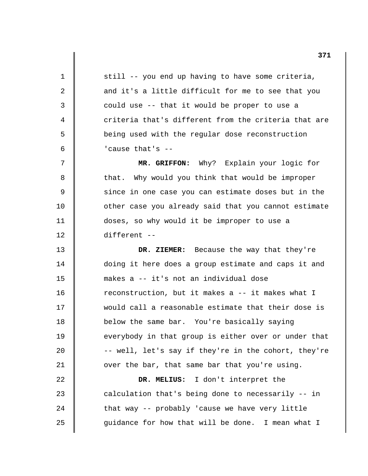1 2 3 4 5 6 7 8 9 10 11 12 13 14 15 16 17 18 19 20 21 22 23 24 25 still -- you end up having to have some criteria, and it's a little difficult for me to see that you could use -- that it would be proper to use a criteria that's different from the criteria that are being used with the regular dose reconstruction 'cause that's - **MR. GRIFFON:** Why? Explain your logic for that. Why would you think that would be improper since in one case you can estimate doses but in the other case you already said that you cannot estimate doses, so why would it be improper to use a different - **DR. ZIEMER:** Because the way that they're doing it here does a group estimate and caps it and makes a -- it's not an individual dose reconstruction, but it makes a -- it makes what I would call a reasonable estimate that their dose is below the same bar. You're basically saying everybody in that group is either over or under that -- well, let's say if they're in the cohort, they're over the bar, that same bar that you're using. **DR. MELIUS:** I don't interpret the calculation that's being done to necessarily -- in that way -- probably 'cause we have very little guidance for how that will be done. I mean what I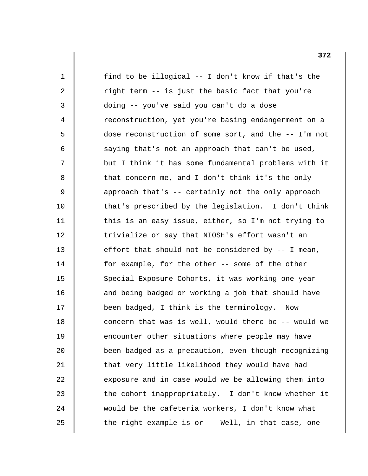1 2 3 4 5 6 7 8 9 10 11 12 13 14 15 16 17 18 19 20 21 22 23 24 25 find to be illogical -- I don't know if that's the right term -- is just the basic fact that you're doing -- you've said you can't do a dose reconstruction, yet you're basing endangerment on a dose reconstruction of some sort, and the -- I'm not saying that's not an approach that can't be used, but I think it has some fundamental problems with it that concern me, and I don't think it's the only approach that's -- certainly not the only approach that's prescribed by the legislation. I don't think this is an easy issue, either, so I'm not trying to trivialize or say that NIOSH's effort wasn't an effort that should not be considered by -- I mean, for example, for the other -- some of the other Special Exposure Cohorts, it was working one year and being badged or working a job that should have been badged, I think is the terminology. Now concern that was is well, would there be -- would we encounter other situations where people may have been badged as a precaution, even though recognizing that very little likelihood they would have had exposure and in case would we be allowing them into the cohort inappropriately. I don't know whether it would be the cafeteria workers, I don't know what the right example is or -- Well, in that case, one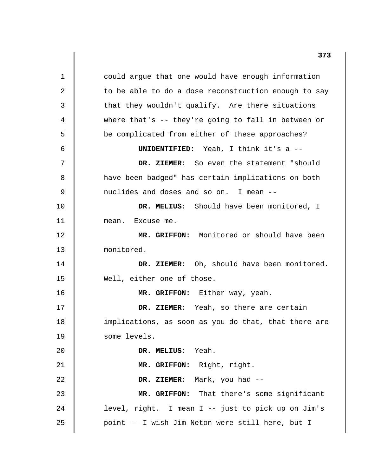1 2 3 4 5 6 7 8 9 10 11 12 13 14 15 16 17 18 19 20 21 22 23 24 25 could argue that one would have enough information to be able to do a dose reconstruction enough to say that they wouldn't qualify. Are there situations where that's -- they're going to fall in between or be complicated from either of these approaches? **UNIDENTIFIED:** Yeah, I think it's a - **DR. ZIEMER:** So even the statement "should have been badged" has certain implications on both nuclides and doses and so on. I mean - **DR. MELIUS:** Should have been monitored, I mean. Excuse me. **MR. GRIFFON:** Monitored or should have been monitored. **DR. ZIEMER:** Oh, should have been monitored. Well, either one of those. **MR. GRIFFON:** Either way, yeah. **DR. ZIEMER:** Yeah, so there are certain implications, as soon as you do that, that there are some levels. **DR. MELIUS:** Yeah. **MR. GRIFFON:** Right, right. **DR. ZIEMER:** Mark, you had - **MR. GRIFFON:** That there's some significant level, right. I mean I -- just to pick up on Jim's point -- I wish Jim Neton were still here, but I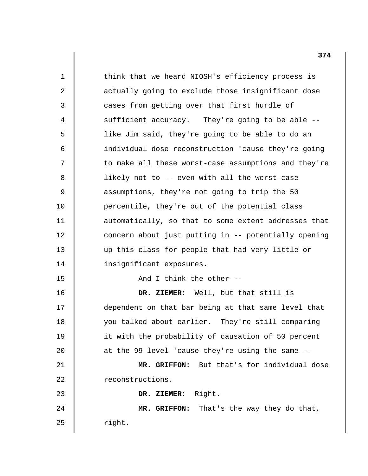1 2 3 4 5 6 7 8 9 10 11 12 13 14 15 16 17 18 19 20 21 22 23 24 25 think that we heard NIOSH's efficiency process is actually going to exclude those insignificant dose cases from getting over that first hurdle of sufficient accuracy. They're going to be able -like Jim said, they're going to be able to do an individual dose reconstruction 'cause they're going to make all these worst-case assumptions and they're likely not to -- even with all the worst-case assumptions, they're not going to trip the 50 percentile, they're out of the potential class automatically, so that to some extent addresses that concern about just putting in -- potentially opening up this class for people that had very little or insignificant exposures. And I think the other - **DR. ZIEMER:** Well, but that still is dependent on that bar being at that same level that you talked about earlier. They're still comparing it with the probability of causation of 50 percent at the 99 level 'cause they're using the same - **MR. GRIFFON:** But that's for individual dose reconstructions. **DR. ZIEMER:** Right. **MR. GRIFFON:** That's the way they do that, right.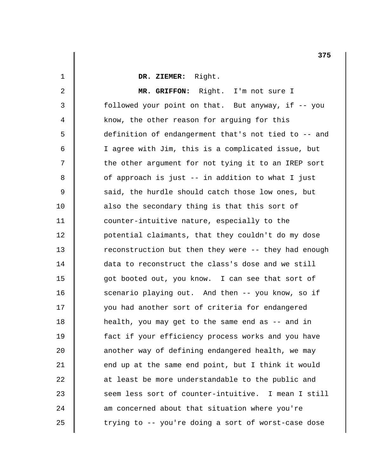**DR. ZIEMER:** Right.

1

2

3

4

5

6

7

8

9

10

11

12

13

14

15

16

17

18

19

20

21

22

23

24

25

**MR. GRIFFON:** Right. I'm not sure I followed your point on that. But anyway, if -- you know, the other reason for arguing for this definition of endangerment that's not tied to -- and I agree with Jim, this is a complicated issue, but the other argument for not tying it to an IREP sort of approach is just -- in addition to what I just said, the hurdle should catch those low ones, but also the secondary thing is that this sort of counter-intuitive nature, especially to the potential claimants, that they couldn't do my dose reconstruction but then they were -- they had enough data to reconstruct the class's dose and we still got booted out, you know. I can see that sort of scenario playing out. And then -- you know, so if you had another sort of criteria for endangered health, you may get to the same end as -- and in fact if your efficiency process works and you have another way of defining endangered health, we may end up at the same end point, but I think it would at least be more understandable to the public and seem less sort of counter-intuitive. I mean I still am concerned about that situation where you're trying to -- you're doing a sort of worst-case dose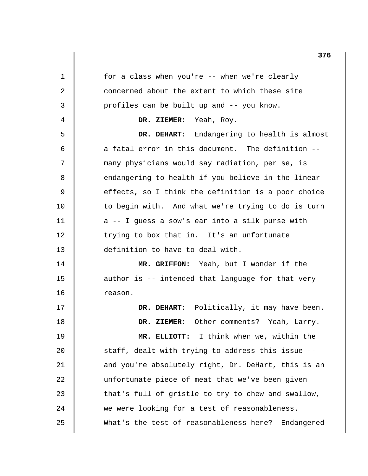1 2 3 4 5 6 7 8 9 10 11 12 13 14 15 16 17 18 19 20 21 22 23 24 25 for a class when you're -- when we're clearly concerned about the extent to which these site profiles can be built up and -- you know. **DR. ZIEMER:** Yeah, Roy. **DR. DEHART:** Endangering to health is almost a fatal error in this document. The definition many physicians would say radiation, per se, is endangering to health if you believe in the linear effects, so I think the definition is a poor choice to begin with. And what we're trying to do is turn a -- I guess a sow's ear into a silk purse with trying to box that in. It's an unfortunate definition to have to deal with. **MR. GRIFFON:** Yeah, but I wonder if the author is -- intended that language for that very reason. **DR. DEHART:** Politically, it may have been. **DR. ZIEMER:** Other comments? Yeah, Larry. **MR. ELLIOTT:** I think when we, within the staff, dealt with trying to address this issue and you're absolutely right, Dr. DeHart, this is an unfortunate piece of meat that we've been given that's full of gristle to try to chew and swallow, we were looking for a test of reasonableness. What's the test of reasonableness here? Endangered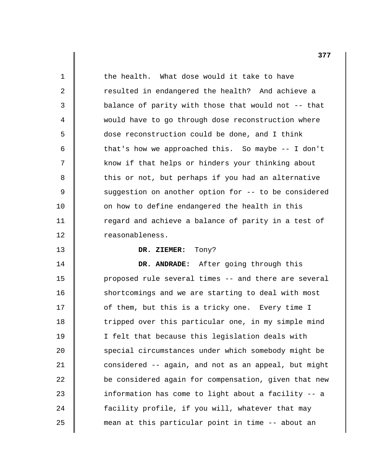| $\mathbf{1}$ | the health. What dose would it take to have          |
|--------------|------------------------------------------------------|
| 2            | resulted in endangered the health? And achieve a     |
| 3            | balance of parity with those that would not -- that  |
| 4            | would have to go through dose reconstruction where   |
| 5            | dose reconstruction could be done, and I think       |
| 6            | that's how we approached this. So maybe -- I don't   |
| 7            | know if that helps or hinders your thinking about    |
| 8            | this or not, but perhaps if you had an alternative   |
| $\mathsf 9$  | suggestion on another option for -- to be considered |
| 10           | on how to define endangered the health in this       |
| 11           | regard and achieve a balance of parity in a test of  |
| 12           | reasonableness.                                      |
| 13           | Tony?<br>DR. ZIEMER:                                 |
| 14           | DR. ANDRADE: After going through this                |
| 15           | proposed rule several times -- and there are several |
| 16           | shortcomings and we are starting to deal with most   |
|              |                                                      |
| 17           | of them, but this is a tricky one. Every time I      |
| 18           | tripped over this particular one, in my simple mind  |
| 19           | I felt that because this legislation deals with      |
| 20           | special circumstances under which somebody might be  |
| 21           | considered -- again, and not as an appeal, but might |
| 22           | be considered again for compensation, given that new |
| 23           | information has come to light about a facility -- a  |
| 24           | facility profile, if you will, whatever that may     |
| 25           | mean at this particular point in time -- about an    |

 $\mathbb{I}$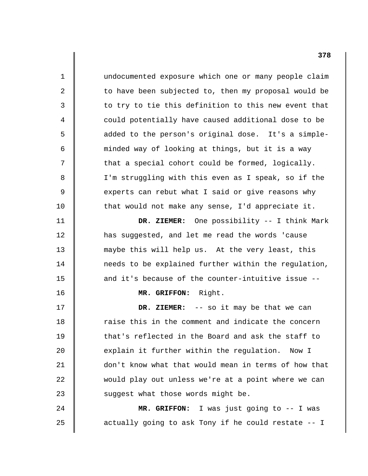1 2 3 4 5 6 7 8 9 10 11 12 13 14 15 16 17 18 19 20 21 22 23 24 25 undocumented exposure which one or many people claim to have been subjected to, then my proposal would be to try to tie this definition to this new event that could potentially have caused additional dose to be added to the person's original dose. It's a simpleminded way of looking at things, but it is a way that a special cohort could be formed, logically. I'm struggling with this even as I speak, so if the experts can rebut what I said or give reasons why that would not make any sense, I'd appreciate it. **DR. ZIEMER:** One possibility -- I think Mark has suggested, and let me read the words 'cause maybe this will help us. At the very least, this needs to be explained further within the regulation, and it's because of the counter-intuitive issue - **MR. GRIFFON:** Right. **DR. ZIEMER:** -- so it may be that we can raise this in the comment and indicate the concern that's reflected in the Board and ask the staff to explain it further within the regulation. Now I don't know what that would mean in terms of how that would play out unless we're at a point where we can suggest what those words might be. **MR. GRIFFON:** I was just going to -- I was actually going to ask Tony if he could restate -- I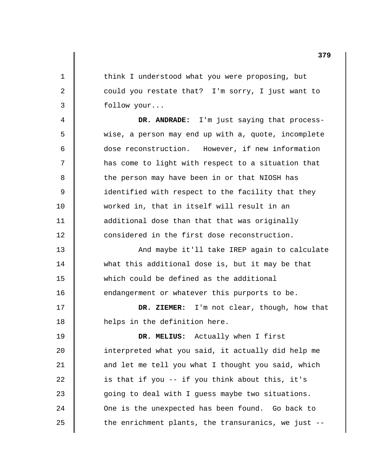1 2 3 4 5 6 7 8 9 10 11 12 13 14 15 16 17 18 19 20 21 22 23 24 25 think I understood what you were proposing, but could you restate that? I'm sorry, I just want to follow your... **DR. ANDRADE:** I'm just saying that processwise, a person may end up with a, quote, incomplete dose reconstruction. However, if new information has come to light with respect to a situation that the person may have been in or that NIOSH has identified with respect to the facility that they worked in, that in itself will result in an additional dose than that that was originally considered in the first dose reconstruction. And maybe it'll take IREP again to calculate what this additional dose is, but it may be that which could be defined as the additional endangerment or whatever this purports to be. **DR. ZIEMER:** I'm not clear, though, how that helps in the definition here. **DR. MELIUS:** Actually when I first interpreted what you said, it actually did help me and let me tell you what I thought you said, which is that if you -- if you think about this, it's going to deal with I guess maybe two situations. One is the unexpected has been found. Go back to the enrichment plants, the transuranics, we just -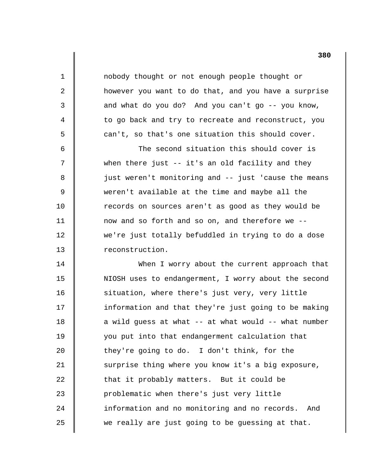nobody thought or not enough people thought or however you want to do that, and you have a surprise and what do you do? And you can't go -- you know, to go back and try to recreate and reconstruct, you can't, so that's one situation this should cover. The second situation this should cover is

1

2

3

4

5

6

7

8

9

10

11

12

13

14

15

16

17

18

19

20

21

22

23

24

25

when there just -- it's an old facility and they just weren't monitoring and -- just 'cause the means weren't available at the time and maybe all the records on sources aren't as good as they would be now and so forth and so on, and therefore we we're just totally befuddled in trying to do a dose reconstruction.

When I worry about the current approach that NIOSH uses to endangerment, I worry about the second situation, where there's just very, very little information and that they're just going to be making a wild guess at what -- at what would -- what number you put into that endangerment calculation that they're going to do. I don't think, for the surprise thing where you know it's a big exposure, that it probably matters. But it could be problematic when there's just very little information and no monitoring and no records. And we really are just going to be guessing at that.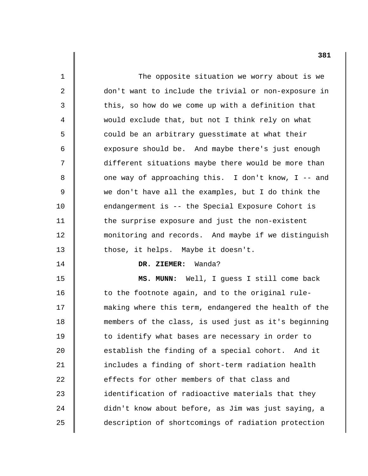| $\mathbf{1}$                           | The opposite situation we worry about is we          |
|----------------------------------------|------------------------------------------------------|
| 2                                      | don't want to include the trivial or non-exposure in |
| 3                                      | this, so how do we come up with a definition that    |
| $\overline{4}$                         | would exclude that, but not I think rely on what     |
| 5                                      | could be an arbitrary guesstimate at what their      |
| 6                                      | exposure should be. And maybe there's just enough    |
| 7                                      | different situations maybe there would be more than  |
| 8                                      | one way of approaching this. I don't know, I -- and  |
| 9                                      | we don't have all the examples, but I do think the   |
| 10                                     | endangerment is -- the Special Exposure Cohort is    |
| 11                                     | the surprise exposure and just the non-existent      |
| 12                                     | monitoring and records. And maybe if we distinguish  |
| 13                                     | those, it helps. Maybe it doesn't.                   |
| 14                                     | DR. ZIEMER: Wanda?                                   |
|                                        |                                                      |
|                                        | MS. MUNN: Well, I guess I still come back            |
|                                        | to the footnote again, and to the original rule-     |
|                                        | making where this term, endangered the health of the |
|                                        | members of the class, is used just as it's beginning |
|                                        | to identify what bases are necessary in order to     |
| 20                                     | establish the finding of a special cohort. And it    |
| 21                                     | includes a finding of short-term radiation health    |
| 22                                     | effects for other members of that class and          |
|                                        | identification of radioactive materials that they    |
| 15<br>16<br>17<br>18<br>19<br>23<br>24 | didn't know about before, as Jim was just saying, a  |
| 25                                     | description of shortcomings of radiation protection  |

 $\parallel$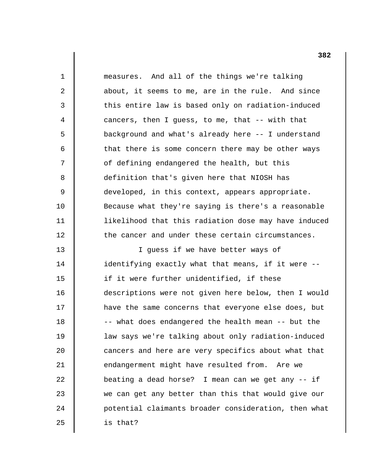| $\mathbf 1$    | measures. And all of the things we're talking        |
|----------------|------------------------------------------------------|
| $\overline{2}$ | about, it seems to me, are in the rule. And since    |
| 3              | this entire law is based only on radiation-induced   |
| 4              | cancers, then I guess, to me, that -- with that      |
| 5              | background and what's already here -- I understand   |
| 6              | that there is some concern there may be other ways   |
| 7              | of defining endangered the health, but this          |
| 8              | definition that's given here that NIOSH has          |
| $\mathsf 9$    | developed, in this context, appears appropriate.     |
| 10             | Because what they're saying is there's a reasonable  |
| 11             | likelihood that this radiation dose may have induced |
| 12             | the cancer and under these certain circumstances.    |
| 13             | I guess if we have better ways of                    |
| 14             | identifying exactly what that means, if it were --   |
| 15             | if it were further unidentified, if these            |
| 16             | descriptions were not given here below, then I would |
| 17             | have the same concerns that everyone else does, but  |
| 18             | -- what does endangered the health mean -- but the   |
| 19             | law says we're talking about only radiation-induced  |
| 20             | cancers and here are very specifics about what that  |
| 21             | endangerment might have resulted from. Are we        |
| 22             | beating a dead horse? I mean can we get any -- if    |
| 23             | we can get any better than this that would give our  |
| 24             | potential claimants broader consideration, then what |
| 25             | is that?                                             |
|                |                                                      |

 $\parallel$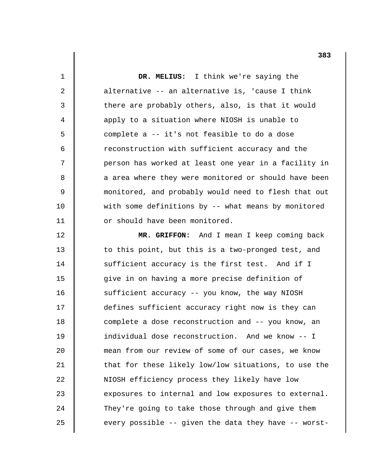| $\mathbf 1$ | DR. MELIUS: I think we're saying the                 |
|-------------|------------------------------------------------------|
| 2           | alternative -- an alternative is, 'cause I think     |
| 3           | there are probably others, also, is that it would    |
| 4           | apply to a situation where NIOSH is unable to        |
| 5           | complete a -- it's not feasible to do a dose         |
| 6           | reconstruction with sufficient accuracy and the      |
| 7           | person has worked at least one year in a facility in |
| 8           | a area where they were monitored or should have been |
| 9           | monitored, and probably would need to flesh that out |
| 10          | with some definitions by -- what means by monitored  |
| 11          | or should have been monitored.                       |
| 12          | MR. GRIFFON: And I mean I keep coming back           |
| 13          | to this point, but this is a two-pronged test, and   |
| 14          | sufficient accuracy is the first test. And if I      |
| 15          | give in on having a more precise definition of       |
| 16          | sufficient accuracy -- you know, the way NIOSH       |
| 17          | defines sufficient accuracy right now is they can    |
| 18          | complete a dose reconstruction and -- you know, an   |
| 19          | individual dose reconstruction. And we know -- I     |
| 20          | mean from our review of some of our cases, we know   |
| 21          | that for these likely low/low situations, to use the |
| 22          | NIOSH efficiency process they likely have low        |
| 23          | exposures to internal and low exposures to external. |
| 24          | They're going to take those through and give them    |
| 25          | every possible -- given the data they have -- worst- |
|             |                                                      |

 $\parallel$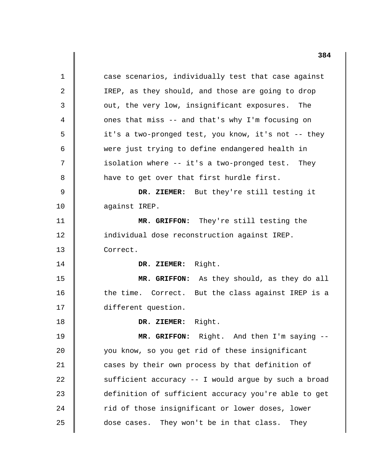1 2 3 4 5 6 7 8 9 10 11 12 13 14 15 16 17 18 19 20 21 22 23  $2.4$ 25 case scenarios, individually test that case against IREP, as they should, and those are going to drop out, the very low, insignificant exposures. The ones that miss -- and that's why I'm focusing on it's a two-pronged test, you know, it's not -- they were just trying to define endangered health in isolation where -- it's a two-pronged test. They have to get over that first hurdle first. **DR. ZIEMER:** But they're still testing it against IREP. **MR. GRIFFON:** They're still testing the individual dose reconstruction against IREP. Correct. **DR. ZIEMER:** Right. **MR. GRIFFON:** As they should, as they do all the time. Correct. But the class against IREP is a different question. **DR. ZIEMER:** Right. **MR. GRIFFON:** Right. And then I'm saying you know, so you get rid of these insignificant cases by their own process by that definition of sufficient accuracy -- I would argue by such a broad definition of sufficient accuracy you're able to get rid of those insignificant or lower doses, lower dose cases. They won't be in that class. They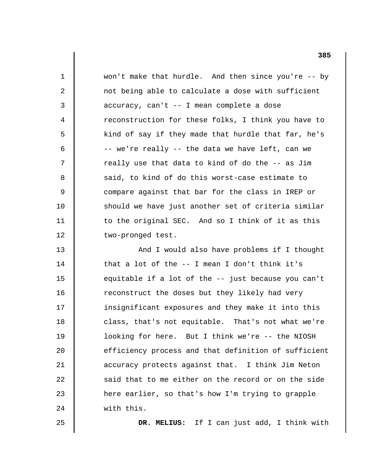1 2 3 4 5 6 7 8 9 10 11 12 13 14 15 16 17 18 19 20 21 22 23 24 won't make that hurdle. And then since you're -- by not being able to calculate a dose with sufficient accuracy, can't -- I mean complete a dose reconstruction for these folks, I think you have to kind of say if they made that hurdle that far, he's -- we're really -- the data we have left, can we really use that data to kind of do the -- as Jim said, to kind of do this worst-case estimate to compare against that bar for the class in IREP or should we have just another set of criteria similar to the original SEC. And so I think of it as this two-pronged test. And I would also have problems if I thought that a lot of the -- I mean I don't think it's equitable if a lot of the -- just because you can't reconstruct the doses but they likely had very insignificant exposures and they make it into this class, that's not equitable. That's not what we're looking for here. But I think we're -- the NIOSH efficiency process and that definition of sufficient accuracy protects against that. I think Jim Neton said that to me either on the record or on the side here earlier, so that's how I'm trying to grapple with this.

25

**DR. MELIUS:** If I can just add, I think with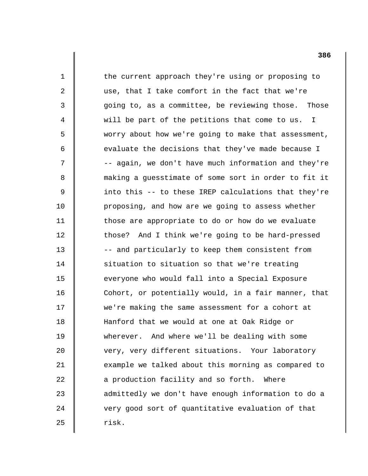12 13 14 15 17 18 19 21 22 the current approach they're using or proposing to use, that I take comfort in the fact that we're going to, as a committee, be reviewing those. Those will be part of the petitions that come to us. I worry about how we're going to make that assessment, evaluate the decisions that they've made because I -- again, we don't have much information and they're making a guesstimate of some sort in order to fit it into this -- to these IREP calculations that they're proposing, and how are we going to assess whether those are appropriate to do or how do we evaluate those? And I think we're going to be hard-pressed -- and particularly to keep them consistent from situation to situation so that we're treating everyone who would fall into a Special Exposure Cohort, or potentially would, in a fair manner, that we're making the same assessment for a cohort at Hanford that we would at one at Oak Ridge or wherever. And where we'll be dealing with some very, very different situations. Your laboratory example we talked about this morning as compared to a production facility and so forth. Where admittedly we don't have enough information to do a very good sort of quantitative evaluation of that risk.

1

2

3

4

5

6

7

8

9

10

11

16

20

23

 $2.4$ 

25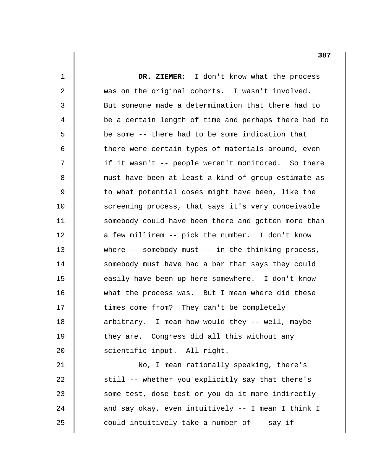**DR. ZIEMER:** I don't know what the process was on the original cohorts. I wasn't involved. But someone made a determination that there had to be a certain length of time and perhaps there had to be some -- there had to be some indication that there were certain types of materials around, even if it wasn't -- people weren't monitored. So there must have been at least a kind of group estimate as to what potential doses might have been, like the screening process, that says it's very conceivable somebody could have been there and gotten more than a few millirem -- pick the number. I don't know where -- somebody must -- in the thinking process, somebody must have had a bar that says they could easily have been up here somewhere. I don't know what the process was. But I mean where did these times come from? They can't be completely arbitrary. I mean how would they -- well, maybe they are. Congress did all this without any scientific input. All right. No, I mean rationally speaking, there's still -- whether you explicitly say that there's some test, dose test or you do it more indirectly and say okay, even intuitively -- I mean I think I

could intuitively take a number of -- say if

1

2

3

4

5

6

7

8

9

10

11

12

13

14

15

16

17

18

19

20

21

22

23

24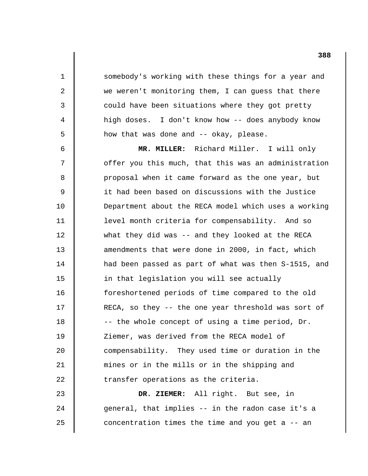somebody's working with these things for a year and we weren't monitoring them, I can guess that there could have been situations where they got pretty high doses. I don't know how -- does anybody know how that was done and -- okay, please.

1

2

3

4

5

6

7

8

9

10

11

12

13

14

15

16

17

18

19

20

21

22

23

24

25

**MR. MILLER:** Richard Miller. I will only offer you this much, that this was an administration proposal when it came forward as the one year, but it had been based on discussions with the Justice Department about the RECA model which uses a working level month criteria for compensability. And so what they did was -- and they looked at the RECA amendments that were done in 2000, in fact, which had been passed as part of what was then S-1515, and in that legislation you will see actually foreshortened periods of time compared to the old RECA, so they -- the one year threshold was sort of -- the whole concept of using a time period, Dr. Ziemer, was derived from the RECA model of compensability. They used time or duration in the mines or in the mills or in the shipping and transfer operations as the criteria. **DR. ZIEMER:** All right. But see, in

general, that implies -- in the radon case it's a concentration times the time and you get a -- an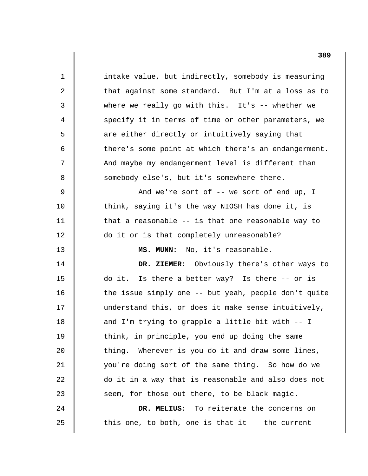1 2 3 4 5 6 7 8 9 10 11 12 13 14 15 16 17 18 19 20 21 22 23 24 25 intake value, but indirectly, somebody is measuring that against some standard. But I'm at a loss as to where we really go with this. It's -- whether we specify it in terms of time or other parameters, we are either directly or intuitively saying that there's some point at which there's an endangerment. And maybe my endangerment level is different than somebody else's, but it's somewhere there. And we're sort of -- we sort of end up, I think, saying it's the way NIOSH has done it, is that a reasonable -- is that one reasonable way to do it or is that completely unreasonable? **MS. MUNN:** No, it's reasonable. **DR. ZIEMER:** Obviously there's other ways to do it. Is there a better way? Is there -- or is the issue simply one -- but yeah, people don't quite understand this, or does it make sense intuitively, and I'm trying to grapple a little bit with -- I think, in principle, you end up doing the same thing. Wherever is you do it and draw some lines, you're doing sort of the same thing. So how do we do it in a way that is reasonable and also does not seem, for those out there, to be black magic. **DR. MELIUS:** To reiterate the concerns on this one, to both, one is that it -- the current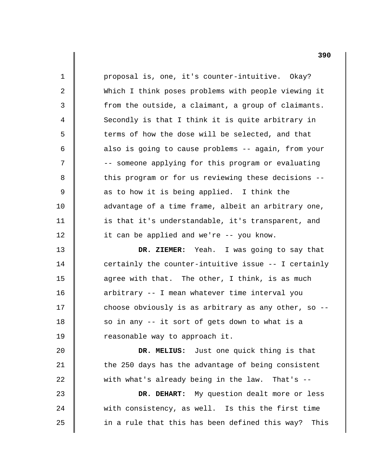1 2 3 4 5 6 7 8 9 10 11 12 13 14 15 16 17 18 19 20 21 22 23 24 25 proposal is, one, it's counter-intuitive. Okay? Which I think poses problems with people viewing it from the outside, a claimant, a group of claimants. Secondly is that I think it is quite arbitrary in terms of how the dose will be selected, and that also is going to cause problems -- again, from your -- someone applying for this program or evaluating this program or for us reviewing these decisions as to how it is being applied. I think the advantage of a time frame, albeit an arbitrary one, is that it's understandable, it's transparent, and it can be applied and we're -- you know. **DR. ZIEMER:** Yeah. I was going to say that certainly the counter-intuitive issue -- I certainly agree with that. The other, I think, is as much arbitrary -- I mean whatever time interval you choose obviously is as arbitrary as any other, so so in any -- it sort of gets down to what is a reasonable way to approach it. **DR. MELIUS:** Just one quick thing is that the 250 days has the advantage of being consistent with what's already being in the law. That's --**DR. DEHART:** My question dealt more or less with consistency, as well. Is this the first time in a rule that this has been defined this way? This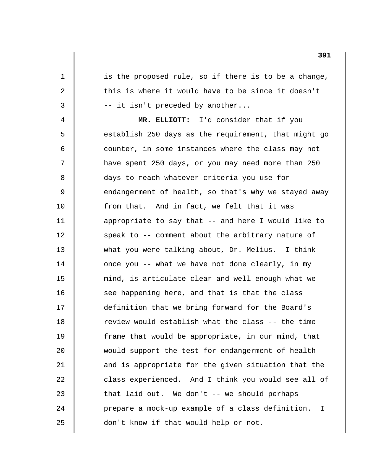is the proposed rule, so if there is to be a change, this is where it would have to be since it doesn't -- it isn't preceded by another...

1

2

3

4

5

6

7

8

9

10

11

12

13

14

15

16

17

18

19

20

21

22

23

24

25

**MR. ELLIOTT:** I'd consider that if you establish 250 days as the requirement, that might go counter, in some instances where the class may not have spent 250 days, or you may need more than 250 days to reach whatever criteria you use for endangerment of health, so that's why we stayed away from that. And in fact, we felt that it was appropriate to say that -- and here I would like to speak to -- comment about the arbitrary nature of what you were talking about, Dr. Melius. I think once you -- what we have not done clearly, in my mind, is articulate clear and well enough what we see happening here, and that is that the class definition that we bring forward for the Board's review would establish what the class -- the time frame that would be appropriate, in our mind, that would support the test for endangerment of health and is appropriate for the given situation that the class experienced. And I think you would see all of that laid out. We don't -- we should perhaps prepare a mock-up example of a class definition. I don't know if that would help or not.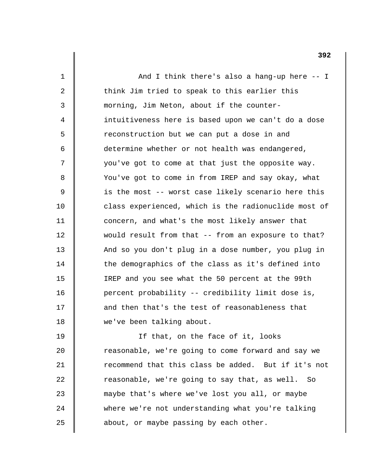And I think there's also a hang-up here -- I think Jim tried to speak to this earlier this morning, Jim Neton, about if the counterintuitiveness here is based upon we can't do a dose reconstruction but we can put a dose in and determine whether or not health was endangered, you've got to come at that just the opposite way. You've got to come in from IREP and say okay, what is the most -- worst case likely scenario here this class experienced, which is the radionuclide most of concern, and what's the most likely answer that would result from that -- from an exposure to that? And so you don't plug in a dose number, you plug in the demographics of the class as it's defined into IREP and you see what the 50 percent at the 99th percent probability -- credibility limit dose is, and then that's the test of reasonableness that we've been talking about.

1

2

3

4

5

6

7

8

9

10

11

12

13

14

15

16

17

18

19 20 21 22 23 24 25 If that, on the face of it, looks reasonable, we're going to come forward and say we recommend that this class be added. But if it's not reasonable, we're going to say that, as well. So maybe that's where we've lost you all, or maybe where we're not understanding what you're talking about, or maybe passing by each other.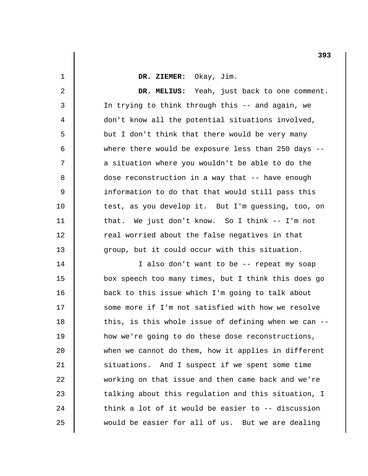| $\mathbf 1$    | DR. ZIEMER: Okay, Jim.                               |
|----------------|------------------------------------------------------|
| $\overline{2}$ | DR. MELIUS: Yeah, just back to one comment.          |
| 3              | In trying to think through this -- and again, we     |
| 4              | don't know all the potential situations involved,    |
| 5              | but I don't think that there would be very many      |
| 6              | where there would be exposure less than 250 days --  |
| 7              | a situation where you wouldn't be able to do the     |
| 8              | dose reconstruction in a way that -- have enough     |
| 9              | information to do that that would still pass this    |
| 10             | test, as you develop it. But I'm guessing, too, on   |
| 11             | We just don't know. So I think -- I'm not<br>that.   |
| 12             | real worried about the false negatives in that       |
| 13             | group, but it could occur with this situation.       |
| 14             | I also don't want to be -- repeat my soap            |
| 15             | box speech too many times, but I think this does go  |
| 16             | back to this issue which I'm going to talk about     |
| 17             | some more if I'm not satisfied with how we resolve   |
| 18             | this, is this whole issue of defining when we can -- |
| 19             | how we're going to do these dose reconstructions,    |
| 20             | when we cannot do them, how it applies in different  |
| 21             | situations. And I suspect if we spent some time      |
| 22             | working on that issue and then came back and we're   |
| 23             | talking about this regulation and this situation, I  |
| 24             | think a lot of it would be easier to -- discussion   |
| 25             | would be easier for all of us. But we are dealing    |

 $\begin{array}{c} \hline \end{array}$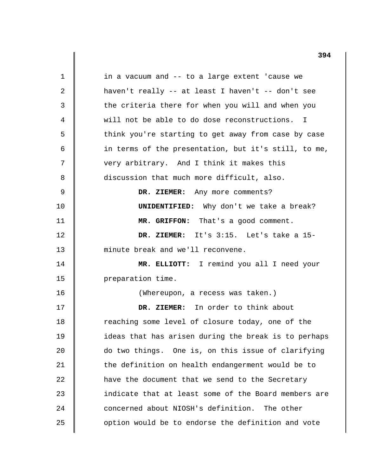| $\mathbf 1$ | in a vacuum and -- to a large extent 'cause we       |
|-------------|------------------------------------------------------|
| 2           | haven't really -- at least I haven't -- don't see    |
| 3           | the criteria there for when you will and when you    |
| 4           | will not be able to do dose reconstructions. I       |
| 5           | think you're starting to get away from case by case  |
| 6           | in terms of the presentation, but it's still, to me, |
| 7           | very arbitrary. And I think it makes this            |
| 8           | discussion that much more difficult, also.           |
| 9           | DR. ZIEMER: Any more comments?                       |
| 10          | <b>UNIDENTIFIED:</b> Why don't we take a break?      |
| 11          | MR. GRIFFON: That's a good comment.                  |
| 12          | DR. ZIEMER: It's 3:15. Let's take a 15-              |
| 13          | minute break and we'll reconvene.                    |
| 14          | MR. ELLIOTT: I remind you all I need your            |
| 15          | preparation time.                                    |
| 16          | (Whereupon, a recess was taken.)                     |
| 17          | DR. ZIEMER: In order to think about                  |
| 18          | reaching some level of closure today, one of the     |
| 19          | ideas that has arisen during the break is to perhaps |
| 20          | do two things. One is, on this issue of clarifying   |
| 21          | the definition on health endangerment would be to    |
| 22          | have the document that we send to the Secretary      |
| 23          | indicate that at least some of the Board members are |
| 24          | concerned about NIOSH's definition. The other        |
| 25          | option would be to endorse the definition and vote   |
|             |                                                      |

 $\begin{array}{c} \hline \end{array}$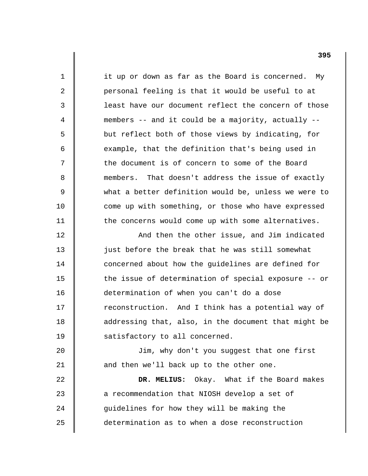1 2 3 4 5 6 7 8 9 10 11 12 13 14 15 16 17 18 19 20 21 22 23 24 25 it up or down as far as the Board is concerned. My personal feeling is that it would be useful to at least have our document reflect the concern of those members -- and it could be a majority, actually -but reflect both of those views by indicating, for example, that the definition that's being used in the document is of concern to some of the Board members. That doesn't address the issue of exactly what a better definition would be, unless we were to come up with something, or those who have expressed the concerns would come up with some alternatives. And then the other issue, and Jim indicated just before the break that he was still somewhat concerned about how the guidelines are defined for the issue of determination of special exposure -- or determination of when you can't do a dose reconstruction. And I think has a potential way of addressing that, also, in the document that might be satisfactory to all concerned. Jim, why don't you suggest that one first and then we'll back up to the other one. **DR. MELIUS:** Okay. What if the Board makes a recommendation that NIOSH develop a set of guidelines for how they will be making the determination as to when a dose reconstruction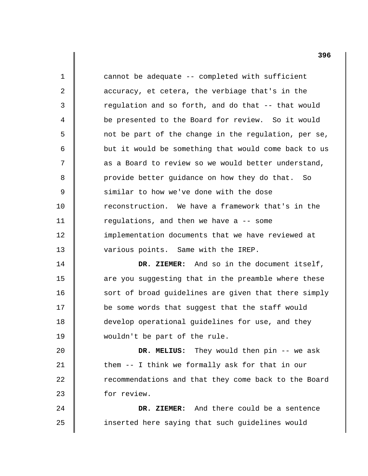1 2 3 4 5 6 7 8 9 10 11 12 13 14 15 16 17 18 19 20 21 22 23 24 25 cannot be adequate -- completed with sufficient accuracy, et cetera, the verbiage that's in the regulation and so forth, and do that -- that would be presented to the Board for review. So it would not be part of the change in the regulation, per se, but it would be something that would come back to us as a Board to review so we would better understand, provide better guidance on how they do that. So similar to how we've done with the dose reconstruction. We have a framework that's in the regulations, and then we have a -- some implementation documents that we have reviewed at various points. Same with the IREP. **DR. ZIEMER:** And so in the document itself, are you suggesting that in the preamble where these sort of broad guidelines are given that there simply be some words that suggest that the staff would develop operational guidelines for use, and they wouldn't be part of the rule. **DR. MELIUS:** They would then pin -- we ask them -- I think we formally ask for that in our recommendations and that they come back to the Board for review. **DR. ZIEMER:** And there could be a sentence inserted here saying that such guidelines would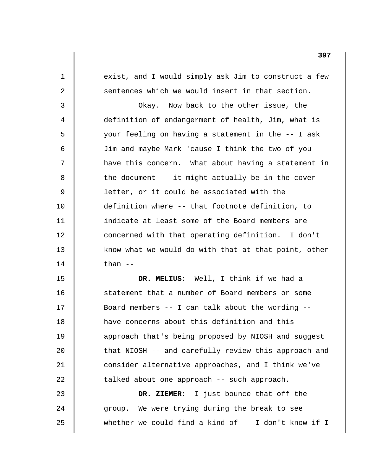exist, and I would simply ask Jim to construct a few sentences which we would insert in that section.

1

2

3

4

5

6

7

8

9

10

11

12

13

14

15

16

17

18

19

20

21

22

23

24

25

Okay. Now back to the other issue, the definition of endangerment of health, Jim, what is your feeling on having a statement in the -- I ask Jim and maybe Mark 'cause I think the two of you have this concern. What about having a statement in the document -- it might actually be in the cover letter, or it could be associated with the definition where -- that footnote definition, to indicate at least some of the Board members are concerned with that operating definition. I don't know what we would do with that at that point, other than  $--$ 

**DR. MELIUS:** Well, I think if we had a statement that a number of Board members or some Board members -- I can talk about the wording have concerns about this definition and this approach that's being proposed by NIOSH and suggest that NIOSH -- and carefully review this approach and consider alternative approaches, and I think we've talked about one approach -- such approach.

**DR. ZIEMER:** I just bounce that off the group. We were trying during the break to see whether we could find a kind of -- I don't know if I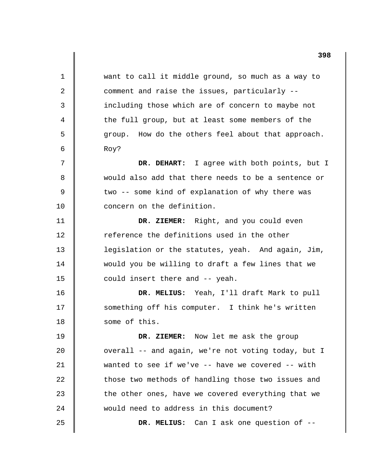1 2 3 4 5 6 7 8 9 10 11 12 13 14 15 16 17 18 19 20 21 22 23 24 25 want to call it middle ground, so much as a way to comment and raise the issues, particularly including those which are of concern to maybe not the full group, but at least some members of the group. How do the others feel about that approach. Roy? **DR. DEHART:** I agree with both points, but I would also add that there needs to be a sentence or two -- some kind of explanation of why there was concern on the definition. **DR. ZIEMER:** Right, and you could even reference the definitions used in the other legislation or the statutes, yeah. And again, Jim, would you be willing to draft a few lines that we could insert there and -- yeah. **DR. MELIUS:** Yeah, I'll draft Mark to pull something off his computer. I think he's written some of this. **DR. ZIEMER:** Now let me ask the group overall -- and again, we're not voting today, but I wanted to see if we've -- have we covered -- with those two methods of handling those two issues and the other ones, have we covered everything that we would need to address in this document? **DR. MELIUS:** Can I ask one question of -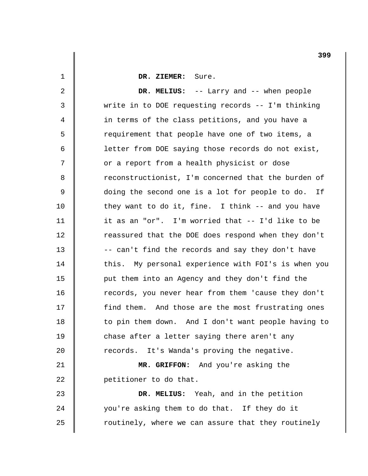1 2 3 4 5 6 7 8 9 10 11 12 13 14 15 16 17 18 19 20 21 22 23 24 25 **DR. ZIEMER:** Sure. **DR. MELIUS:** -- Larry and -- when people write in to DOE requesting records -- I'm thinking in terms of the class petitions, and you have a requirement that people have one of two items, a letter from DOE saying those records do not exist, or a report from a health physicist or dose reconstructionist, I'm concerned that the burden of doing the second one is a lot for people to do. If they want to do it, fine. I think -- and you have it as an "or". I'm worried that -- I'd like to be reassured that the DOE does respond when they don't -- can't find the records and say they don't have this. My personal experience with FOI's is when you put them into an Agency and they don't find the records, you never hear from them 'cause they don't find them. And those are the most frustrating ones to pin them down. And I don't want people having to chase after a letter saying there aren't any records. It's Wanda's proving the negative. **MR. GRIFFON:** And you're asking the petitioner to do that. **DR. MELIUS:** Yeah, and in the petition you're asking them to do that. If they do it routinely, where we can assure that they routinely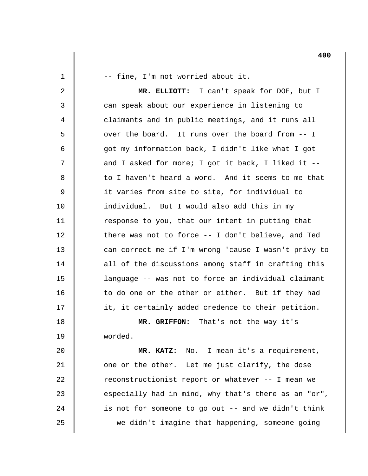-- fine, I'm not worried about it.

1

2

3

4

5

6

7

8

9

10

11

12

13

14

15

16

17

18

19

20

21

22

23

24

25

**MR. ELLIOTT:** I can't speak for DOE, but I can speak about our experience in listening to claimants and in public meetings, and it runs all over the board. It runs over the board from -- I got my information back, I didn't like what I got and I asked for more; I got it back, I liked it to I haven't heard a word. And it seems to me that it varies from site to site, for individual to individual. But I would also add this in my response to you, that our intent in putting that there was not to force -- I don't believe, and Ted can correct me if I'm wrong 'cause I wasn't privy to all of the discussions among staff in crafting this language -- was not to force an individual claimant to do one or the other or either. But if they had it, it certainly added credence to their petition.

**MR. GRIFFON:** That's not the way it's worded.

**MR. KATZ:** No. I mean it's a requirement, one or the other. Let me just clarify, the dose reconstructionist report or whatever -- I mean we especially had in mind, why that's there as an "or", is not for someone to go out -- and we didn't think -- we didn't imagine that happening, someone going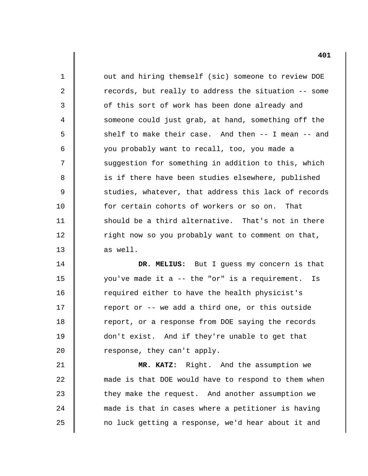out and hiring themself (sic) someone to review DOE records, but really to address the situation -- some of this sort of work has been done already and someone could just grab, at hand, something off the shelf to make their case. And then -- I mean -- and you probably want to recall, too, you made a suggestion for something in addition to this, which is if there have been studies elsewhere, published studies, whatever, that address this lack of records for certain cohorts of workers or so on. That should be a third alternative. That's not in there right now so you probably want to comment on that, as well. **DR. MELIUS:** But I guess my concern is that you've made it a -- the "or" is a requirement. Is

1

2

3

4

5

6

7

8

9

10

11

12

13

14

15

16

17

18

19

20

21

22

23

24

25

required either to have the health physicist's report or -- we add a third one, or this outside report, or a response from DOE saying the records don't exist. And if they're unable to get that response, they can't apply. **MR. KATZ:** Right. And the assumption we

made is that DOE would have to respond to them when they make the request. And another assumption we made is that in cases where a petitioner is having no luck getting a response, we'd hear about it and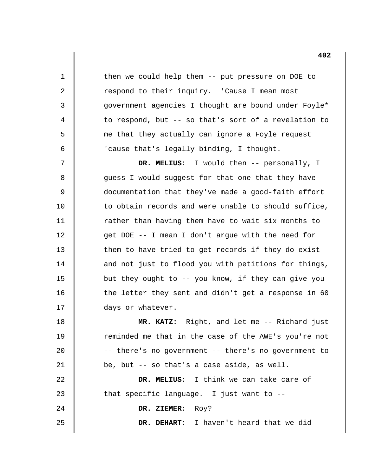then we could help them -- put pressure on DOE to respond to their inquiry. 'Cause I mean most government agencies I thought are bound under Foyle\* to respond, but -- so that's sort of a revelation to me that they actually can ignore a Foyle request 'cause that's legally binding, I thought. **DR. MELIUS:** I would then -- personally, I guess I would suggest for that one that they have documentation that they've made a good-faith effort to obtain records and were unable to should suffice, rather than having them have to wait six months to get DOE -- I mean I don't argue with the need for them to have tried to get records if they do exist and not just to flood you with petitions for things, but they ought to -- you know, if they can give you the letter they sent and didn't get a response in 60 days or whatever. **MR. KATZ:** Right, and let me -- Richard just

1

2

3

4

5

6

7

8

9

10

11

12

13

14

15

16

17

18

19

20

21

22

23

24

25

reminded me that in the case of the AWE's you're not -- there's no government -- there's no government to be, but -- so that's a case aside, as well.

**DR. MELIUS:** I think we can take care of that specific language. I just want to  $-$ -

**DR. ZIEMER:** Roy?

**DR. DEHART:** I haven't heard that we did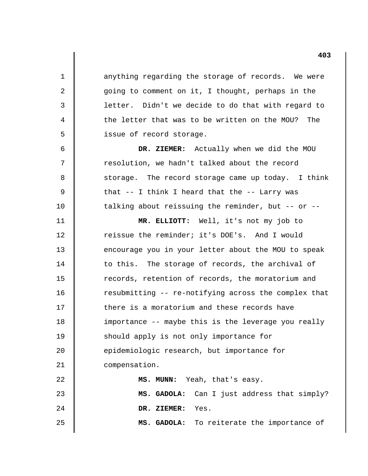anything regarding the storage of records. We were going to comment on it, I thought, perhaps in the letter. Didn't we decide to do that with regard to the letter that was to be written on the MOU? The issue of record storage.

1

2

3

4

5

6

7

8

9

10

11

12

13

14

15

16

17

18

19

20

21

22

**DR. ZIEMER:** Actually when we did the MOU resolution, we hadn't talked about the record storage. The record storage came up today. I think that -- I think I heard that the -- Larry was talking about reissuing the reminder, but -- or -

**MR. ELLIOTT:** Well, it's not my job to reissue the reminder; it's DOE's. And I would encourage you in your letter about the MOU to speak to this. The storage of records, the archival of records, retention of records, the moratorium and resubmitting -- re-notifying across the complex that there is a moratorium and these records have importance -- maybe this is the leverage you really should apply is not only importance for epidemiologic research, but importance for compensation.

**MS. MUNN:** Yeah, that's easy.

23  $2.4$ 25 **MS. GADOLA:** Can I just address that simply? **DR. ZIEMER:** Yes. **MS. GADOLA:** To reiterate the importance of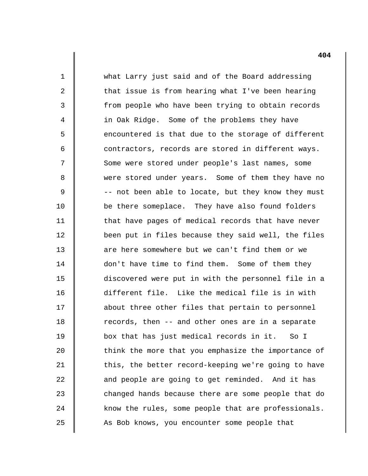what Larry just said and of the Board addressing that issue is from hearing what I've been hearing from people who have been trying to obtain records in Oak Ridge. Some of the problems they have encountered is that due to the storage of different contractors, records are stored in different ways. Some were stored under people's last names, some were stored under years. Some of them they have no -- not been able to locate, but they know they must be there someplace. They have also found folders that have pages of medical records that have never been put in files because they said well, the files are here somewhere but we can't find them or we don't have time to find them. Some of them they discovered were put in with the personnel file in a different file. Like the medical file is in with about three other files that pertain to personnel records, then -- and other ones are in a separate box that has just medical records in it. So I think the more that you emphasize the importance of this, the better record-keeping we're going to have and people are going to get reminded. And it has changed hands because there are some people that do know the rules, some people that are professionals. As Bob knows, you encounter some people that

1

2

3

4

5

6

7

8

9

10

11

12

13

14

15

16

17

18

19

20

21

22

23

24

25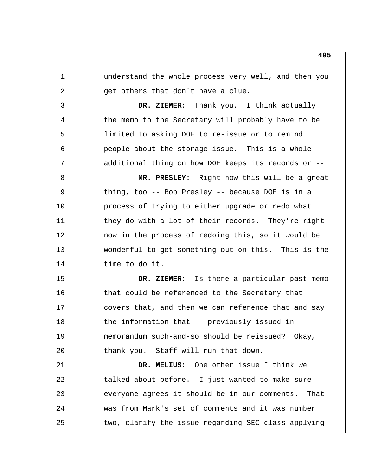1 2 3 4 5 6 7 8 9 10 11 12 13 14 15 16 17 18 19 20 21 22 23 24 25 understand the whole process very well, and then you get others that don't have a clue. **DR. ZIEMER:** Thank you. I think actually the memo to the Secretary will probably have to be limited to asking DOE to re-issue or to remind people about the storage issue. This is a whole additional thing on how DOE keeps its records or - **MR. PRESLEY:** Right now this will be a great thing, too -- Bob Presley -- because DOE is in a process of trying to either upgrade or redo what they do with a lot of their records. They're right now in the process of redoing this, so it would be wonderful to get something out on this. This is the time to do it. **DR. ZIEMER:** Is there a particular past memo that could be referenced to the Secretary that covers that, and then we can reference that and say the information that -- previously issued in memorandum such-and-so should be reissued? Okay, thank you. Staff will run that down. **DR. MELIUS:** One other issue I think we talked about before. I just wanted to make sure everyone agrees it should be in our comments. That was from Mark's set of comments and it was number two, clarify the issue regarding SEC class applying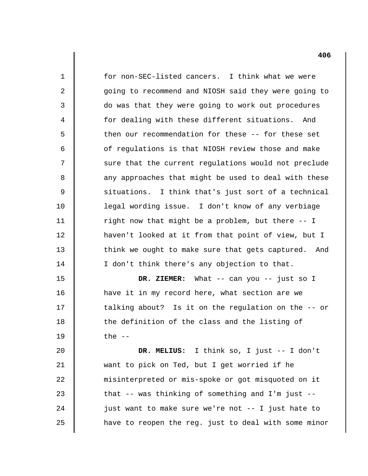| $\mathbf 1$ | for non-SEC-listed cancers. I think what we were     |
|-------------|------------------------------------------------------|
| 2           | going to recommend and NIOSH said they were going to |
| 3           | do was that they were going to work out procedures   |
| 4           | for dealing with these different situations. And     |
| 5           | then our recommendation for these -- for these set   |
| 6           | of regulations is that NIOSH review those and make   |
| 7           | sure that the current regulations would not preclude |
| 8           | any approaches that might be used to deal with these |
| $\mathsf 9$ | situations. I think that's just sort of a technical  |
| 10          | legal wording issue. I don't know of any verbiage    |
| 11          | right now that might be a problem, but there -- I    |
| 12          | haven't looked at it from that point of view, but I  |
| 13          | think we ought to make sure that gets captured. And  |
| 14          | I don't think there's any objection to that.         |
| 15          | DR. ZIEMER: What -- can you -- just so I             |
| 16          | have it in my record here, what section are we       |
| 17          | talking about? Is it on the regulation on the -- or  |
| 18          | the definition of the class and the listing of       |
| 19          | the $--$                                             |
| 20          | DR. MELIUS: I think so, I just -- I don't            |
| 21          | want to pick on Ted, but I get worried if he         |
| 22          | misinterpreted or mis-spoke or got misquoted on it   |
| 23          | that -- was thinking of something and I'm just --    |
| 24          | just want to make sure we're not -- I just hate to   |
| 25          | have to reopen the reg. just to deal with some minor |

 $\mathsf I$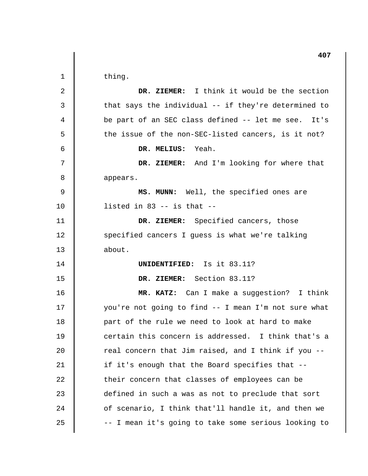1 2 3 4 5 6 7 8 9 10 11 12 13 14 15 16 17 18 19 20 21 22 23 24 25 thing. **DR. ZIEMER:** I think it would be the section that says the individual -- if they're determined to be part of an SEC class defined -- let me see. It's the issue of the non-SEC-listed cancers, is it not? **DR. MELIUS:** Yeah. **DR. ZIEMER:** And I'm looking for where that appears. **MS. MUNN:** Well, the specified ones are listed in  $83$  -- is that --**DR. ZIEMER:** Specified cancers, those specified cancers I guess is what we're talking about. **UNIDENTIFIED:** Is it 83.11? **DR. ZIEMER:** Section 83.11? **MR. KATZ:** Can I make a suggestion? I think you're not going to find -- I mean I'm not sure what part of the rule we need to look at hard to make certain this concern is addressed. I think that's a real concern that Jim raised, and I think if you if it's enough that the Board specifies that their concern that classes of employees can be defined in such a was as not to preclude that sort of scenario, I think that'll handle it, and then we -- I mean it's going to take some serious looking to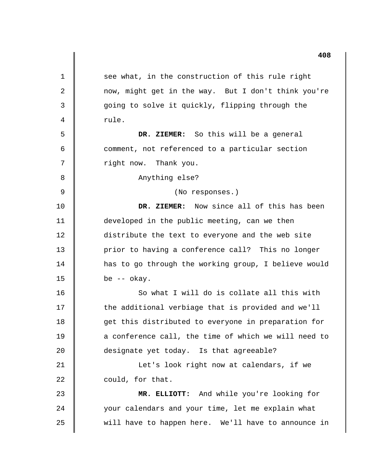1 2 3 4 5 6 7 8 9 10 11 12 13 14 15 16 17 18 19 20 21 22 23 24 25 see what, in the construction of this rule right now, might get in the way. But I don't think you're going to solve it quickly, flipping through the rule. **DR. ZIEMER:** So this will be a general comment, not referenced to a particular section right now. Thank you. Anything else? (No responses.) **DR. ZIEMER:** Now since all of this has been developed in the public meeting, can we then distribute the text to everyone and the web site prior to having a conference call? This no longer has to go through the working group, I believe would be -- okay. So what I will do is collate all this with the additional verbiage that is provided and we'll get this distributed to everyone in preparation for a conference call, the time of which we will need to designate yet today. Is that agreeable? Let's look right now at calendars, if we could, for that. **MR. ELLIOTT:** And while you're looking for your calendars and your time, let me explain what will have to happen here. We'll have to announce in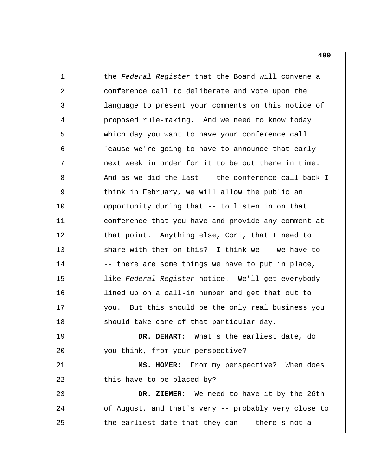1 2 3 4 5 6 7 8 9 10 11 12 13 14 15 16 17 18 19 20 21 22 23 24 25 the *Federal Register* that the Board will convene a conference call to deliberate and vote upon the language to present your comments on this notice of proposed rule-making. And we need to know today which day you want to have your conference call 'cause we're going to have to announce that early next week in order for it to be out there in time. And as we did the last -- the conference call back I think in February, we will allow the public an opportunity during that -- to listen in on that conference that you have and provide any comment at that point. Anything else, Cori, that I need to share with them on this? I think we -- we have to -- there are some things we have to put in place, like *Federal Register* notice. We'll get everybody lined up on a call-in number and get that out to you. But this should be the only real business you should take care of that particular day. **DR. DEHART:** What's the earliest date, do you think, from your perspective? **MS. HOMER:** From my perspective? When does this have to be placed by? **DR. ZIEMER:** We need to have it by the 26th of August, and that's very -- probably very close to the earliest date that they can -- there's not a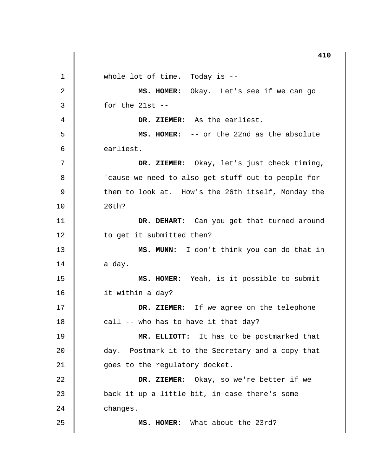1 2 3 4 5 6 7 8 9 10 11 12 13 14 15 16 17 18 19 20 21 22 23 24 25 whole lot of time. Today is --**MS. HOMER:** Okay. Let's see if we can go for the  $21st$  --**DR. ZIEMER:** As the earliest. **MS. HOMER:** -- or the 22nd as the absolute earliest. **DR. ZIEMER:** Okay, let's just check timing, 'cause we need to also get stuff out to people for them to look at. How's the 26th itself, Monday the 26th? DR. DEHART: Can you get that turned around to get it submitted then? **MS. MUNN:** I don't think you can do that in a day. **MS. HOMER:** Yeah, is it possible to submit it within a day? **DR. ZIEMER:** If we agree on the telephone call -- who has to have it that day? **MR. ELLIOTT:** It has to be postmarked that day. Postmark it to the Secretary and a copy that goes to the regulatory docket. **DR. ZIEMER:** Okay, so we're better if we back it up a little bit, in case there's some changes. **MS. HOMER:** What about the 23rd?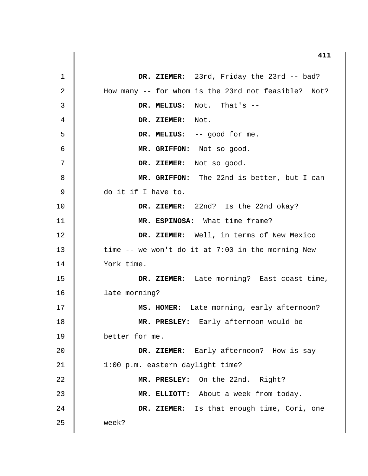|                | 411                                                 |
|----------------|-----------------------------------------------------|
| $\mathbf 1$    | DR. ZIEMER: 23rd, Friday the 23rd -- bad?           |
| $\overline{2}$ | How many -- for whom is the 23rd not feasible? Not? |
| 3              | DR. MELIUS: Not. That's --                          |
| 4              | DR. ZIEMER: Not.                                    |
| 5              | DR. MELIUS: -- good for me.                         |
| 6              | MR. GRIFFON: Not so good.                           |
| 7              | DR. ZIEMER: Not so good.                            |
| 8              | MR. GRIFFON: The 22nd is better, but I can          |
| 9              | do it if I have to.                                 |
| 10             | DR. ZIEMER: 22nd? Is the 22nd okay?                 |
| 11             | MR. ESPINOSA: What time frame?                      |
| 12             | DR. ZIEMER: Well, in terms of New Mexico            |
| 13             | time $--$ we won't do it at 7:00 in the morning New |
| 14             | York time.                                          |
| 15             | DR. ZIEMER: Late morning? East coast time,          |
| 16             | late morning?                                       |
| 17             | MS. HOMER: Late morning, early afternoon?           |
| 18             | MR. PRESLEY: Early afternoon would be               |
| 19             | better for me.                                      |
| 20             | DR. ZIEMER: Early afternoon? How is say             |
| 21             | 1:00 p.m. eastern daylight time?                    |
| 22             | MR. PRESLEY: On the 22nd. Right?                    |
| 23             | MR. ELLIOTT: About a week from today.               |
| 24             | DR. ZIEMER: Is that enough time, Cori, one          |
| 25             | week?                                               |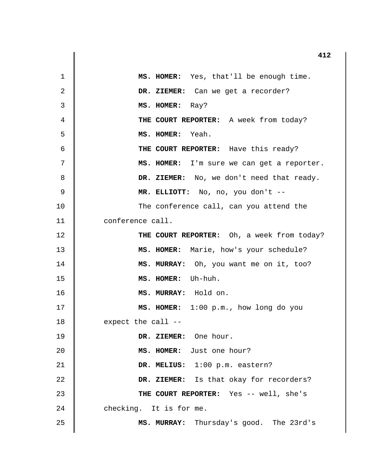| 1<br>MS. HOMER: Yes, that'll be enough time.<br>2<br>DR. ZIEMER: Can we get a recorder?<br>3<br>MS. HOMER: Ray?<br>4 |  |
|----------------------------------------------------------------------------------------------------------------------|--|
|                                                                                                                      |  |
|                                                                                                                      |  |
|                                                                                                                      |  |
| THE COURT REPORTER: A week from today?                                                                               |  |
| 5<br>MS. HOMER: Yeah.                                                                                                |  |
| 6<br>THE COURT REPORTER: Have this ready?                                                                            |  |
| 7<br>MS. HOMER: I'm sure we can get a reporter.                                                                      |  |
| 8<br>DR. ZIEMER: No, we don't need that ready.                                                                       |  |
| 9<br>MR. ELLIOTT: No, no, you don't --                                                                               |  |
| 10<br>The conference call, can you attend the                                                                        |  |
| 11<br>conference call.                                                                                               |  |
| 12<br>THE COURT REPORTER: Oh, a week from today?                                                                     |  |
| 13<br>MS. HOMER: Marie, how's your schedule?                                                                         |  |
| 14<br>MS. MURRAY: Oh, you want me on it, too?                                                                        |  |
| 15<br>MS. HOMER: Uh-huh.                                                                                             |  |
| 16<br>MS. MURRAY: Hold on.                                                                                           |  |
| 17<br>MS. HOMER: 1:00 p.m., how long do you                                                                          |  |
| 18<br>expect the call --                                                                                             |  |
| 19<br>DR. ZIEMER: One hour.                                                                                          |  |
| 20<br>MS. HOMER: Just one hour?                                                                                      |  |
| 21<br>DR. MELIUS: 1:00 p.m. eastern?                                                                                 |  |
| 22<br>DR. ZIEMER: Is that okay for recorders?                                                                        |  |
| 23<br>THE COURT REPORTER: Yes -- well, she's                                                                         |  |
| 24<br>checking. It is for me.                                                                                        |  |
| 25<br>MS. MURRAY: Thursday's good. The 23rd's                                                                        |  |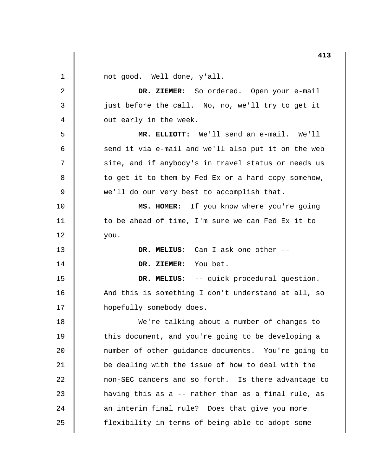1 2 **DR. ZIEMER:** So ordered. Open your e-mail 3 4 5 6 7 8 9 10 11 12 13 14 15 16 17 18 19 20 21 22 23 24 25 not good. Well done, y'all. just before the call. No, no, we'll try to get it out early in the week. **MR. ELLIOTT:** We'll send an e-mail. We'll send it via e-mail and we'll also put it on the web site, and if anybody's in travel status or needs us to get it to them by Fed Ex or a hard copy somehow, we'll do our very best to accomplish that. **MS. HOMER:** If you know where you're going to be ahead of time, I'm sure we can Fed Ex it to you. **DR. MELIUS:** Can I ask one other - **DR. ZIEMER:** You bet. **DR. MELIUS:** -- quick procedural question. And this is something I don't understand at all, so hopefully somebody does. We're talking about a number of changes to this document, and you're going to be developing a number of other guidance documents. You're going to be dealing with the issue of how to deal with the non-SEC cancers and so forth. Is there advantage to having this as a -- rather than as a final rule, as an interim final rule? Does that give you more flexibility in terms of being able to adopt some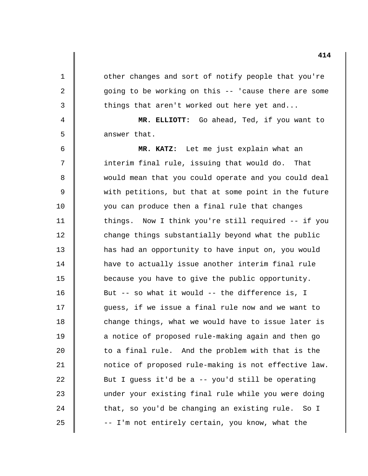other changes and sort of notify people that you're going to be working on this -- 'cause there are some things that aren't worked out here yet and...

1

2

3

4

5

6

7

8

9

10

11

12

13

14

15

16

17

18

19

20

21

22

23

24

25

**MR. ELLIOTT:** Go ahead, Ted, if you want to answer that.

**MR. KATZ:** Let me just explain what an interim final rule, issuing that would do. That would mean that you could operate and you could deal with petitions, but that at some point in the future you can produce then a final rule that changes things. Now I think you're still required -- if you change things substantially beyond what the public has had an opportunity to have input on, you would have to actually issue another interim final rule because you have to give the public opportunity. But  $-$ - so what it would  $-$ - the difference is, I guess, if we issue a final rule now and we want to change things, what we would have to issue later is a notice of proposed rule-making again and then go to a final rule. And the problem with that is the notice of proposed rule-making is not effective law. But I guess it'd be a -- you'd still be operating under your existing final rule while you were doing that, so you'd be changing an existing rule. So I -- I'm not entirely certain, you know, what the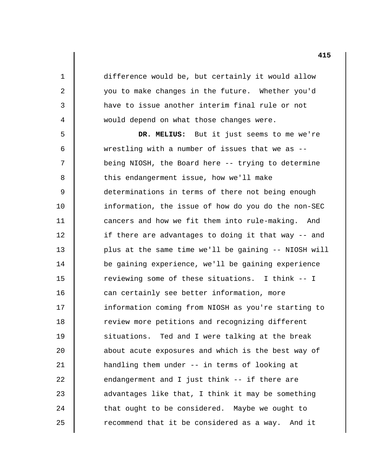difference would be, but certainly it would allow you to make changes in the future. Whether you'd have to issue another interim final rule or not would depend on what those changes were.

1

2

3

4

5

6

7

8

9

10

11

12

13

14

15

16

17

18

19

20

21

22

23

24

25

**DR. MELIUS:** But it just seems to me we're wrestling with a number of issues that we as being NIOSH, the Board here -- trying to determine this endangerment issue, how we'll make determinations in terms of there not being enough information, the issue of how do you do the non-SEC cancers and how we fit them into rule-making. And if there are advantages to doing it that way -- and plus at the same time we'll be gaining -- NIOSH will be gaining experience, we'll be gaining experience reviewing some of these situations. I think -- I can certainly see better information, more information coming from NIOSH as you're starting to review more petitions and recognizing different situations. Ted and I were talking at the break about acute exposures and which is the best way of handling them under -- in terms of looking at endangerment and I just think -- if there are advantages like that, I think it may be something that ought to be considered. Maybe we ought to recommend that it be considered as a way. And it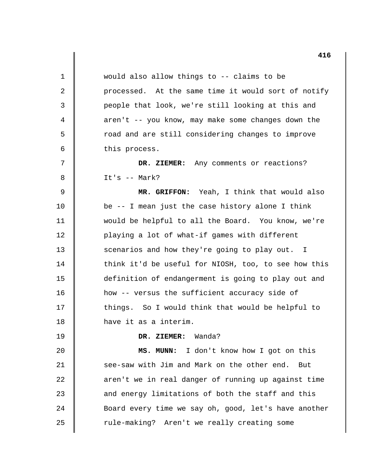1 2 3 4 5 6 7 8 9 10 11 12 13 14 15 16 17 18 19 20 21 22 23 24 25 would also allow things to -- claims to be processed. At the same time it would sort of notify people that look, we're still looking at this and aren't -- you know, may make some changes down the road and are still considering changes to improve this process. **DR. ZIEMER:** Any comments or reactions? It's -- Mark? **MR. GRIFFON:** Yeah, I think that would also be -- I mean just the case history alone I think would be helpful to all the Board. You know, we're playing a lot of what-if games with different scenarios and how they're going to play out. I think it'd be useful for NIOSH, too, to see how this definition of endangerment is going to play out and how -- versus the sufficient accuracy side of things. So I would think that would be helpful to have it as a interim. **DR. ZIEMER:** Wanda? **MS. MUNN:** I don't know how I got on this see-saw with Jim and Mark on the other end. But aren't we in real danger of running up against time and energy limitations of both the staff and this Board every time we say oh, good, let's have another rule-making? Aren't we really creating some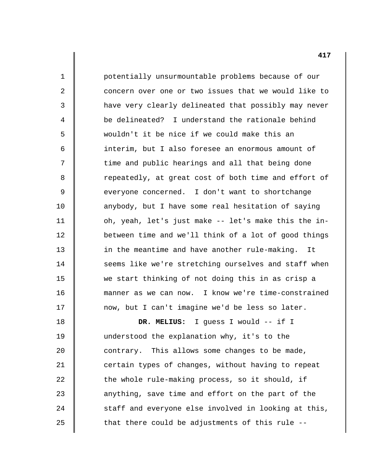potentially unsurmountable problems because of our concern over one or two issues that we would like to have very clearly delineated that possibly may never be delineated? I understand the rationale behind wouldn't it be nice if we could make this an interim, but I also foresee an enormous amount of time and public hearings and all that being done repeatedly, at great cost of both time and effort of everyone concerned. I don't want to shortchange anybody, but I have some real hesitation of saying oh, yeah, let's just make -- let's make this the inbetween time and we'll think of a lot of good things in the meantime and have another rule-making. It seems like we're stretching ourselves and staff when we start thinking of not doing this in as crisp a manner as we can now. I know we're time-constrained now, but I can't imagine we'd be less so later. **DR. MELIUS:** I guess I would -- if I

1

2

3

4

5

6

7

8

9

10

11

12

13

14

15

16

17

18

19

20

21

22

23

24

25

understood the explanation why, it's to the contrary. This allows some changes to be made, certain types of changes, without having to repeat the whole rule-making process, so it should, if anything, save time and effort on the part of the staff and everyone else involved in looking at this, that there could be adjustments of this rule -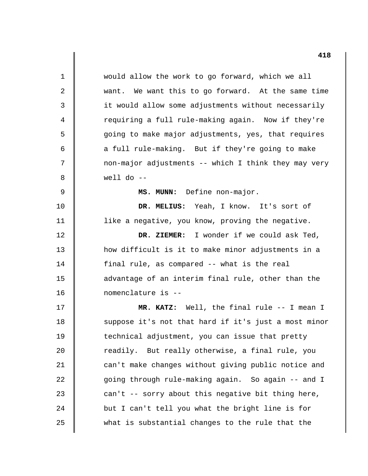| $\mathbf{1}$   | would allow the work to go forward, which we all     |
|----------------|------------------------------------------------------|
| 2              | want. We want this to go forward. At the same time   |
| 3              | it would allow some adjustments without necessarily  |
| 4              | requiring a full rule-making again. Now if they're   |
| 5              | going to make major adjustments, yes, that requires  |
| 6              | a full rule-making. But if they're going to make     |
| 7              | non-major adjustments -- which I think they may very |
| 8              | well do $-$                                          |
| $\overline{9}$ | MS. MUNN: Define non-major.                          |
| 10             | DR. MELIUS: Yeah, I know. It's sort of               |
| 11             | like a negative, you know, proving the negative.     |
| 12             | DR. ZIEMER: I wonder if we could ask Ted,            |
| 13             | how difficult is it to make minor adjustments in a   |
| 14             | final rule, as compared -- what is the real          |
| 15             | advantage of an interim final rule, other than the   |
| 16             | nomenclature is --                                   |
| 17             | MR. KATZ: Well, the final rule -- I mean I           |
| 18             | suppose it's not that hard if it's just a most minor |
| 19             | technical adjustment, you can issue that pretty      |
| 20             | readily. But really otherwise, a final rule, you     |
| 21             | can't make changes without giving public notice and  |
| 22             | going through rule-making again. So again -- and I   |
| 23             | can't -- sorry about this negative bit thing here,   |
| 24             | but I can't tell you what the bright line is for     |
| 25             | what is substantial changes to the rule that the     |
|                |                                                      |

 $\begin{array}{c} \hline \end{array}$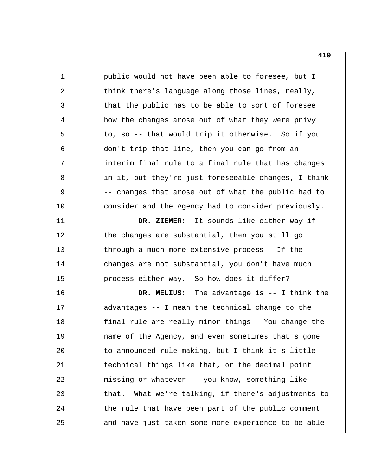1 2 3 4 5 6 7 8 9 10 11 12 13 14 15 16 17 18 19 20 21 22 23 24 25 public would not have been able to foresee, but I think there's language along those lines, really, that the public has to be able to sort of foresee how the changes arose out of what they were privy to, so -- that would trip it otherwise. So if you don't trip that line, then you can go from an interim final rule to a final rule that has changes in it, but they're just foreseeable changes, I think -- changes that arose out of what the public had to consider and the Agency had to consider previously. **DR. ZIEMER:** It sounds like either way if the changes are substantial, then you still go through a much more extensive process. If the changes are not substantial, you don't have much process either way. So how does it differ? **DR. MELIUS:** The advantage is -- I think the advantages -- I mean the technical change to the final rule are really minor things. You change the name of the Agency, and even sometimes that's gone to announced rule-making, but I think it's little technical things like that, or the decimal point missing or whatever -- you know, something like that. What we're talking, if there's adjustments to the rule that have been part of the public comment and have just taken some more experience to be able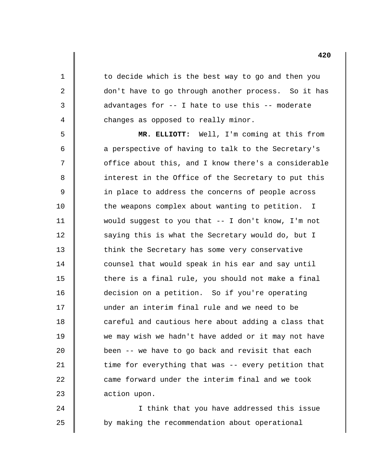to decide which is the best way to go and then you don't have to go through another process. So it has advantages for -- I hate to use this -- moderate changes as opposed to really minor.

1

2

3

4

5

6

7

8

9

10

11

12

13

14

15

16

17

18

19

20

21

22

23

24

25

**MR. ELLIOTT:** Well, I'm coming at this from a perspective of having to talk to the Secretary's office about this, and I know there's a considerable interest in the Office of the Secretary to put this in place to address the concerns of people across the weapons complex about wanting to petition. I would suggest to you that -- I don't know, I'm not saying this is what the Secretary would do, but I think the Secretary has some very conservative counsel that would speak in his ear and say until there is a final rule, you should not make a final decision on a petition. So if you're operating under an interim final rule and we need to be careful and cautious here about adding a class that we may wish we hadn't have added or it may not have been -- we have to go back and revisit that each time for everything that was -- every petition that came forward under the interim final and we took action upon.

I think that you have addressed this issue by making the recommendation about operational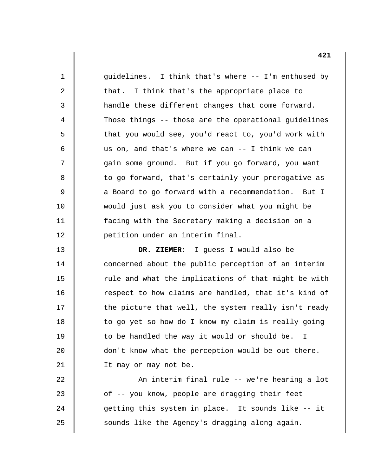1 2 3 4 5 6 7 8 9 10 11 12 13 14 15 16 17 18 19 20 21 22 guidelines. I think that's where -- I'm enthused by that. I think that's the appropriate place to handle these different changes that come forward. Those things -- those are the operational guidelines that you would see, you'd react to, you'd work with us on, and that's where we can -- I think we can gain some ground. But if you go forward, you want to go forward, that's certainly your prerogative as a Board to go forward with a recommendation. But I would just ask you to consider what you might be facing with the Secretary making a decision on a petition under an interim final. **DR. ZIEMER:** I guess I would also be concerned about the public perception of an interim rule and what the implications of that might be with respect to how claims are handled, that it's kind of the picture that well, the system really isn't ready to go yet so how do I know my claim is really going to be handled the way it would or should be. I don't know what the perception would be out there. It may or may not be. An interim final rule -- we're hearing a lot

of -- you know, people are dragging their feet getting this system in place. It sounds like -- it sounds like the Agency's dragging along again.

23

24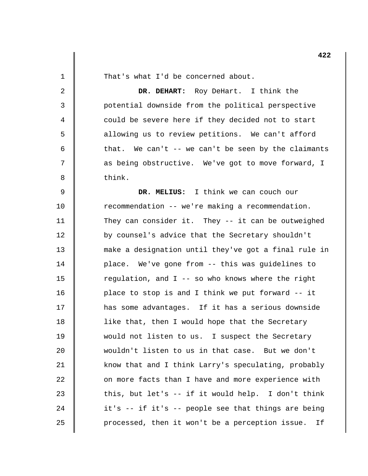| 1  | That's what I'd be concerned about.                   |
|----|-------------------------------------------------------|
| 2  | DR. DEHART: Roy DeHart. I think the                   |
| 3  | potential downside from the political perspective     |
| 4  | could be severe here if they decided not to start     |
| 5  | allowing us to review petitions. We can't afford      |
| 6  | that. We can't $-$ we can't be seen by the claimants  |
| 7  | as being obstructive. We've got to move forward, I    |
| 8  | think.                                                |
| 9  | DR. MELIUS: I think we can couch our                  |
| 10 | recommendation -- we're making a recommendation.      |
| 11 | They can consider it. They -- it can be outweighed    |
| 12 | by counsel's advice that the Secretary shouldn't      |
| 13 | make a designation until they've got a final rule in  |
| 14 | place. We've gone from -- this was guidelines to      |
| 15 | regulation, and I -- so who knows where the right     |
| 16 | place to stop is and I think we put forward -- it     |
| 17 | has some advantages. If it has a serious downside     |
| 18 | like that, then I would hope that the Secretary       |
| 19 | would not listen to us. I suspect the Secretary       |
| 20 | wouldn't listen to us in that case. But we don't      |
| 21 | know that and I think Larry's speculating, probably   |
| 22 | on more facts than I have and more experience with    |
| 23 | this, but let's -- if it would help. I don't think    |
| 24 | it's -- if it's -- people see that things are being   |
| 25 | processed, then it won't be a perception issue.<br>If |
|    |                                                       |

 $\begin{array}{c} \hline \end{array}$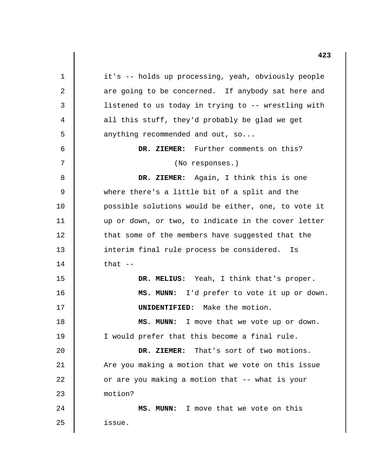1 2 3 4 5 6 7 8 9 10 11 12 13 14 15 16 17 18 19 20 21 22 23 24 25 it's -- holds up processing, yeah, obviously people are going to be concerned. If anybody sat here and listened to us today in trying to -- wrestling with all this stuff, they'd probably be glad we get anything recommended and out, so... **DR. ZIEMER:** Further comments on this? (No responses.) **DR. ZIEMER:** Again, I think this is one where there's a little bit of a split and the possible solutions would be either, one, to vote it up or down, or two, to indicate in the cover letter that some of the members have suggested that the interim final rule process be considered. Is that  $--$ **DR. MELIUS:** Yeah, I think that's proper. **MS. MUNN:** I'd prefer to vote it up or down. **UNIDENTIFIED:** Make the motion. **MS. MUNN:** I move that we vote up or down. I would prefer that this become a final rule. **DR. ZIEMER:** That's sort of two motions. Are you making a motion that we vote on this issue or are you making a motion that -- what is your motion? **MS. MUNN:** I move that we vote on this issue.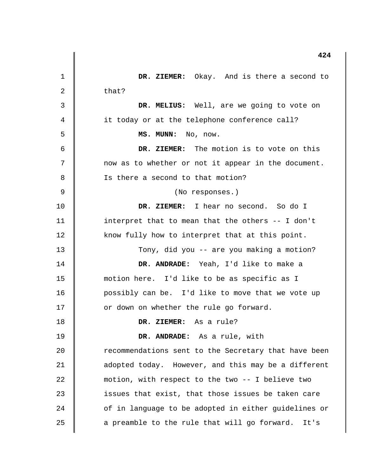|    | 424                                                  |
|----|------------------------------------------------------|
| 1  | DR. ZIEMER: Okay. And is there a second to           |
| 2  | that?                                                |
| 3  | DR. MELIUS: Well, are we going to vote on            |
| 4  | it today or at the telephone conference call?        |
| 5  | MS. MUNN: No, now.                                   |
| 6  | DR. ZIEMER: The motion is to vote on this            |
| 7  | now as to whether or not it appear in the document.  |
| 8  | Is there a second to that motion?                    |
| 9  | (No responses.)                                      |
| 10 | DR. ZIEMER: I hear no second. So do I                |
| 11 | interpret that to mean that the others -- I don't    |
| 12 | know fully how to interpret that at this point.      |
| 13 | Tony, did you -- are you making a motion?            |
| 14 | DR. ANDRADE: Yeah, I'd like to make a                |
| 15 | motion here. I'd like to be as specific as I         |
| 16 | possibly can be. I'd like to move that we vote up    |
| 17 | or down on whether the rule go forward.              |
| 18 | DR. ZIEMER: As a rule?                               |
| 19 | DR. ANDRADE: As a rule, with                         |
| 20 | recommendations sent to the Secretary that have been |
| 21 | adopted today. However, and this may be a different  |
| 22 | motion, with respect to the two -- I believe two     |
| 23 | issues that exist, that those issues be taken care   |
| 24 | of in language to be adopted in either guidelines or |
| 25 | a preamble to the rule that will go forward. It's    |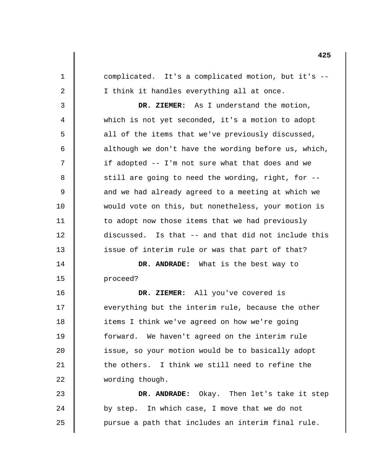1 2 3 4 5 6 7 8 9 10 11 12 13 14 15 16 17 18 19 20 21 22 23 24 25 complicated. It's a complicated motion, but it's - I think it handles everything all at once. **DR. ZIEMER:** As I understand the motion, which is not yet seconded, it's a motion to adopt all of the items that we've previously discussed, although we don't have the wording before us, which, if adopted -- I'm not sure what that does and we still are going to need the wording, right, for and we had already agreed to a meeting at which we would vote on this, but nonetheless, your motion is to adopt now those items that we had previously discussed. Is that -- and that did not include this issue of interim rule or was that part of that? **DR. ANDRADE:** What is the best way to proceed? **DR. ZIEMER:** All you've covered is everything but the interim rule, because the other items I think we've agreed on how we're going forward. We haven't agreed on the interim rule issue, so your motion would be to basically adopt the others. I think we still need to refine the wording though. **DR. ANDRADE:** Okay. Then let's take it step by step. In which case, I move that we do not pursue a path that includes an interim final rule.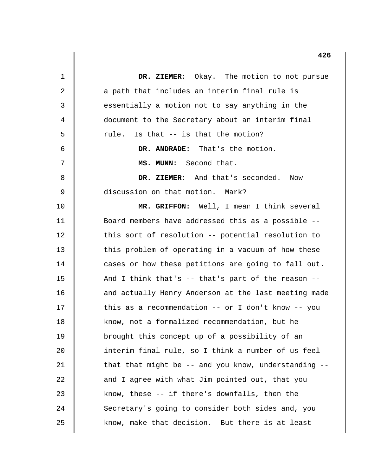|    | 426                                                  |
|----|------------------------------------------------------|
| 1  | DR. ZIEMER: Okay. The motion to not pursue           |
| 2  | a path that includes an interim final rule is        |
| 3  | essentially a motion not to say anything in the      |
| 4  | document to the Secretary about an interim final     |
| 5  | rule. Is that -- is that the motion?                 |
| 6  | DR. ANDRADE: That's the motion.                      |
| 7  | MS. MUNN: Second that.                               |
| 8  | DR. ZIEMER: And that's seconded. Now                 |
| 9  | discussion on that motion. Mark?                     |
| 10 | MR. GRIFFON: Well, I mean I think several            |
| 11 | Board members have addressed this as a possible --   |
| 12 | this sort of resolution -- potential resolution to   |
| 13 | this problem of operating in a vacuum of how these   |
| 14 | cases or how these petitions are going to fall out.  |
| 15 | And I think that's -- that's part of the reason --   |
| 16 | and actually Henry Anderson at the last meeting made |
| 17 | this as a recommendation -- or I don't know -- you   |
| 18 | know, not a formalized recommendation, but he        |
| 19 | brought this concept up of a possibility of an       |
| 20 | interim final rule, so I think a number of us feel   |
| 21 | that that might be -- and you know, understanding    |
| 22 | and I agree with what Jim pointed out, that you      |
| 23 | know, these -- if there's downfalls, then the        |
| 24 | Secretary's going to consider both sides and, you    |
| 25 | know, make that decision. But there is at least      |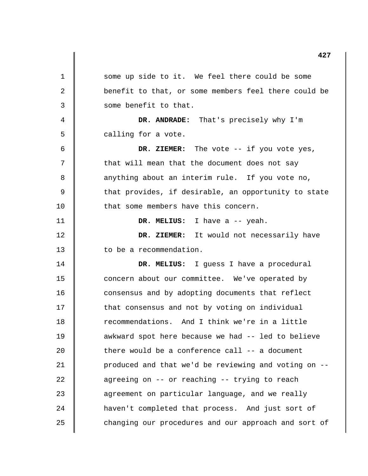1 2 3 4 5 6 7 8 9 10 11 12 13 14 15 16 17 18 19 20 21 22 23 24 25 some up side to it. We feel there could be some benefit to that, or some members feel there could be some benefit to that. **DR. ANDRADE:** That's precisely why I'm calling for a vote. **DR. ZIEMER:** The vote -- if you vote yes, that will mean that the document does not say anything about an interim rule. If you vote no, that provides, if desirable, an opportunity to state that some members have this concern. **DR. MELIUS:** I have a -- yeah. **DR. ZIEMER:** It would not necessarily have to be a recommendation. **DR. MELIUS:** I guess I have a procedural concern about our committee. We've operated by consensus and by adopting documents that reflect that consensus and not by voting on individual recommendations. And I think we're in a little awkward spot here because we had -- led to believe there would be a conference call -- a document produced and that we'd be reviewing and voting on agreeing on -- or reaching -- trying to reach agreement on particular language, and we really haven't completed that process. And just sort of changing our procedures and our approach and sort of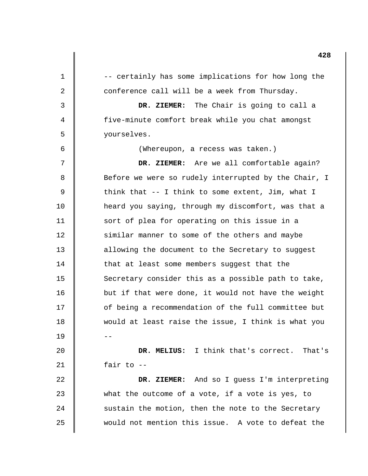1 2 3 4 5 6 7 8 9 10 11 12 13 14 15 16 17 18 19 20 21 22 23 24 25 -- certainly has some implications for how long the conference call will be a week from Thursday. **DR. ZIEMER:** The Chair is going to call a five-minute comfort break while you chat amongst yourselves. (Whereupon, a recess was taken.) **DR. ZIEMER:** Are we all comfortable again? Before we were so rudely interrupted by the Chair, I think that -- I think to some extent, Jim, what I heard you saying, through my discomfort, was that a sort of plea for operating on this issue in a similar manner to some of the others and maybe allowing the document to the Secretary to suggest that at least some members suggest that the Secretary consider this as a possible path to take, but if that were done, it would not have the weight of being a recommendation of the full committee but would at least raise the issue, I think is what you **DR. MELIUS:** I think that's correct. That's fair to  $-$ **DR. ZIEMER:** And so I guess I'm interpreting what the outcome of a vote, if a vote is yes, to sustain the motion, then the note to the Secretary would not mention this issue. A vote to defeat the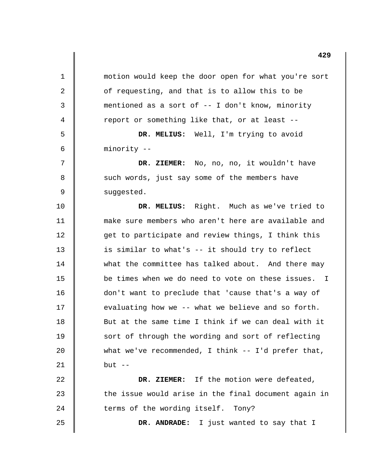motion would keep the door open for what you're sort of requesting, and that is to allow this to be mentioned as a sort of -- I don't know, minority report or something like that, or at least -

**DR. MELIUS:** Well, I'm trying to avoid minority -

1

2

3

4

5

6

7

8

9

10

11

12

13

14

15

16

17

18

19

20

21

22

23

24

25

**DR. ZIEMER:** No, no, no, it wouldn't have such words, just say some of the members have suggested.

**DR. MELIUS:** Right. Much as we've tried to make sure members who aren't here are available and get to participate and review things, I think this is similar to what's -- it should try to reflect what the committee has talked about. And there may be times when we do need to vote on these issues. I don't want to preclude that 'cause that's a way of evaluating how we -- what we believe and so forth. But at the same time I think if we can deal with it sort of through the wording and sort of reflecting what we've recommended, I think -- I'd prefer that, but  $-$ 

**DR. ZIEMER:** If the motion were defeated, the issue would arise in the final document again in terms of the wording itself. Tony?

**DR. ANDRADE:** I just wanted to say that I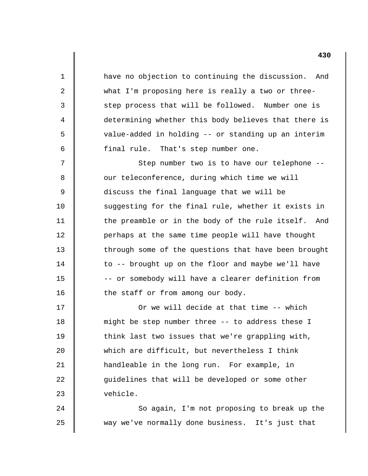1 2 3 4 5 6 7 8 9 10 11 12 13 14 15 16 17 18 19 20 21 22 23 24 25 have no objection to continuing the discussion. And what I'm proposing here is really a two or threestep process that will be followed. Number one is determining whether this body believes that there is value-added in holding -- or standing up an interim final rule. That's step number one. Step number two is to have our telephone our teleconference, during which time we will discuss the final language that we will be suggesting for the final rule, whether it exists in the preamble or in the body of the rule itself. And perhaps at the same time people will have thought through some of the questions that have been brought to -- brought up on the floor and maybe we'll have -- or somebody will have a clearer definition from the staff or from among our body. Or we will decide at that time -- which might be step number three -- to address these I think last two issues that we're grappling with, which are difficult, but nevertheless I think handleable in the long run. For example, in guidelines that will be developed or some other vehicle. So again, I'm not proposing to break up the way we've normally done business. It's just that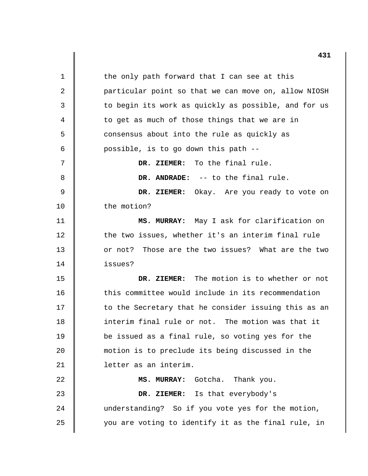1 2 3 4 5 6 7 8 9 10 11 12 13 14 15 16 17 18 19 20 21 22 23 24 25 the only path forward that I can see at this particular point so that we can move on, allow NIOSH to begin its work as quickly as possible, and for us to get as much of those things that we are in consensus about into the rule as quickly as possible, is to go down this path - **DR. ZIEMER:** To the final rule. **DR. ANDRADE:** -- to the final rule. **DR. ZIEMER:** Okay. Are you ready to vote on the motion? **MS. MURRAY:** May I ask for clarification on the two issues, whether it's an interim final rule or not? Those are the two issues? What are the two issues? **DR. ZIEMER:** The motion is to whether or not this committee would include in its recommendation to the Secretary that he consider issuing this as an interim final rule or not. The motion was that it be issued as a final rule, so voting yes for the motion is to preclude its being discussed in the letter as an interim. **MS. MURRAY:** Gotcha. Thank you. **DR. ZIEMER:** Is that everybody's understanding? So if you vote yes for the motion, you are voting to identify it as the final rule, in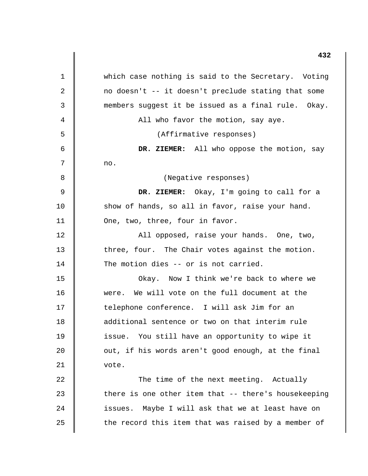1 2 3 4 5 6 7 8 9 10 11 12 13 14 15 16 17 18 19 20 21 22 23 24 25 which case nothing is said to the Secretary. Voting no doesn't -- it doesn't preclude stating that some members suggest it be issued as a final rule. Okay. All who favor the motion, say aye. (Affirmative responses) **DR. ZIEMER:** All who oppose the motion, say no. (Negative responses) **DR. ZIEMER:** Okay, I'm going to call for a show of hands, so all in favor, raise your hand. One, two, three, four in favor. All opposed, raise your hands. One, two, three, four. The Chair votes against the motion. The motion dies -- or is not carried. Okay. Now I think we're back to where we were. We will vote on the full document at the telephone conference. I will ask Jim for an additional sentence or two on that interim rule issue. You still have an opportunity to wipe it out, if his words aren't good enough, at the final vote. The time of the next meeting. Actually there is one other item that -- there's housekeeping issues. Maybe I will ask that we at least have on the record this item that was raised by a member of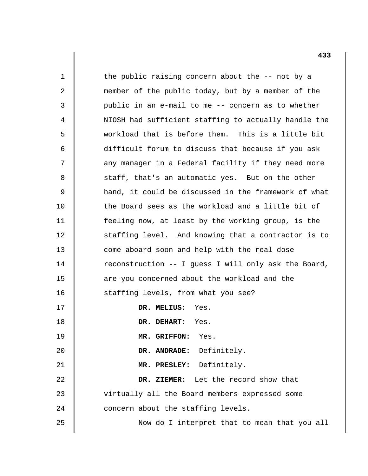1 2 3 4 5 6 7 8 9 10 11 12 13 14 15 16 17 18 19 20 21 22 23 24 25 the public raising concern about the -- not by a member of the public today, but by a member of the public in an e-mail to me -- concern as to whether NIOSH had sufficient staffing to actually handle the workload that is before them. This is a little bit difficult forum to discuss that because if you ask any manager in a Federal facility if they need more staff, that's an automatic yes. But on the other hand, it could be discussed in the framework of what the Board sees as the workload and a little bit of feeling now, at least by the working group, is the staffing level. And knowing that a contractor is to come aboard soon and help with the real dose reconstruction -- I guess I will only ask the Board, are you concerned about the workload and the staffing levels, from what you see? **DR. MELIUS:** Yes. **DR. DEHART:** Yes. **MR. GRIFFON:** Yes. **DR. ANDRADE:** Definitely. **MR. PRESLEY:** Definitely. **DR. ZIEMER:** Let the record show that virtually all the Board members expressed some concern about the staffing levels. Now do I interpret that to mean that you all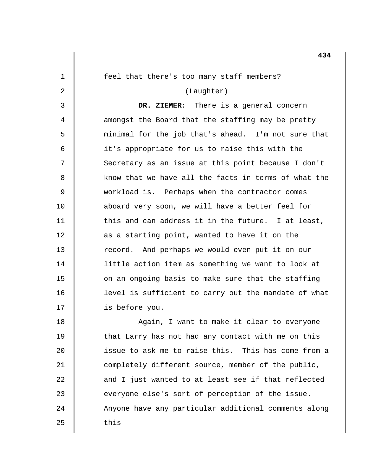1 2 3 4 5 6 7 8 9 10 11 12 13 14 15 16 17 18 19 20 21 feel that there's too many staff members? (Laughter) **DR. ZIEMER:** There is a general concern amongst the Board that the staffing may be pretty minimal for the job that's ahead. I'm not sure that it's appropriate for us to raise this with the Secretary as an issue at this point because I don't know that we have all the facts in terms of what the workload is. Perhaps when the contractor comes aboard very soon, we will have a better feel for this and can address it in the future. I at least, as a starting point, wanted to have it on the record. And perhaps we would even put it on our little action item as something we want to look at on an ongoing basis to make sure that the staffing level is sufficient to carry out the mandate of what is before you. Again, I want to make it clear to everyone that Larry has not had any contact with me on this issue to ask me to raise this. This has come from a completely different source, member of the public,

and I just wanted to at least see if that reflected

Anyone have any particular additional comments along

everyone else's sort of perception of the issue.

22

23

 $2.4$ 

25

this -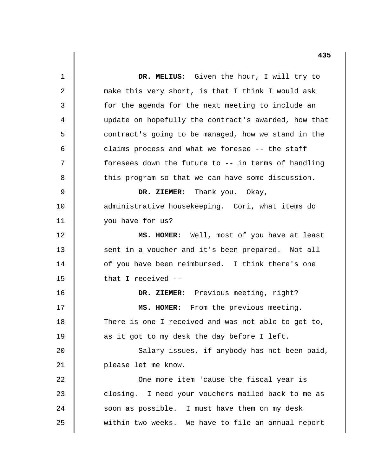1 2 3 4 5 6 7 8 9 10 11 12 13 14 15 16 17 18 19 20 21 22 23 24 25 **DR. MELIUS:** Given the hour, I will try to make this very short, is that I think I would ask for the agenda for the next meeting to include an update on hopefully the contract's awarded, how that contract's going to be managed, how we stand in the claims process and what we foresee -- the staff foresees down the future to -- in terms of handling this program so that we can have some discussion. **DR. ZIEMER:** Thank you. Okay, administrative housekeeping. Cori, what items do you have for us? **MS. HOMER:** Well, most of you have at least sent in a voucher and it's been prepared. Not all of you have been reimbursed. I think there's one that I received - **DR. ZIEMER:** Previous meeting, right? **MS. HOMER:** From the previous meeting. There is one I received and was not able to get to, as it got to my desk the day before I left. Salary issues, if anybody has not been paid, please let me know. One more item 'cause the fiscal year is closing. I need your vouchers mailed back to me as soon as possible. I must have them on my desk within two weeks. We have to file an annual report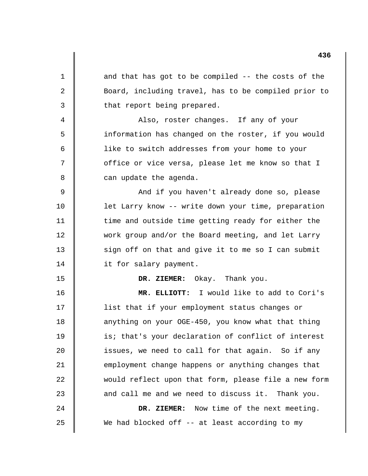1 2 3 4 5 6 7 8 9 10 11 12 13 14 15 16 17 18 19 20 21 22 23 24 25 and that has got to be compiled -- the costs of the Board, including travel, has to be compiled prior to that report being prepared. Also, roster changes. If any of your information has changed on the roster, if you would like to switch addresses from your home to your office or vice versa, please let me know so that I can update the agenda. And if you haven't already done so, please let Larry know -- write down your time, preparation time and outside time getting ready for either the work group and/or the Board meeting, and let Larry sign off on that and give it to me so I can submit it for salary payment. **DR. ZIEMER:** Okay. Thank you. **MR. ELLIOTT:** I would like to add to Cori's list that if your employment status changes or anything on your OGE-450, you know what that thing is; that's your declaration of conflict of interest issues, we need to call for that again. So if any employment change happens or anything changes that would reflect upon that form, please file a new form and call me and we need to discuss it. Thank you. **DR. ZIEMER:** Now time of the next meeting. We had blocked off -- at least according to my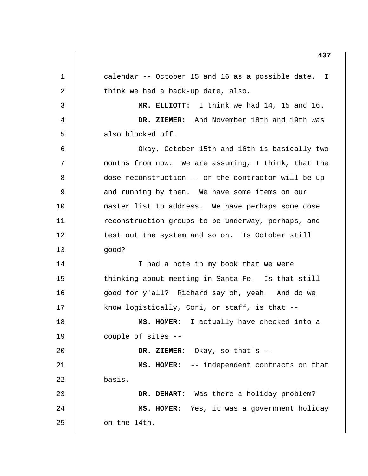1 2 3 4 5 6 7 8 9 10 11 12 13 14 15 16 17 18 19 20 21 22 23 24 25 calendar -- October 15 and 16 as a possible date. I think we had a back-up date, also. **MR. ELLIOTT:** I think we had 14, 15 and 16. **DR. ZIEMER:** And November 18th and 19th was also blocked off. Okay, October 15th and 16th is basically two months from now. We are assuming, I think, that the dose reconstruction -- or the contractor will be up and running by then. We have some items on our master list to address. We have perhaps some dose reconstruction groups to be underway, perhaps, and test out the system and so on. Is October still good? I had a note in my book that we were thinking about meeting in Santa Fe. Is that still good for y'all? Richard say oh, yeah. And do we know logistically, Cori, or staff, is that - **MS. HOMER:** I actually have checked into a couple of sites - **DR. ZIEMER:** Okay, so that's - **MS. HOMER:** -- independent contracts on that basis. **DR. DEHART:** Was there a holiday problem? **MS. HOMER:** Yes, it was a government holiday on the 14th.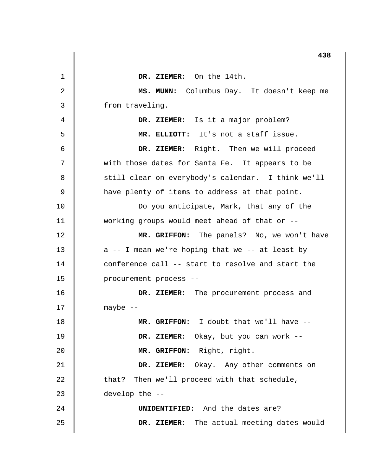|    | 438                                                |
|----|----------------------------------------------------|
| 1  | DR. ZIEMER: On the 14th.                           |
| 2  | MS. MUNN: Columbus Day. It doesn't keep me         |
| 3  | from traveling.                                    |
| 4  | DR. ZIEMER: Is it a major problem?                 |
| 5  | MR. ELLIOTT: It's not a staff issue.               |
| 6  | DR. ZIEMER: Right. Then we will proceed            |
| 7  | with those dates for Santa Fe. It appears to be    |
| 8  | still clear on everybody's calendar. I think we'll |
| 9  | have plenty of items to address at that point.     |
| 10 | Do you anticipate, Mark, that any of the           |
| 11 | working groups would meet ahead of that or --      |
| 12 | MR. GRIFFON: The panels? No, we won't have         |
| 13 | a -- I mean we're hoping that we -- at least by    |
| 14 | conference call -- start to resolve and start the  |
| 15 | procurement process --                             |
| 16 | DR. ZIEMER: The procurement process and            |
| 17 | $maybe$ --                                         |
| 18 | MR. GRIFFON: I doubt that we'll have --            |
| 19 | DR. ZIEMER: Okay, but you can work --              |
| 20 | MR. GRIFFON: Right, right.                         |
| 21 | DR. ZIEMER: Okay. Any other comments on            |
| 22 | that? Then we'll proceed with that schedule,       |
| 23 | develop the --                                     |
| 24 | <b>UNIDENTIFIED:</b> And the dates are?            |
| 25 | DR. ZIEMER: The actual meeting dates would         |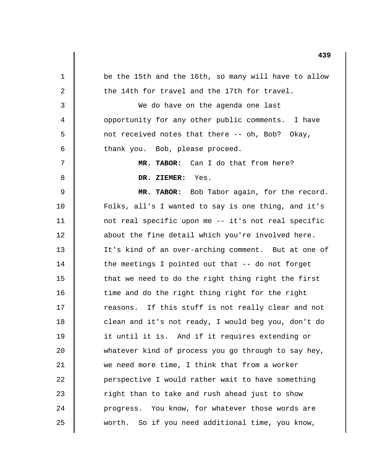| $\mathbf 1$    | be the 15th and the 16th, so many will have to allow |
|----------------|------------------------------------------------------|
| $\overline{2}$ | the 14th for travel and the 17th for travel.         |
| $\mathfrak{Z}$ | We do have on the agenda one last                    |
| 4              | opportunity for any other public comments. I have    |
| 5              | not received notes that there -- oh, Bob? Okay,      |
| 6              | thank you. Bob, please proceed.                      |
| 7              | MR. TABOR: Can I do that from here?                  |
| 8              | Yes.<br>DR. ZIEMER:                                  |
| $\mathsf 9$    | MR. TABOR: Bob Tabor again, for the record.          |
| 10             | Folks, all's I wanted to say is one thing, and it's  |
| 11             | not real specific upon me -- it's not real specific  |
| 12             | about the fine detail which you're involved here.    |
| 13             | It's kind of an over-arching comment. But at one of  |
| 14             | the meetings I pointed out that -- do not forget     |
| 15             | that we need to do the right thing right the first   |
| 16             | time and do the right thing right for the right      |
| 17             | reasons. If this stuff is not really clear and not   |
| 18             | clean and it's not ready, I would beg you, don't do  |
| 19             | it until it is. And if it requires extending or      |
| 20             | whatever kind of process you go through to say hey,  |
| 21             | we need more time, I think that from a worker        |
| 22             | perspective I would rather wait to have something    |
| 23             | right than to take and rush ahead just to show       |
| 24             | progress. You know, for whatever those words are     |
| 25             | worth. So if you need additional time, you know,     |
|                |                                                      |

 $\begin{array}{c} \hline \end{array}$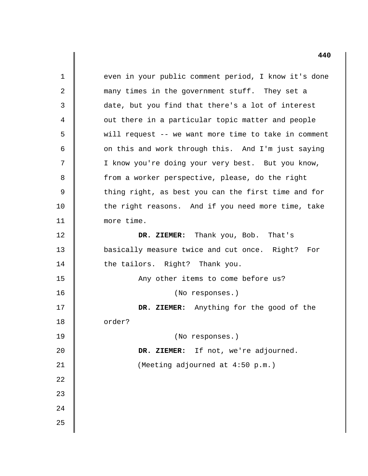| $\mathbf 1$    | even in your public comment period, I know it's done |
|----------------|------------------------------------------------------|
| $\overline{2}$ | many times in the government stuff. They set a       |
| 3              | date, but you find that there's a lot of interest    |
| 4              | out there in a particular topic matter and people    |
| 5              | will request -- we want more time to take in comment |
| 6              | on this and work through this. And I'm just saying   |
| 7              | I know you're doing your very best. But you know,    |
| 8              | from a worker perspective, please, do the right      |
| 9              | thing right, as best you can the first time and for  |
| 10             | the right reasons. And if you need more time, take   |
| 11             | more time.                                           |
| 12             | DR. ZIEMER: Thank you, Bob. That's                   |
| 13             | basically measure twice and cut once. Right?<br>For  |
| 14             | the tailors. Right? Thank you.                       |
| 15             | Any other items to come before us?                   |
| 16             | (No responses.)                                      |
| 17             | DR. ZIEMER: Anything for the good of the             |
| 18             | order?                                               |
| 19             | (No responses.)                                      |
| 20             | If not, we're adjourned.<br>DR. ZIEMER:              |
| 21             | (Meeting adjourned at 4:50 p.m.)                     |
| 22             |                                                      |
| 23             |                                                      |
| 24             |                                                      |
| 25             |                                                      |
|                |                                                      |

 $\begin{array}{c} \hline \end{array}$